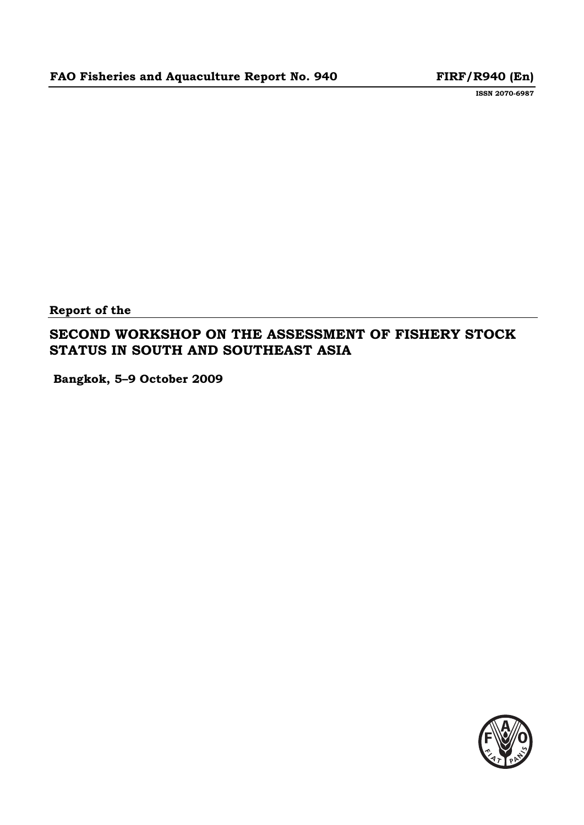**ISSN 2070-6987**

**Report of the** 

# **SECOND WORKSHOP ON THE ASSESSMENT OF FISHERY STOCK STATUS IN SOUTH AND SOUTHEAST ASIA**

 **Bangkok, 5–9 October 2009** 

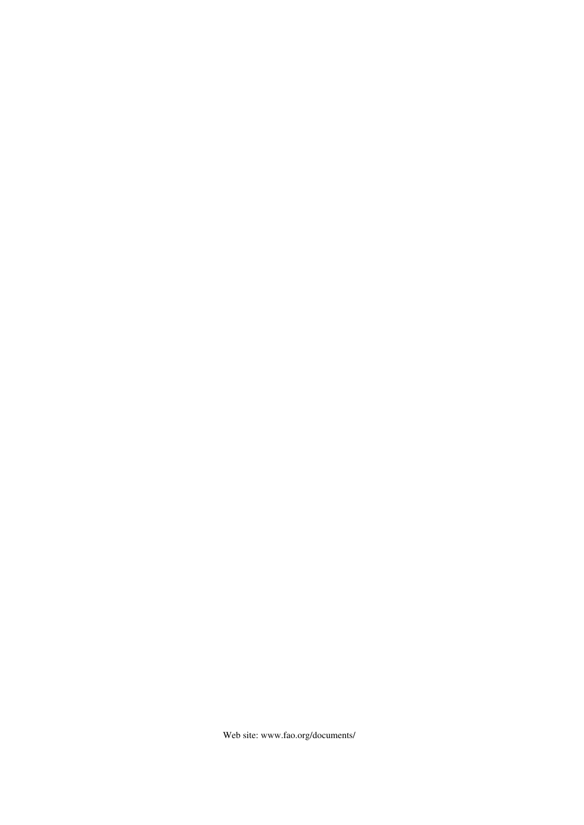Web site: www.fao.org/documents/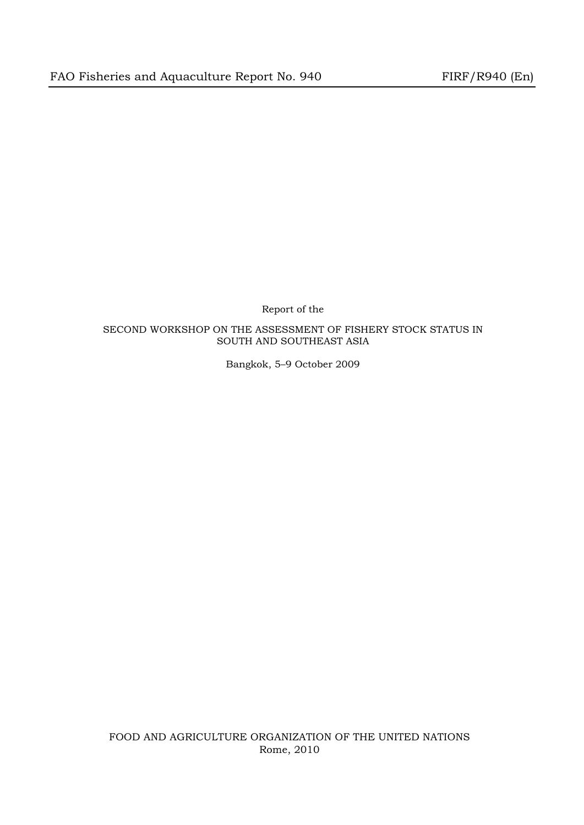Report of the

# SECOND WORKSHOP ON THE ASSESSMENT OF FISHERY STOCK STATUS IN SOUTH AND SOUTHEAST ASIA

Bangkok, 5–9 October 2009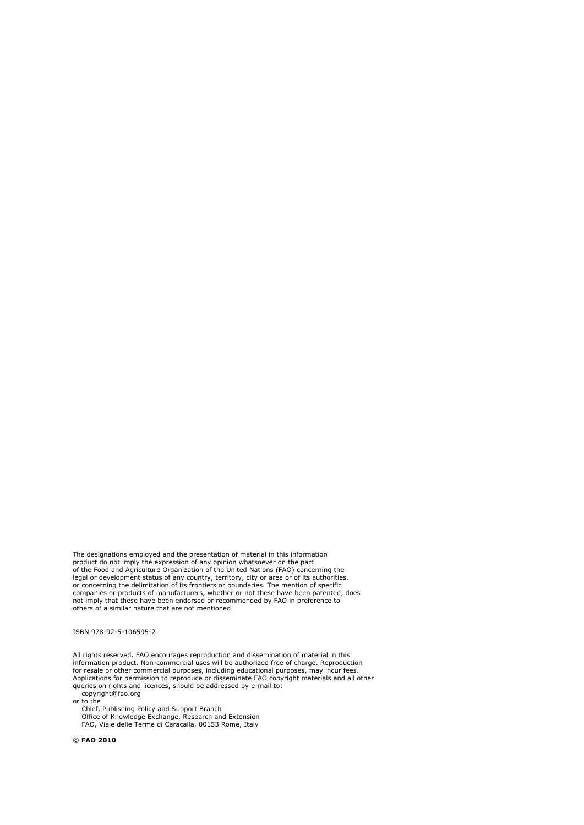The designations employed and the presentation of material in this information<br>product do not imply the expression of any opinion whatsoever on the part<br>of the Food and Agriculture Organization of the United Nations (FAO) legal or development status of any country, territory, city or area or of its authorities, or concerning the delimitation of its frontiers or boundaries. The mention of specific companies or products of manufacturers, whether or not these have been patented, does not imply that these have been endorsed or recommended by FAO in preference to others of a similar nature that are not mentioned.

ISBN 978-92-5-106595-2

All rights reserved. FAO encourages reproduction and dissemination of material in this information product. Non-commercial uses will be authorized free of charge. Reproduction for resale or other commercial purposes, including educational purposes, may incur fees. Applications for permission to reproduce or disseminate FAO copyright materials and all other queries on rights and licences, should be addressed by e-mail to: copyright@fao.org

or to the

Chief, Publishing Policy and Support Branch Office of Knowledge Exchange, Research and Extension FAO, Viale delle Terme di Caracalla, 00153 Rome, Italy

© **FAO 2010**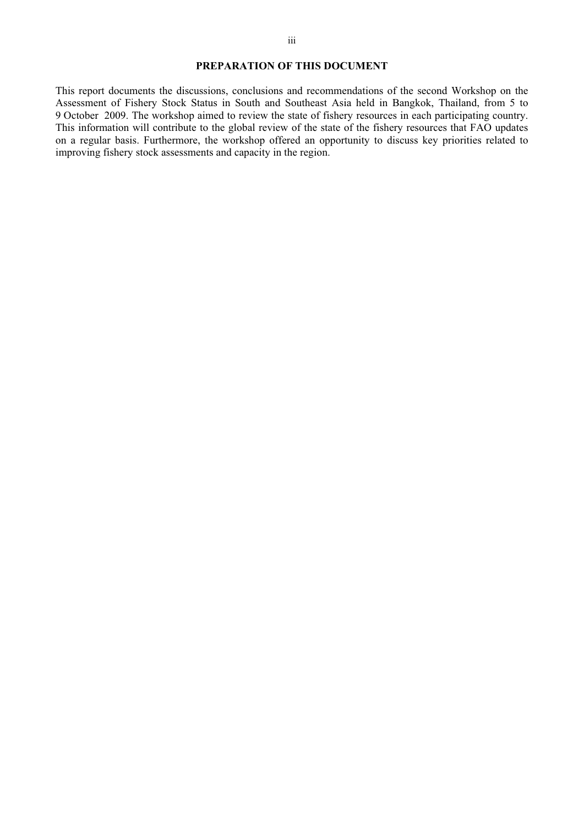#### **PREPARATION OF THIS DOCUMENT**

This report documents the discussions, conclusions and recommendations of the second Workshop on the Assessment of Fishery Stock Status in South and Southeast Asia held in Bangkok, Thailand, from 5 to 9 October 2009. The workshop aimed to review the state of fishery resources in each participating country. This information will contribute to the global review of the state of the fishery resources that FAO updates on a regular basis. Furthermore, the workshop offered an opportunity to discuss key priorities related to improving fishery stock assessments and capacity in the region.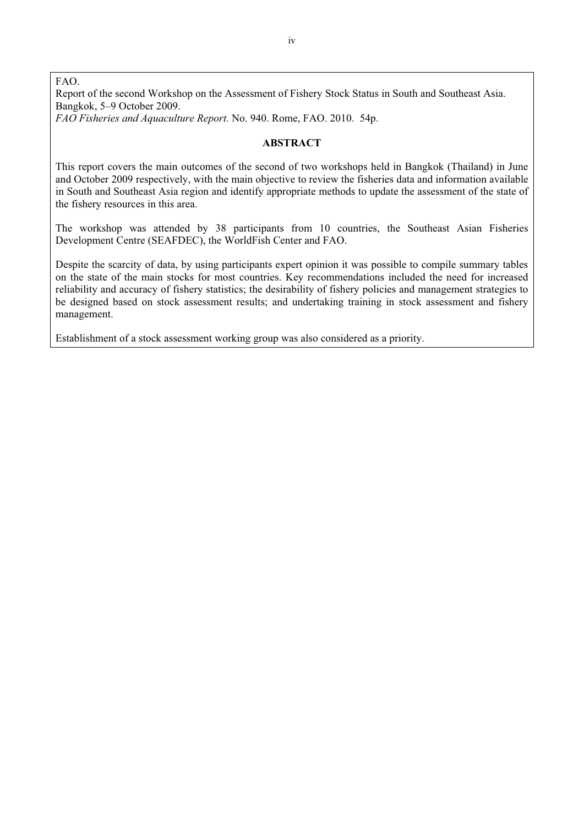FAO. Report of the second Workshop on the Assessment of Fishery Stock Status in South and Southeast Asia. Bangkok, 5–9 October 2009.

*FAO Fisheries and Aquaculture Report.* No. 940. Rome, FAO. 2010. 54p.

#### **ABSTRACT**

This report covers the main outcomes of the second of two workshops held in Bangkok (Thailand) in June and October 2009 respectively, with the main objective to review the fisheries data and information available in South and Southeast Asia region and identify appropriate methods to update the assessment of the state of the fishery resources in this area.

The workshop was attended by 38 participants from 10 countries, the Southeast Asian Fisheries Development Centre (SEAFDEC), the WorldFish Center and FAO.

Despite the scarcity of data, by using participants expert opinion it was possible to compile summary tables on the state of the main stocks for most countries. Key recommendations included the need for increased reliability and accuracy of fishery statistics; the desirability of fishery policies and management strategies to be designed based on stock assessment results; and undertaking training in stock assessment and fishery management.

Establishment of a stock assessment working group was also considered as a priority.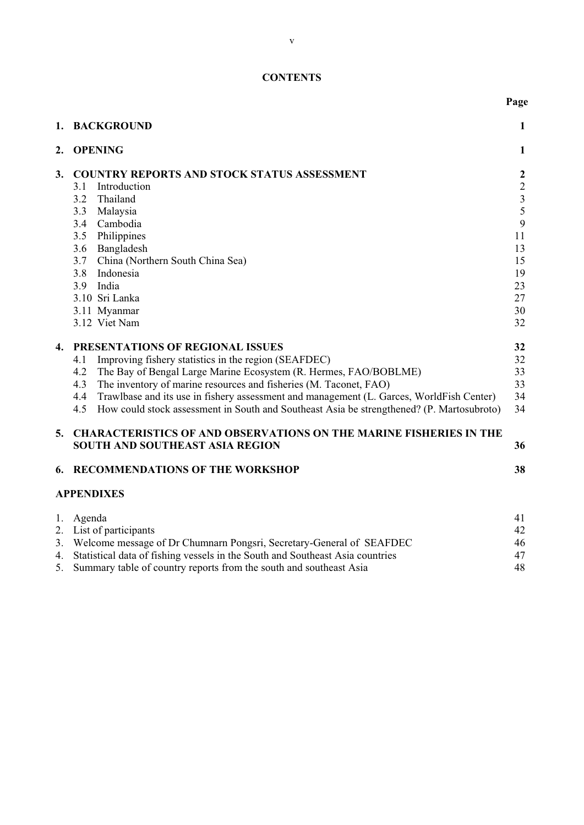# **CONTENTS**

|                      | 1. BACKGROUND                                                                                    | $\mathbf{1}$                               |  |  |  |
|----------------------|--------------------------------------------------------------------------------------------------|--------------------------------------------|--|--|--|
| <b>OPENING</b><br>2. |                                                                                                  |                                            |  |  |  |
| 3.                   | <b>COUNTRY REPORTS AND STOCK STATUS ASSESSMENT</b>                                               | $\boldsymbol{2}$                           |  |  |  |
|                      | Introduction<br>3.1                                                                              | $\begin{array}{c} 2 \\ 3 \\ 5 \end{array}$ |  |  |  |
|                      | Thailand<br>3.2                                                                                  |                                            |  |  |  |
|                      | Malaysia<br>3.3                                                                                  |                                            |  |  |  |
|                      | Cambodia<br>3.4                                                                                  | 9                                          |  |  |  |
|                      | 3.5<br>Philippines                                                                               | 11                                         |  |  |  |
|                      | Bangladesh<br>3.6                                                                                | 13                                         |  |  |  |
|                      | China (Northern South China Sea)<br>3.7                                                          | 15                                         |  |  |  |
|                      | Indonesia<br>3.8                                                                                 | 19                                         |  |  |  |
|                      | India<br>3.9                                                                                     | 23                                         |  |  |  |
|                      | 3.10 Sri Lanka                                                                                   | 27                                         |  |  |  |
|                      | 3.11 Myanmar<br>3.12 Viet Nam                                                                    | 30                                         |  |  |  |
|                      |                                                                                                  | 32                                         |  |  |  |
| 4.                   | PRESENTATIONS OF REGIONAL ISSUES                                                                 | 32                                         |  |  |  |
|                      | Improving fishery statistics in the region (SEAFDEC)<br>4.1                                      | 32                                         |  |  |  |
|                      | The Bay of Bengal Large Marine Ecosystem (R. Hermes, FAO/BOBLME)<br>4.2                          | 33                                         |  |  |  |
|                      | The inventory of marine resources and fisheries (M. Taconet, FAO)<br>4.3                         | 33                                         |  |  |  |
|                      | Trawlbase and its use in fishery assessment and management (L. Garces, WorldFish Center)<br>4.4  | 34                                         |  |  |  |
|                      | 4.5<br>How could stock assessment in South and Southeast Asia be strengthened? (P. Martosubroto) | 34                                         |  |  |  |
|                      | 5. CHARACTERISTICS OF AND OBSERVATIONS ON THE MARINE FISHERIES IN THE                            |                                            |  |  |  |
|                      | <b>SOUTH AND SOUTHEAST ASIA REGION</b>                                                           | 36                                         |  |  |  |
| 6.                   | <b>RECOMMENDATIONS OF THE WORKSHOP</b>                                                           | 38                                         |  |  |  |
|                      | <b>APPENDIXES</b>                                                                                |                                            |  |  |  |
|                      | 1. Agenda                                                                                        | 41                                         |  |  |  |
|                      | 2. List of participants                                                                          | 42                                         |  |  |  |
|                      | 3. Welcome message of Dr Chumnarn Pongsri, Secretary-General of SEAFDEC                          | 46                                         |  |  |  |
| 4.                   | Statistical data of fishing vessels in the South and Southeast Asia countries                    | 47                                         |  |  |  |

| 4. Statistical data of Histing vessels in the South and Southeast Asia countries |  |
|----------------------------------------------------------------------------------|--|
| 5. Summary table of country reports from the south and southeast Asia            |  |

**Page**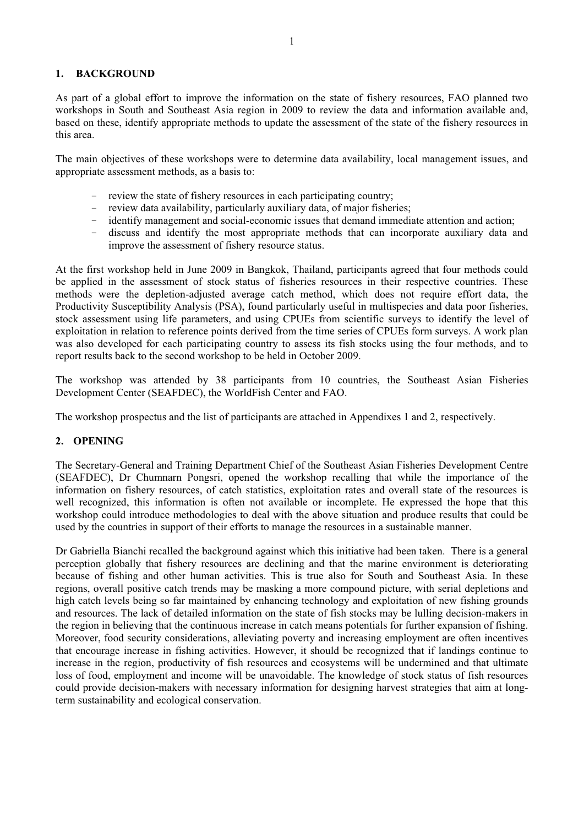# **1. BACKGROUND**

As part of a global effort to improve the information on the state of fishery resources, FAO planned two workshops in South and Southeast Asia region in 2009 to review the data and information available and, based on these, identify appropriate methods to update the assessment of the state of the fishery resources in this area.

The main objectives of these workshops were to determine data availability, local management issues, and appropriate assessment methods, as a basis to:

- review the state of fishery resources in each participating country;
- review data availability, particularly auxiliary data, of major fisheries;
- identify management and social-economic issues that demand immediate attention and action;
- discuss and identify the most appropriate methods that can incorporate auxiliary data and improve the assessment of fishery resource status.

At the first workshop held in June 2009 in Bangkok, Thailand, participants agreed that four methods could be applied in the assessment of stock status of fisheries resources in their respective countries. These methods were the depletion-adjusted average catch method, which does not require effort data, the Productivity Susceptibility Analysis (PSA), found particularly useful in multispecies and data poor fisheries, stock assessment using life parameters, and using CPUEs from scientific surveys to identify the level of exploitation in relation to reference points derived from the time series of CPUEs form surveys. A work plan was also developed for each participating country to assess its fish stocks using the four methods, and to report results back to the second workshop to be held in October 2009.

The workshop was attended by 38 participants from 10 countries, the Southeast Asian Fisheries Development Center (SEAFDEC), the WorldFish Center and FAO.

The workshop prospectus and the list of participants are attached in Appendixes 1 and 2, respectively.

# **2. OPENING**

The Secretary-General and Training Department Chief of the Southeast Asian Fisheries Development Centre (SEAFDEC), Dr Chumnarn Pongsri, opened the workshop recalling that while the importance of the information on fishery resources, of catch statistics, exploitation rates and overall state of the resources is well recognized, this information is often not available or incomplete. He expressed the hope that this workshop could introduce methodologies to deal with the above situation and produce results that could be used by the countries in support of their efforts to manage the resources in a sustainable manner.

Dr Gabriella Bianchi recalled the background against which this initiative had been taken. There is a general perception globally that fishery resources are declining and that the marine environment is deteriorating because of fishing and other human activities. This is true also for South and Southeast Asia. In these regions, overall positive catch trends may be masking a more compound picture, with serial depletions and high catch levels being so far maintained by enhancing technology and exploitation of new fishing grounds and resources. The lack of detailed information on the state of fish stocks may be lulling decision-makers in the region in believing that the continuous increase in catch means potentials for further expansion of fishing. Moreover, food security considerations, alleviating poverty and increasing employment are often incentives that encourage increase in fishing activities. However, it should be recognized that if landings continue to increase in the region, productivity of fish resources and ecosystems will be undermined and that ultimate loss of food, employment and income will be unavoidable. The knowledge of stock status of fish resources could provide decision-makers with necessary information for designing harvest strategies that aim at longterm sustainability and ecological conservation.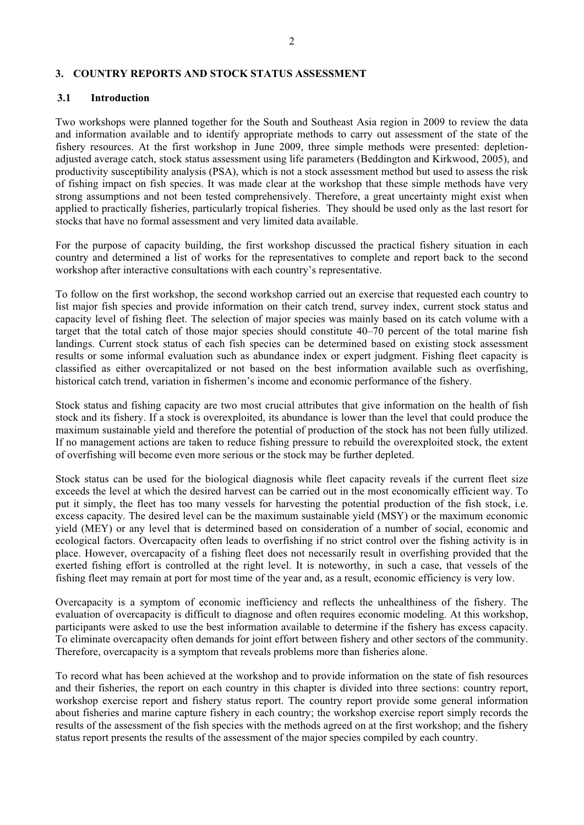#### **3. COUNTRY REPORTS AND STOCK STATUS ASSESSMENT**

#### **3.1 Introduction**

Two workshops were planned together for the South and Southeast Asia region in 2009 to review the data and information available and to identify appropriate methods to carry out assessment of the state of the fishery resources. At the first workshop in June 2009, three simple methods were presented: depletionadjusted average catch, stock status assessment using life parameters (Beddington and Kirkwood, 2005), and productivity susceptibility analysis (PSA), which is not a stock assessment method but used to assess the risk of fishing impact on fish species. It was made clear at the workshop that these simple methods have very strong assumptions and not been tested comprehensively. Therefore, a great uncertainty might exist when applied to practically fisheries, particularly tropical fisheries. They should be used only as the last resort for stocks that have no formal assessment and very limited data available.

For the purpose of capacity building, the first workshop discussed the practical fishery situation in each country and determined a list of works for the representatives to complete and report back to the second workshop after interactive consultations with each country's representative.

To follow on the first workshop, the second workshop carried out an exercise that requested each country to list major fish species and provide information on their catch trend, survey index, current stock status and capacity level of fishing fleet. The selection of major species was mainly based on its catch volume with a target that the total catch of those major species should constitute 40–70 percent of the total marine fish landings. Current stock status of each fish species can be determined based on existing stock assessment results or some informal evaluation such as abundance index or expert judgment. Fishing fleet capacity is classified as either overcapitalized or not based on the best information available such as overfishing, historical catch trend, variation in fishermen's income and economic performance of the fishery.

Stock status and fishing capacity are two most crucial attributes that give information on the health of fish stock and its fishery. If a stock is overexploited, its abundance is lower than the level that could produce the maximum sustainable yield and therefore the potential of production of the stock has not been fully utilized. If no management actions are taken to reduce fishing pressure to rebuild the overexploited stock, the extent of overfishing will become even more serious or the stock may be further depleted.

Stock status can be used for the biological diagnosis while fleet capacity reveals if the current fleet size exceeds the level at which the desired harvest can be carried out in the most economically efficient way. To put it simply, the fleet has too many vessels for harvesting the potential production of the fish stock, i.e. excess capacity. The desired level can be the maximum sustainable yield (MSY) or the maximum economic yield (MEY) or any level that is determined based on consideration of a number of social, economic and ecological factors. Overcapacity often leads to overfishing if no strict control over the fishing activity is in place. However, overcapacity of a fishing fleet does not necessarily result in overfishing provided that the exerted fishing effort is controlled at the right level. It is noteworthy, in such a case, that vessels of the fishing fleet may remain at port for most time of the year and, as a result, economic efficiency is very low.

Overcapacity is a symptom of economic inefficiency and reflects the unhealthiness of the fishery. The evaluation of overcapacity is difficult to diagnose and often requires economic modeling. At this workshop, participants were asked to use the best information available to determine if the fishery has excess capacity. To eliminate overcapacity often demands for joint effort between fishery and other sectors of the community. Therefore, overcapacity is a symptom that reveals problems more than fisheries alone.

To record what has been achieved at the workshop and to provide information on the state of fish resources and their fisheries, the report on each country in this chapter is divided into three sections: country report, workshop exercise report and fishery status report. The country report provide some general information about fisheries and marine capture fishery in each country; the workshop exercise report simply records the results of the assessment of the fish species with the methods agreed on at the first workshop; and the fishery status report presents the results of the assessment of the major species compiled by each country.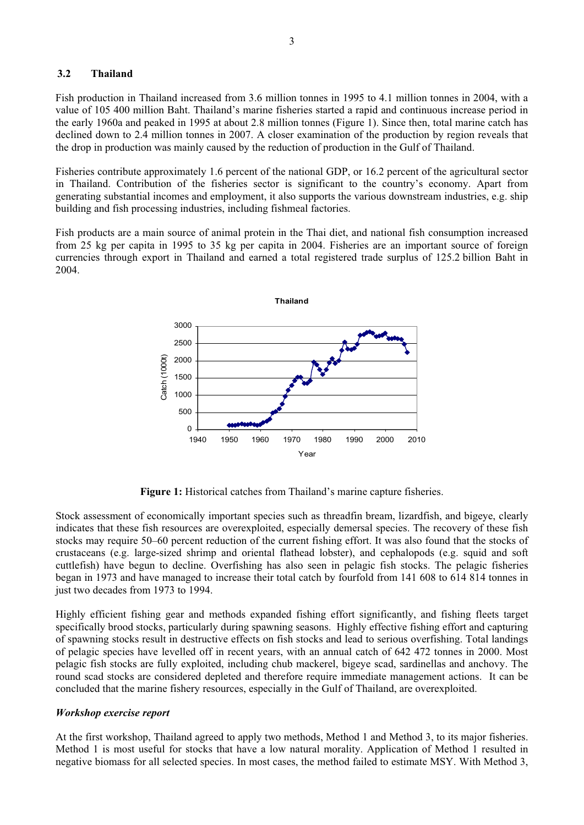#### **3.2 Thailand**

Fish production in Thailand increased from 3.6 million tonnes in 1995 to 4.1 million tonnes in 2004, with a value of 105 400 million Baht. Thailand's marine fisheries started a rapid and continuous increase period in the early 1960a and peaked in 1995 at about 2.8 million tonnes (Figure 1). Since then, total marine catch has declined down to 2.4 million tonnes in 2007. A closer examination of the production by region reveals that the drop in production was mainly caused by the reduction of production in the Gulf of Thailand.

Fisheries contribute approximately 1.6 percent of the national GDP, or 16.2 percent of the agricultural sector in Thailand. Contribution of the fisheries sector is significant to the country's economy. Apart from generating substantial incomes and employment, it also supports the various downstream industries, e.g. ship building and fish processing industries, including fishmeal factories.

Fish products are a main source of animal protein in the Thai diet, and national fish consumption increased from 25 kg per capita in 1995 to 35 kg per capita in 2004. Fisheries are an important source of foreign currencies through export in Thailand and earned a total registered trade surplus of 125.2 billion Baht in 2004.



**Figure 1:** Historical catches from Thailand's marine capture fisheries.

Stock assessment of economically important species such as threadfin bream, lizardfish, and bigeye, clearly indicates that these fish resources are overexploited, especially demersal species. The recovery of these fish stocks may require 50–60 percent reduction of the current fishing effort. It was also found that the stocks of crustaceans (e.g. large-sized shrimp and oriental flathead lobster), and cephalopods (e.g. squid and soft cuttlefish) have begun to decline. Overfishing has also seen in pelagic fish stocks. The pelagic fisheries began in 1973 and have managed to increase their total catch by fourfold from 141 608 to 614 814 tonnes in just two decades from 1973 to 1994.

Highly efficient fishing gear and methods expanded fishing effort significantly, and fishing fleets target specifically brood stocks, particularly during spawning seasons. Highly effective fishing effort and capturing of spawning stocks result in destructive effects on fish stocks and lead to serious overfishing. Total landings of pelagic species have levelled off in recent years, with an annual catch of 642 472 tonnes in 2000. Most pelagic fish stocks are fully exploited, including chub mackerel, bigeye scad, sardinellas and anchovy. The round scad stocks are considered depleted and therefore require immediate management actions. It can be concluded that the marine fishery resources, especially in the Gulf of Thailand, are overexploited.

#### *Workshop exercise report*

At the first workshop, Thailand agreed to apply two methods, Method 1 and Method 3, to its major fisheries. Method 1 is most useful for stocks that have a low natural morality. Application of Method 1 resulted in negative biomass for all selected species. In most cases, the method failed to estimate MSY. With Method 3,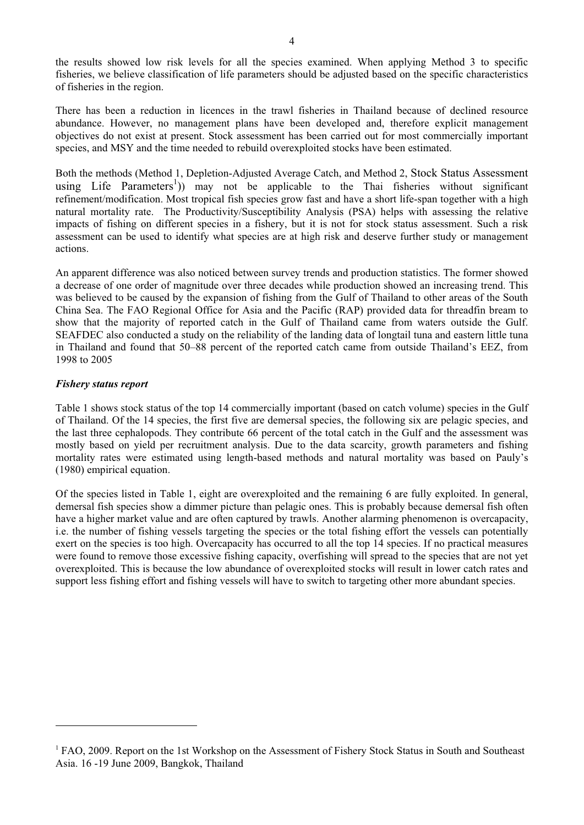the results showed low risk levels for all the species examined. When applying Method 3 to specific fisheries, we believe classification of life parameters should be adjusted based on the specific characteristics of fisheries in the region.

There has been a reduction in licences in the trawl fisheries in Thailand because of declined resource abundance. However, no management plans have been developed and, therefore explicit management objectives do not exist at present. Stock assessment has been carried out for most commercially important species, and MSY and the time needed to rebuild overexploited stocks have been estimated.

Both the methods (Method 1, Depletion-Adjusted Average Catch, and Method 2, Stock Status Assessment using Life Parameters<sup>1</sup>)) may not be applicable to the Thai fisheries without significant refinement/modification. Most tropical fish species grow fast and have a short life-span together with a high natural mortality rate. The Productivity/Susceptibility Analysis (PSA) helps with assessing the relative impacts of fishing on different species in a fishery, but it is not for stock status assessment. Such a risk assessment can be used to identify what species are at high risk and deserve further study or management actions.

An apparent difference was also noticed between survey trends and production statistics. The former showed a decrease of one order of magnitude over three decades while production showed an increasing trend. This was believed to be caused by the expansion of fishing from the Gulf of Thailand to other areas of the South China Sea. The FAO Regional Office for Asia and the Pacific (RAP) provided data for threadfin bream to show that the majority of reported catch in the Gulf of Thailand came from waters outside the Gulf. SEAFDEC also conducted a study on the reliability of the landing data of longtail tuna and eastern little tuna in Thailand and found that 50–88 percent of the reported catch came from outside Thailand's EEZ, from 1998 to 2005

# *Fishery status report*

 $\overline{a}$ 

Table 1 shows stock status of the top 14 commercially important (based on catch volume) species in the Gulf of Thailand. Of the 14 species, the first five are demersal species, the following six are pelagic species, and the last three cephalopods. They contribute 66 percent of the total catch in the Gulf and the assessment was mostly based on yield per recruitment analysis. Due to the data scarcity, growth parameters and fishing mortality rates were estimated using length-based methods and natural mortality was based on Pauly's (1980) empirical equation.

Of the species listed in Table 1, eight are overexploited and the remaining 6 are fully exploited. In general, demersal fish species show a dimmer picture than pelagic ones. This is probably because demersal fish often have a higher market value and are often captured by trawls. Another alarming phenomenon is overcapacity, i.e. the number of fishing vessels targeting the species or the total fishing effort the vessels can potentially exert on the species is too high. Overcapacity has occurred to all the top 14 species. If no practical measures were found to remove those excessive fishing capacity, overfishing will spread to the species that are not yet overexploited. This is because the low abundance of overexploited stocks will result in lower catch rates and support less fishing effort and fishing vessels will have to switch to targeting other more abundant species.

<sup>&</sup>lt;sup>1</sup> FAO, 2009. Report on the 1st Workshop on the Assessment of Fishery Stock Status in South and Southeast Asia. 16 -19 June 2009, Bangkok, Thailand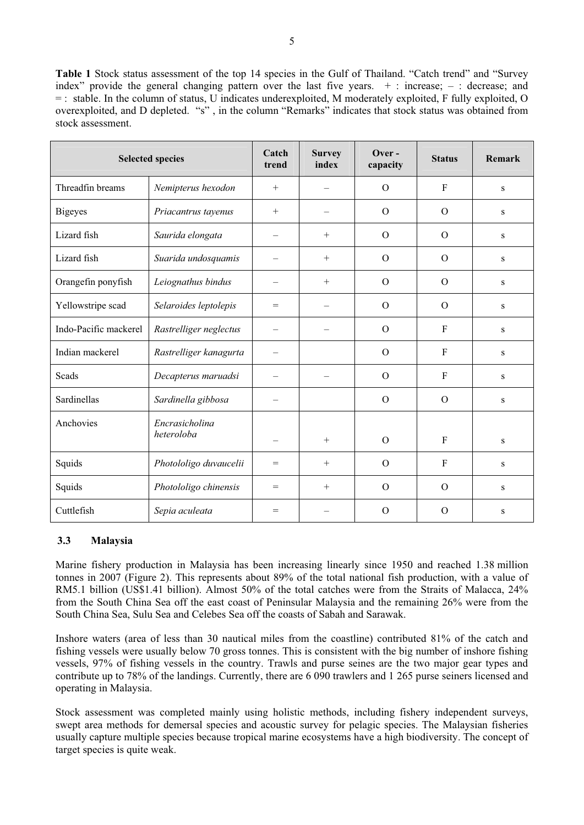**Table 1** Stock status assessment of the top 14 species in the Gulf of Thailand. "Catch trend" and "Survey index" provide the general changing pattern over the last five years.  $+$ : increase; – : decrease; and = : stable. In the column of status, U indicates underexploited, M moderately exploited, F fully exploited, O overexploited, and D depleted. "s" , in the column "Remarks" indicates that stock status was obtained from stock assessment.

| <b>Selected species</b> |                        | Catch<br>trend           | <b>Survey</b><br>index   | Over-<br>capacity | <b>Status</b>  | Remark    |
|-------------------------|------------------------|--------------------------|--------------------------|-------------------|----------------|-----------|
| Threadfin breams        | Nemipterus hexodon     | $+$                      |                          | $\Omega$          | $\mathbf{F}$   | ${\bf S}$ |
| <b>Bigeyes</b>          | Priacantrus tayenus    | $+$                      |                          | $\Omega$          | $\Omega$       | ${\bf S}$ |
| Lizard fish             | Saurida elongata       |                          | $^{+}$                   | $\Omega$          | $\Omega$       | S         |
| Lizard fish             | Suarida undosquamis    |                          | $^{+}$                   | $\Omega$          | $\Omega$       | S         |
| Orangefin ponyfish      | Leiognathus bindus     |                          | $^{+}$                   | $\Omega$          | $\Omega$       | S         |
| Yellowstripe scad       | Selaroides leptolepis  | $=$                      | $\overline{\phantom{0}}$ | $\Omega$          | $\overline{O}$ | ${\bf S}$ |
| Indo-Pacific mackerel   | Rastrelliger neglectus | $\overline{\phantom{0}}$ |                          | $\Omega$          | $\mathbf{F}$   | ${\bf S}$ |
| Indian mackerel         | Rastrelliger kanagurta |                          |                          | $\Omega$          | $\mathbf{F}$   | S         |
| Scads                   | Decapterus maruadsi    |                          |                          | $\overline{O}$    | $\mathbf{F}$   | S         |
| Sardinellas             | Sardinella gibbosa     | -                        |                          | $\Omega$          | $\Omega$       | ${\bf S}$ |
| Anchovies               | Encrasicholina         |                          |                          |                   |                |           |
|                         | heteroloba             | $\overline{\phantom{m}}$ | $+$                      | $\Omega$          | $\mathbf{F}$   | ${\bf S}$ |
| Squids                  | Photololigo duvaucelii | $=$                      | $^{+}$                   | $\Omega$          | $\mathbf{F}$   | ${\bf S}$ |
| Squids                  | Photololigo chinensis  | $=$                      | $^{+}$                   | $\Omega$          | $\overline{O}$ | S         |
| Cuttlefish              | Sepia aculeata         | $=$                      |                          | $\Omega$          | $\Omega$       | ${\bf S}$ |

# **3.3 Malaysia**

Marine fishery production in Malaysia has been increasing linearly since 1950 and reached 1.38 million tonnes in 2007 (Figure 2). This represents about 89% of the total national fish production, with a value of RM5.1 billion (US\$1.41 billion). Almost 50% of the total catches were from the Straits of Malacca, 24% from the South China Sea off the east coast of Peninsular Malaysia and the remaining 26% were from the South China Sea, Sulu Sea and Celebes Sea off the coasts of Sabah and Sarawak.

Inshore waters (area of less than 30 nautical miles from the coastline) contributed 81% of the catch and fishing vessels were usually below 70 gross tonnes. This is consistent with the big number of inshore fishing vessels, 97% of fishing vessels in the country. Trawls and purse seines are the two major gear types and contribute up to 78% of the landings. Currently, there are 6 090 trawlers and 1 265 purse seiners licensed and operating in Malaysia.

Stock assessment was completed mainly using holistic methods, including fishery independent surveys, swept area methods for demersal species and acoustic survey for pelagic species. The Malaysian fisheries usually capture multiple species because tropical marine ecosystems have a high biodiversity. The concept of target species is quite weak.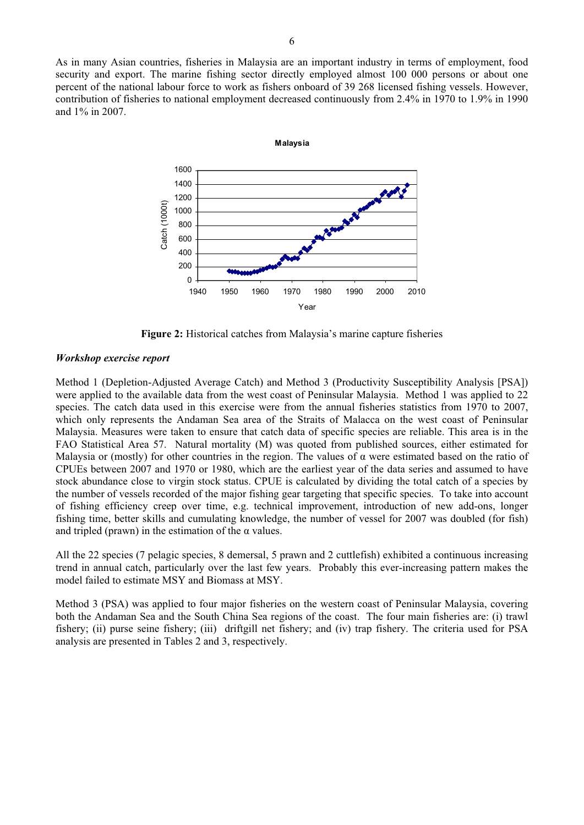As in many Asian countries, fisheries in Malaysia are an important industry in terms of employment, food security and export. The marine fishing sector directly employed almost 100 000 persons or about one percent of the national labour force to work as fishers onboard of 39 268 licensed fishing vessels. However, contribution of fisheries to national employment decreased continuously from 2.4% in 1970 to 1.9% in 1990 and 1% in 2007.



**Figure 2:** Historical catches from Malaysia's marine capture fisheries

#### *Workshop exercise report*

Method 1 (Depletion-Adjusted Average Catch) and Method 3 (Productivity Susceptibility Analysis [PSA]) were applied to the available data from the west coast of Peninsular Malaysia. Method 1 was applied to 22 species. The catch data used in this exercise were from the annual fisheries statistics from 1970 to 2007, which only represents the Andaman Sea area of the Straits of Malacca on the west coast of Peninsular Malaysia. Measures were taken to ensure that catch data of specific species are reliable. This area is in the FAO Statistical Area 57. Natural mortality (M) was quoted from published sources, either estimated for Malaysia or (mostly) for other countries in the region. The values of  $\alpha$  were estimated based on the ratio of CPUEs between 2007 and 1970 or 1980, which are the earliest year of the data series and assumed to have stock abundance close to virgin stock status. CPUE is calculated by dividing the total catch of a species by the number of vessels recorded of the major fishing gear targeting that specific species. To take into account of fishing efficiency creep over time, e.g. technical improvement, introduction of new add-ons, longer fishing time, better skills and cumulating knowledge, the number of vessel for 2007 was doubled (for fish) and tripled (prawn) in the estimation of the  $\alpha$  values.

All the 22 species (7 pelagic species, 8 demersal, 5 prawn and 2 cuttlefish) exhibited a continuous increasing trend in annual catch, particularly over the last few years. Probably this ever-increasing pattern makes the model failed to estimate MSY and Biomass at MSY.

Method 3 (PSA) was applied to four major fisheries on the western coast of Peninsular Malaysia, covering both the Andaman Sea and the South China Sea regions of the coast. The four main fisheries are: (i) trawl fishery; (ii) purse seine fishery; (iii) driftgill net fishery; and (iv) trap fishery. The criteria used for PSA analysis are presented in Tables 2 and 3, respectively.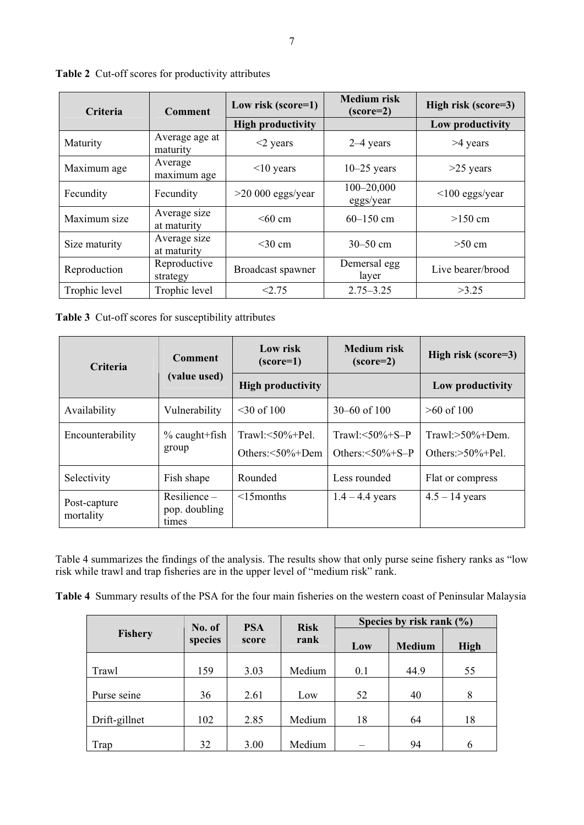| <b>Criteria</b> | Low risk (score=1)<br><b>Comment</b> |                          | <b>Medium risk</b><br>$(score=2)$ | High risk (score=3) |  |
|-----------------|--------------------------------------|--------------------------|-----------------------------------|---------------------|--|
|                 |                                      | <b>High productivity</b> |                                   | Low productivity    |  |
| Maturity        | Average age at<br>maturity           | $<$ 2 years              | $2-4$ years                       | >4 years            |  |
| Maximum age     | Average<br>maximum age               | $<$ 10 years             | $10-25$ years                     | $>25$ years         |  |
| Fecundity       | Fecundity                            | $>20000$ eggs/year       | $100 - 20,000$<br>eggs/year       | $<$ 100 eggs/year   |  |
| Maximum size    | Average size<br>at maturity          | $<60$ cm                 | $60 - 150$ cm                     | $>150$ cm           |  |
| Size maturity   | Average size<br>at maturity          | $<$ 30 cm                | $30 - 50$ cm                      | $>50$ cm            |  |
| Reproduction    | Reproductive<br>strategy             | Broadcast spawner        | Demersal egg<br>layer             | Live bearer/brood   |  |
| Trophic level   | Trophic level                        | < 2.75                   | $2.75 - 3.25$                     | >3.25               |  |

**Table 2** Cut-off scores for productivity attributes

**Table 3** Cut-off scores for susceptibility attributes

| <b>Criteria</b>           | <b>Comment</b>                         | Low risk<br>$(score=1)$                      | <b>Medium</b> risk<br>$(score=2)$                         | High risk (score=3)                         |  |
|---------------------------|----------------------------------------|----------------------------------------------|-----------------------------------------------------------|---------------------------------------------|--|
|                           | (value used)                           | <b>High productivity</b>                     |                                                           | Low productivity                            |  |
| Availability              | Vulnerability                          | $<$ 30 of 100                                | $30 - 60$ of 100                                          | $>60$ of 100                                |  |
| Encounterability          | $\%$ caught+fish<br>group              | Trawl: $\leq 50\% +$ Pel.<br>Others:<50%+Dem | Trawl: $\leq 50\% + S - P$<br>Others: $\leq 50\% + S - P$ | $Trawl:>50\%+Dem.$<br>Others: $>50\%$ +Pel. |  |
| Selectivity               | Fish shape                             | Rounded                                      | Less rounded                                              | Flat or compress                            |  |
| Post-capture<br>mortality | Resilience –<br>pop. doubling<br>times | $<$ 15 months                                | $1.4 - 4.4$ years                                         | $4.5 - 14$ years                            |  |

Table 4 summarizes the findings of the analysis. The results show that only purse seine fishery ranks as "low risk while trawl and trap fisheries are in the upper level of "medium risk" rank.

**Table 4** Summary results of the PSA for the four main fisheries on the western coast of Peninsular Malaysia

|               | No. of           | <b>Risk</b><br><b>PSA</b> |        | Species by risk rank $(\% )$ |               |             |  |
|---------------|------------------|---------------------------|--------|------------------------------|---------------|-------------|--|
| Fishery       | species<br>score |                           | rank   | Low                          | <b>Medium</b> | <b>High</b> |  |
|               |                  |                           |        |                              |               |             |  |
| Trawl         | 159              | 3.03                      | Medium | 0.1                          | 44.9          | 55          |  |
|               |                  |                           |        |                              |               |             |  |
| Purse seine   | 36               | 2.61                      | Low    | 52                           | 40            | 8           |  |
|               |                  |                           |        |                              |               |             |  |
| Drift-gillnet | 102              | 2.85                      | Medium | 18                           | 64            | 18          |  |
|               |                  |                           |        |                              |               |             |  |
| Trap          | 32               | 3.00                      | Medium |                              | 94            | 6           |  |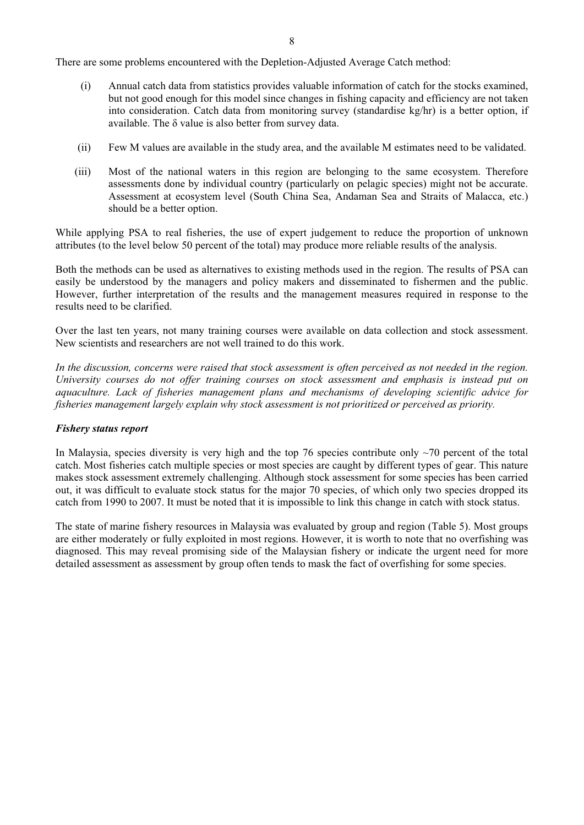There are some problems encountered with the Depletion-Adjusted Average Catch method:

- (i) Annual catch data from statistics provides valuable information of catch for the stocks examined, but not good enough for this model since changes in fishing capacity and efficiency are not taken into consideration. Catch data from monitoring survey (standardise kg/hr) is a better option, if available. The  $\delta$  value is also better from survey data.
- (ii) Few M values are available in the study area, and the available M estimates need to be validated.
- (iii) Most of the national waters in this region are belonging to the same ecosystem. Therefore assessments done by individual country (particularly on pelagic species) might not be accurate. Assessment at ecosystem level (South China Sea, Andaman Sea and Straits of Malacca, etc.) should be a better option.

While applying PSA to real fisheries, the use of expert judgement to reduce the proportion of unknown attributes (to the level below 50 percent of the total) may produce more reliable results of the analysis.

Both the methods can be used as alternatives to existing methods used in the region. The results of PSA can easily be understood by the managers and policy makers and disseminated to fishermen and the public. However, further interpretation of the results and the management measures required in response to the results need to be clarified.

Over the last ten years, not many training courses were available on data collection and stock assessment. New scientists and researchers are not well trained to do this work.

*In the discussion, concerns were raised that stock assessment is often perceived as not needed in the region. University courses do not offer training courses on stock assessment and emphasis is instead put on aquaculture. Lack of fisheries management plans and mechanisms of developing scientific advice for fisheries management largely explain why stock assessment is not prioritized or perceived as priority.* 

# *Fishery status report*

In Malaysia, species diversity is very high and the top 76 species contribute only  $\sim$ 70 percent of the total catch. Most fisheries catch multiple species or most species are caught by different types of gear. This nature makes stock assessment extremely challenging. Although stock assessment for some species has been carried out, it was difficult to evaluate stock status for the major 70 species, of which only two species dropped its catch from 1990 to 2007. It must be noted that it is impossible to link this change in catch with stock status.

The state of marine fishery resources in Malaysia was evaluated by group and region (Table 5). Most groups are either moderately or fully exploited in most regions. However, it is worth to note that no overfishing was diagnosed. This may reveal promising side of the Malaysian fishery or indicate the urgent need for more detailed assessment as assessment by group often tends to mask the fact of overfishing for some species.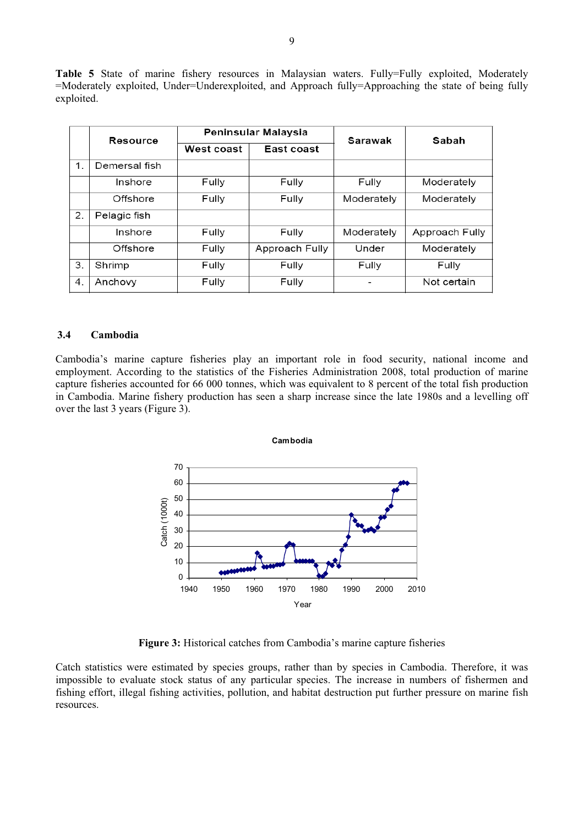**Table 5** State of marine fishery resources in Malaysian waters. Fully=Fully exploited, Moderately =Moderately exploited, Under=Underexploited, and Approach fully=Approaching the state of being fully exploited.

|    | Resource      | Peninsular Malaysia |                | Sarawak    | Sabah          |  |
|----|---------------|---------------------|----------------|------------|----------------|--|
|    |               | West coast          | East coast     |            |                |  |
| 1. | Demersal fish |                     |                |            |                |  |
|    | Inshore       | Fully               | Fully          | Fully      | Moderately     |  |
|    | Offshore      | Fully               | Fully          | Moderately | Moderately     |  |
| 2. | Pelagic fish  |                     |                |            |                |  |
|    | Inshore       | Fully               | Fully          | Moderately | Approach Fully |  |
|    | Offshore      | Fully               | Approach Fully | Under      | Moderately     |  |
| 3. | Shrimp        | Fully               | Fully          | Fully      | Fully          |  |
| 4. | Anchovy       | Fully               | Fully          |            | Not certain    |  |

#### **3.4 Cambodia**

Cambodia's marine capture fisheries play an important role in food security, national income and employment. According to the statistics of the Fisheries Administration 2008, total production of marine capture fisheries accounted for 66 000 tonnes, which was equivalent to 8 percent of the total fish production in Cambodia. Marine fishery production has seen a sharp increase since the late 1980s and a levelling off over the last 3 years (Figure 3).



**Figure 3:** Historical catches from Cambodia's marine capture fisheries

Catch statistics were estimated by species groups, rather than by species in Cambodia. Therefore, it was impossible to evaluate stock status of any particular species. The increase in numbers of fishermen and fishing effort, illegal fishing activities, pollution, and habitat destruction put further pressure on marine fish resources.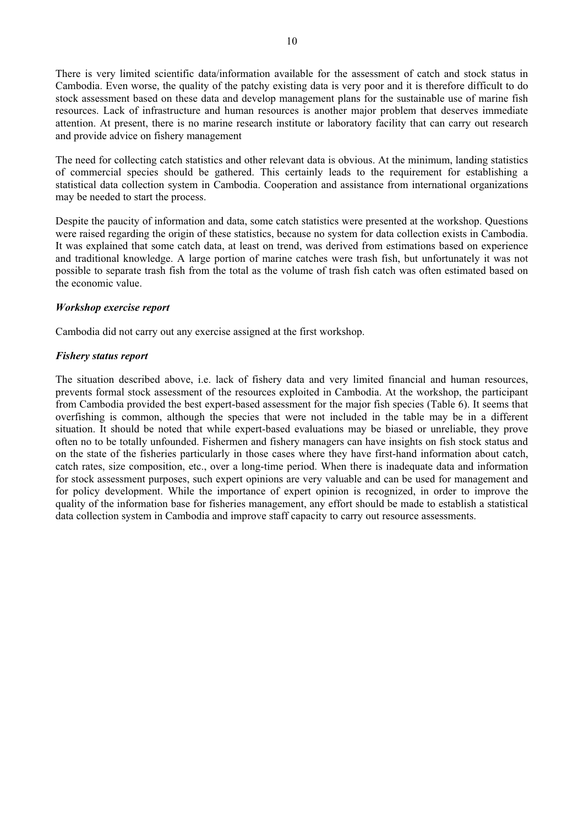There is very limited scientific data/information available for the assessment of catch and stock status in Cambodia. Even worse, the quality of the patchy existing data is very poor and it is therefore difficult to do stock assessment based on these data and develop management plans for the sustainable use of marine fish resources. Lack of infrastructure and human resources is another major problem that deserves immediate attention. At present, there is no marine research institute or laboratory facility that can carry out research and provide advice on fishery management

The need for collecting catch statistics and other relevant data is obvious. At the minimum, landing statistics of commercial species should be gathered. This certainly leads to the requirement for establishing a statistical data collection system in Cambodia. Cooperation and assistance from international organizations may be needed to start the process.

Despite the paucity of information and data, some catch statistics were presented at the workshop. Questions were raised regarding the origin of these statistics, because no system for data collection exists in Cambodia. It was explained that some catch data, at least on trend, was derived from estimations based on experience and traditional knowledge. A large portion of marine catches were trash fish, but unfortunately it was not possible to separate trash fish from the total as the volume of trash fish catch was often estimated based on the economic value.

# *Workshop exercise report*

Cambodia did not carry out any exercise assigned at the first workshop.

#### *Fishery status report*

The situation described above, i.e. lack of fishery data and very limited financial and human resources, prevents formal stock assessment of the resources exploited in Cambodia. At the workshop, the participant from Cambodia provided the best expert-based assessment for the major fish species (Table 6). It seems that overfishing is common, although the species that were not included in the table may be in a different situation. It should be noted that while expert-based evaluations may be biased or unreliable, they prove often no to be totally unfounded. Fishermen and fishery managers can have insights on fish stock status and on the state of the fisheries particularly in those cases where they have first-hand information about catch, catch rates, size composition, etc., over a long-time period. When there is inadequate data and information for stock assessment purposes, such expert opinions are very valuable and can be used for management and for policy development. While the importance of expert opinion is recognized, in order to improve the quality of the information base for fisheries management, any effort should be made to establish a statistical data collection system in Cambodia and improve staff capacity to carry out resource assessments.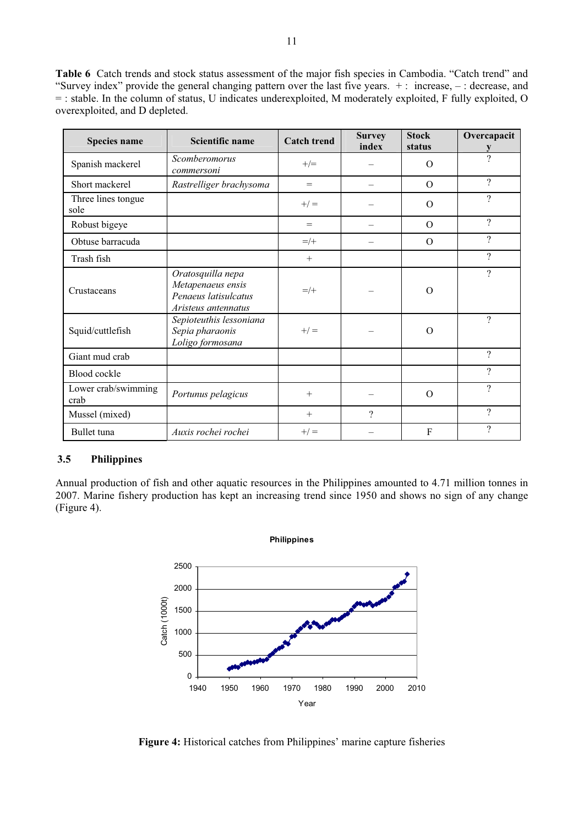**Table 6** Catch trends and stock status assessment of the major fish species in Cambodia. "Catch trend" and "Survey index" provide the general changing pattern over the last five years. + : increase, – : decrease, and = : stable. In the column of status, U indicates underexploited, M moderately exploited, F fully exploited, O overexploited, and D depleted.

| Species name                | Scientific name                                                                       | <b>Catch trend</b> | <b>Survey</b><br>index | <b>Stock</b><br>status | Overcapacit              |
|-----------------------------|---------------------------------------------------------------------------------------|--------------------|------------------------|------------------------|--------------------------|
| Spanish mackerel            | Scomberomorus<br>commersoni                                                           | $+/-$              |                        | $\Omega$               | ?                        |
| Short mackerel              | Rastrelliger brachysoma                                                               | $=$                |                        | $\Omega$               | ?                        |
| Three lines tongue<br>sole  |                                                                                       | $+/-$              |                        | $\Omega$               | ?                        |
| Robust bigeye               |                                                                                       | $=$                |                        | $\Omega$               | $\overline{\mathcal{L}}$ |
| Obtuse barracuda            |                                                                                       | $=$ /+             |                        | $\Omega$               | ?                        |
| Trash fish                  |                                                                                       | $+$                |                        |                        | ?                        |
| Crustaceans                 | Oratosquilla nepa<br>Metapenaeus ensis<br>Penaeus latisulcatus<br>Aristeus antennatus | $=$ /+             |                        | $\Omega$               | ?                        |
| Squid/cuttlefish            | Sepioteuthis lessoniana<br>Sepia pharaonis<br>Loligo formosana                        | $+/-$              |                        | $\Omega$               | ?                        |
| Giant mud crab              |                                                                                       |                    |                        |                        | $\gamma$                 |
| Blood cockle                |                                                                                       |                    |                        |                        | ?                        |
| Lower crab/swimming<br>crab | Portunus pelagicus                                                                    | $+$                |                        | $\Omega$               | $\gamma$                 |
| Mussel (mixed)              |                                                                                       | $+$                | $\gamma$               |                        | $\gamma$                 |
| Bullet tuna                 | Auxis rochei rochei                                                                   | $+/-$              |                        | F                      | ?                        |

# **3.5 Philippines**

Annual production of fish and other aquatic resources in the Philippines amounted to 4.71 million tonnes in 2007. Marine fishery production has kept an increasing trend since 1950 and shows no sign of any change (Figure 4).



**Figure 4:** Historical catches from Philippines' marine capture fisheries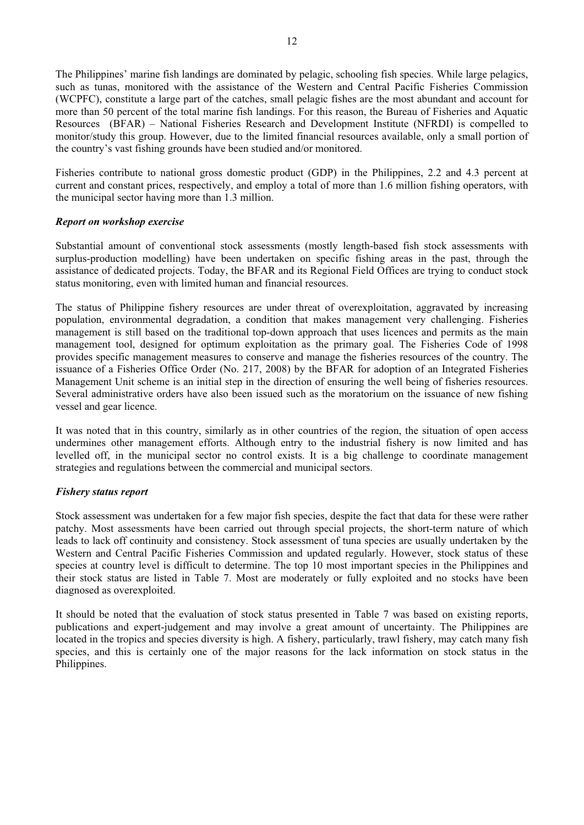The Philippines' marine fish landings are dominated by pelagic, schooling fish species. While large pelagics, such as tunas, monitored with the assistance of the Western and Central Pacific Fisheries Commission (WCPFC), constitute a large part of the catches, small pelagic fishes are the most abundant and account for more than 50 percent of the total marine fish landings. For this reason, the Bureau of Fisheries and Aquatic Resources (BFAR) – National Fisheries Research and Development Institute (NFRDI) is compelled to monitor/study this group. However, due to the limited financial resources available, only a small portion of the country's vast fishing grounds have been studied and/or monitored.

Fisheries contribute to national gross domestic product (GDP) in the Philippines, 2.2 and 4.3 percent at current and constant prices, respectively, and employ a total of more than 1.6 million fishing operators, with the municipal sector having more than 1.3 million.

# *Report on workshop exercise*

Substantial amount of conventional stock assessments (mostly length-based fish stock assessments with surplus-production modelling) have been undertaken on specific fishing areas in the past, through the assistance of dedicated projects. Today, the BFAR and its Regional Field Offices are trying to conduct stock status monitoring, even with limited human and financial resources.

The status of Philippine fishery resources are under threat of overexploitation, aggravated by increasing population, environmental degradation, a condition that makes management very challenging. Fisheries management is still based on the traditional top-down approach that uses licences and permits as the main management tool, designed for optimum exploitation as the primary goal. The Fisheries Code of 1998 provides specific management measures to conserve and manage the fisheries resources of the country. The issuance of a Fisheries Office Order (No. 217, 2008) by the BFAR for adoption of an Integrated Fisheries Management Unit scheme is an initial step in the direction of ensuring the well being of fisheries resources. Several administrative orders have also been issued such as the moratorium on the issuance of new fishing vessel and gear licence.

It was noted that in this country, similarly as in other countries of the region, the situation of open access undermines other management efforts. Although entry to the industrial fishery is now limited and has levelled off, in the municipal sector no control exists. It is a big challenge to coordinate management strategies and regulations between the commercial and municipal sectors.

# *Fishery status report*

Stock assessment was undertaken for a few major fish species, despite the fact that data for these were rather patchy. Most assessments have been carried out through special projects, the short-term nature of which leads to lack off continuity and consistency. Stock assessment of tuna species are usually undertaken by the Western and Central Pacific Fisheries Commission and updated regularly. However, stock status of these species at country level is difficult to determine. The top 10 most important species in the Philippines and their stock status are listed in Table 7. Most are moderately or fully exploited and no stocks have been diagnosed as overexploited.

It should be noted that the evaluation of stock status presented in Table 7 was based on existing reports, publications and expert-judgement and may involve a great amount of uncertainty. The Philippines are located in the tropics and species diversity is high. A fishery, particularly, trawl fishery, may catch many fish species, and this is certainly one of the major reasons for the lack information on stock status in the Philippines.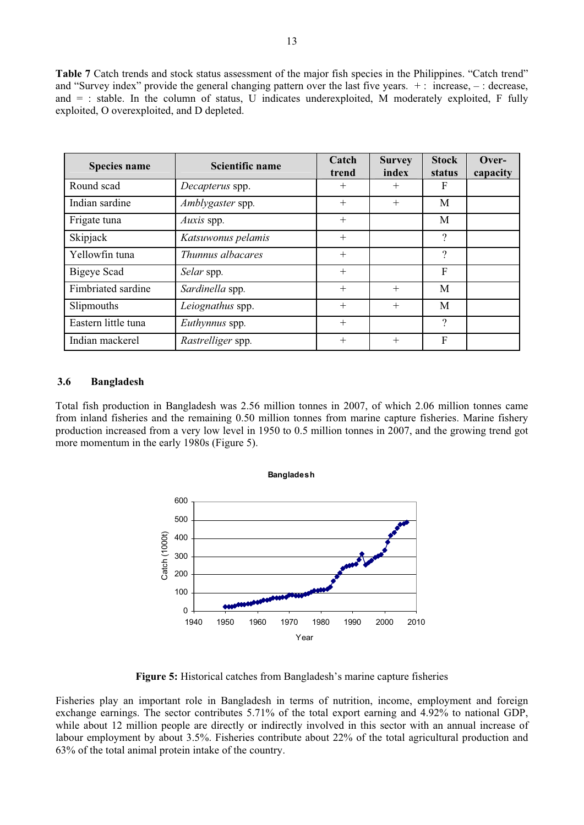**Table 7** Catch trends and stock status assessment of the major fish species in the Philippines. "Catch trend" and "Survey index" provide the general changing pattern over the last five years. + : increase, – : decrease, and = : stable. In the column of status, U indicates underexploited, M moderately exploited, F fully exploited, O overexploited, and D depleted.

| <b>Species name</b> | Scientific name    | Catch<br>trend | <b>Survey</b><br>index | <b>Stock</b><br>status | Over-<br>capacity |
|---------------------|--------------------|----------------|------------------------|------------------------|-------------------|
| Round scad          | Decapterus spp.    | $^{+}$         | $^{+}$                 | F                      |                   |
| Indian sardine      | Amblygaster spp.   | $^{+}$         | $^{+}$                 | M                      |                   |
| Frigate tuna        | Auxis spp.         | $^{+}$         |                        | M                      |                   |
| Skipjack            | Katsuwonus pelamis | $^{+}$         |                        | $\overline{\cdot}$     |                   |
| Yellowfin tuna      | Thunnus albacares  | $^{+}$         |                        | $\overline{\cdot}$     |                   |
| Bigeye Scad         | Selar spp.         | $^{+}$         |                        | F                      |                   |
| Fimbriated sardine  | Sardinella spp.    | $^{+}$         | $+$                    | M                      |                   |
| Slipmouths          | Leiognathus spp.   | $^{+}$         | $+$                    | M                      |                   |
| Eastern little tuna | Euthynnus spp.     | $+$            |                        | $\overline{\cdot}$     |                   |
| Indian mackerel     | Rastrelliger spp.  | $^{+}$         | $^{+}$                 | $\boldsymbol{F}$       |                   |

#### **3.6 Bangladesh**

Total fish production in Bangladesh was 2.56 million tonnes in 2007, of which 2.06 million tonnes came from inland fisheries and the remaining 0.50 million tonnes from marine capture fisheries. Marine fishery production increased from a very low level in 1950 to 0.5 million tonnes in 2007, and the growing trend got more momentum in the early 1980s (Figure 5).



**Figure 5:** Historical catches from Bangladesh's marine capture fisheries

Fisheries play an important role in Bangladesh in terms of nutrition, income, employment and foreign exchange earnings. The sector contributes 5.71% of the total export earning and 4.92% to national GDP, while about 12 million people are directly or indirectly involved in this sector with an annual increase of labour employment by about 3.5%. Fisheries contribute about 22% of the total agricultural production and 63% of the total animal protein intake of the country.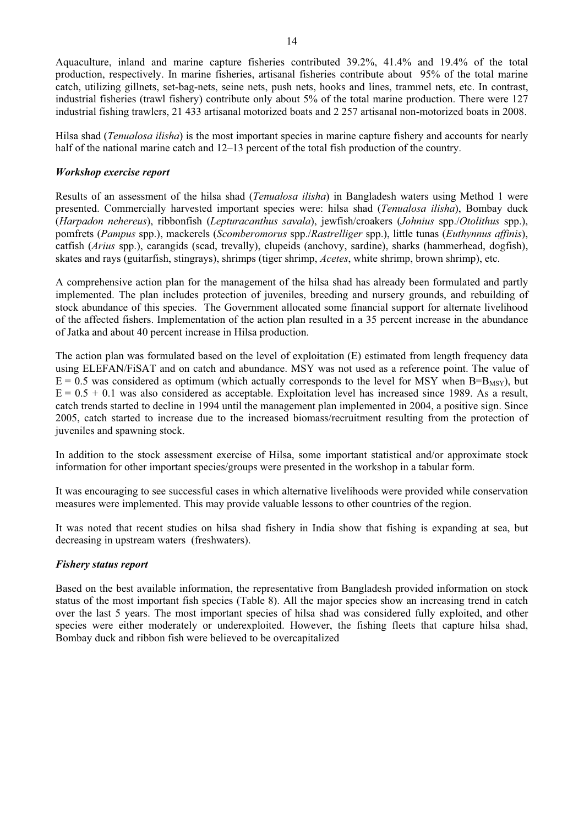Aquaculture, inland and marine capture fisheries contributed 39.2%, 41.4% and 19.4% of the total production, respectively. In marine fisheries, artisanal fisheries contribute about 95% of the total marine catch, utilizing gillnets, set-bag-nets, seine nets, push nets, hooks and lines, trammel nets, etc. In contrast, industrial fisheries (trawl fishery) contribute only about 5% of the total marine production. There were 127 industrial fishing trawlers, 21 433 artisanal motorized boats and 2 257 artisanal non-motorized boats in 2008.

Hilsa shad (*Tenualosa ilisha*) is the most important species in marine capture fishery and accounts for nearly half of the national marine catch and 12–13 percent of the total fish production of the country.

#### *Workshop exercise report*

Results of an assessment of the hilsa shad (*Tenualosa ilisha*) in Bangladesh waters using Method 1 were presented. Commercially harvested important species were: hilsa shad (*Tenualosa ilisha*), Bombay duck (*Harpadon nehereus*), ribbonfish (*Lepturacanthus savala*), jewfish/croakers (*Johnius* spp./*Otolithus* spp.), pomfrets (*Pampus* spp.), mackerels (*Scomberomorus* spp./*Rastrelliger* spp.), little tunas (*Euthynnus affinis*), catfish (*Arius* spp.), carangids (scad, trevally), clupeids (anchovy, sardine), sharks (hammerhead, dogfish), skates and rays (guitarfish, stingrays), shrimps (tiger shrimp, *Acetes*, white shrimp, brown shrimp), etc.

A comprehensive action plan for the management of the hilsa shad has already been formulated and partly implemented. The plan includes protection of juveniles, breeding and nursery grounds, and rebuilding of stock abundance of this species. The Government allocated some financial support for alternate livelihood of the affected fishers. Implementation of the action plan resulted in a 35 percent increase in the abundance of Jatka and about 40 percent increase in Hilsa production.

The action plan was formulated based on the level of exploitation (E) estimated from length frequency data using ELEFAN/FiSAT and on catch and abundance. MSY was not used as a reference point. The value of  $E = 0.5$  was considered as optimum (which actually corresponds to the level for MSY when B=B<sub>MSY</sub>), but  $E = 0.5 + 0.1$  was also considered as acceptable. Exploitation level has increased since 1989. As a result, catch trends started to decline in 1994 until the management plan implemented in 2004, a positive sign. Since 2005, catch started to increase due to the increased biomass/recruitment resulting from the protection of juveniles and spawning stock.

In addition to the stock assessment exercise of Hilsa, some important statistical and/or approximate stock information for other important species/groups were presented in the workshop in a tabular form.

It was encouraging to see successful cases in which alternative livelihoods were provided while conservation measures were implemented. This may provide valuable lessons to other countries of the region.

It was noted that recent studies on hilsa shad fishery in India show that fishing is expanding at sea, but decreasing in upstream waters (freshwaters).

#### *Fishery status report*

Based on the best available information, the representative from Bangladesh provided information on stock status of the most important fish species (Table 8). All the major species show an increasing trend in catch over the last 5 years. The most important species of hilsa shad was considered fully exploited, and other species were either moderately or underexploited. However, the fishing fleets that capture hilsa shad, Bombay duck and ribbon fish were believed to be overcapitalized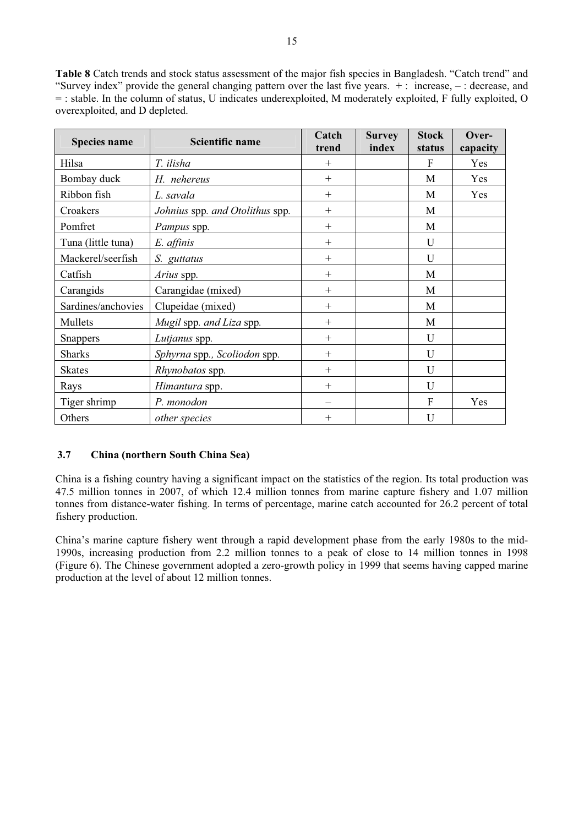**Table 8** Catch trends and stock status assessment of the major fish species in Bangladesh. "Catch trend" and "Survey index" provide the general changing pattern over the last five years. + : increase, – : decrease, and = : stable. In the column of status, U indicates underexploited, M moderately exploited, F fully exploited, O overexploited, and D depleted.

| <b>Species name</b> | Scientific name                 |        | <b>Survey</b> | <b>Stock</b> | Over-    |
|---------------------|---------------------------------|--------|---------------|--------------|----------|
|                     |                                 | trend  | index         | status       | capacity |
| Hilsa               | T. ilisha                       | $^{+}$ |               | F            | Yes      |
| Bombay duck         | H. nehereus                     | $^{+}$ |               | M            | Yes      |
| Ribbon fish         | L. savala                       | $^{+}$ |               | M            | Yes      |
| Croakers            | Johnius spp. and Otolithus spp. | $^{+}$ |               | M            |          |
| Pomfret             | Pampus spp.                     | $+$    |               | M            |          |
| Tuna (little tuna)  | E. affinis                      | $^{+}$ |               | U            |          |
| Mackerel/seerfish   | S. guttatus                     | $^{+}$ |               | U            |          |
| Catfish             | Arius spp.                      | $^{+}$ |               | M            |          |
| Carangids           | Carangidae (mixed)              | $+$    |               | M            |          |
| Sardines/anchovies  | Clupeidae (mixed)               | $^{+}$ |               | M            |          |
| Mullets             | Mugil spp. and Liza spp.        | $^{+}$ |               | M            |          |
| <b>Snappers</b>     | Lutjanus spp.                   | $^{+}$ |               | U            |          |
| <b>Sharks</b>       | Sphyrna spp., Scoliodon spp.    | $+$    |               | U            |          |
| <b>Skates</b>       | Rhynobatos spp.                 | $^{+}$ |               | U            |          |
| Rays                | Himantura spp.                  | $^{+}$ |               | U            |          |
| Tiger shrimp        | P. monodon                      |        |               | F            | Yes      |
| Others              | <i>other species</i>            | $^{+}$ |               | U            |          |

# **3.7 China (northern South China Sea)**

China is a fishing country having a significant impact on the statistics of the region. Its total production was 47.5 million tonnes in 2007, of which 12.4 million tonnes from marine capture fishery and 1.07 million tonnes from distance-water fishing. In terms of percentage, marine catch accounted for 26.2 percent of total fishery production.

China's marine capture fishery went through a rapid development phase from the early 1980s to the mid-1990s, increasing production from 2.2 million tonnes to a peak of close to 14 million tonnes in 1998 (Figure 6). The Chinese government adopted a zero-growth policy in 1999 that seems having capped marine production at the level of about 12 million tonnes.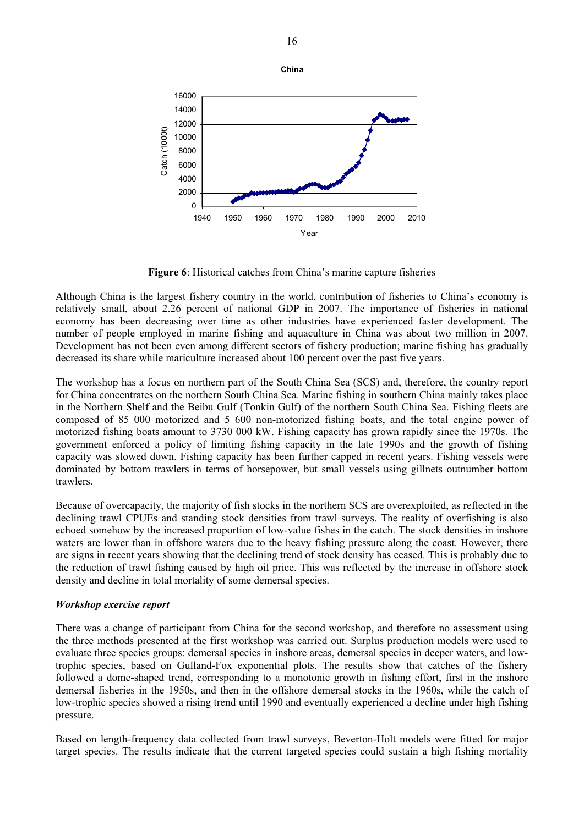

**Figure 6**: Historical catches from China's marine capture fisheries

Although China is the largest fishery country in the world, contribution of fisheries to China's economy is relatively small, about 2.26 percent of national GDP in 2007. The importance of fisheries in national economy has been decreasing over time as other industries have experienced faster development. The number of people employed in marine fishing and aquaculture in China was about two million in 2007. Development has not been even among different sectors of fishery production; marine fishing has gradually decreased its share while mariculture increased about 100 percent over the past five years.

The workshop has a focus on northern part of the South China Sea (SCS) and, therefore, the country report for China concentrates on the northern South China Sea. Marine fishing in southern China mainly takes place in the Northern Shelf and the Beibu Gulf (Tonkin Gulf) of the northern South China Sea. Fishing fleets are composed of 85 000 motorized and 5 600 non-motorized fishing boats, and the total engine power of motorized fishing boats amount to 3730 000 kW. Fishing capacity has grown rapidly since the 1970s. The government enforced a policy of limiting fishing capacity in the late 1990s and the growth of fishing capacity was slowed down. Fishing capacity has been further capped in recent years. Fishing vessels were dominated by bottom trawlers in terms of horsepower, but small vessels using gillnets outnumber bottom trawlers.

Because of overcapacity, the majority of fish stocks in the northern SCS are overexploited, as reflected in the declining trawl CPUEs and standing stock densities from trawl surveys. The reality of overfishing is also echoed somehow by the increased proportion of low-value fishes in the catch. The stock densities in inshore waters are lower than in offshore waters due to the heavy fishing pressure along the coast. However, there are signs in recent years showing that the declining trend of stock density has ceased. This is probably due to the reduction of trawl fishing caused by high oil price. This was reflected by the increase in offshore stock density and decline in total mortality of some demersal species.

# *Workshop exercise report*

There was a change of participant from China for the second workshop, and therefore no assessment using the three methods presented at the first workshop was carried out. Surplus production models were used to evaluate three species groups: demersal species in inshore areas, demersal species in deeper waters, and lowtrophic species, based on Gulland-Fox exponential plots. The results show that catches of the fishery followed a dome-shaped trend, corresponding to a monotonic growth in fishing effort, first in the inshore demersal fisheries in the 1950s, and then in the offshore demersal stocks in the 1960s, while the catch of low-trophic species showed a rising trend until 1990 and eventually experienced a decline under high fishing pressure.

Based on length-frequency data collected from trawl surveys, Beverton-Holt models were fitted for major target species. The results indicate that the current targeted species could sustain a high fishing mortality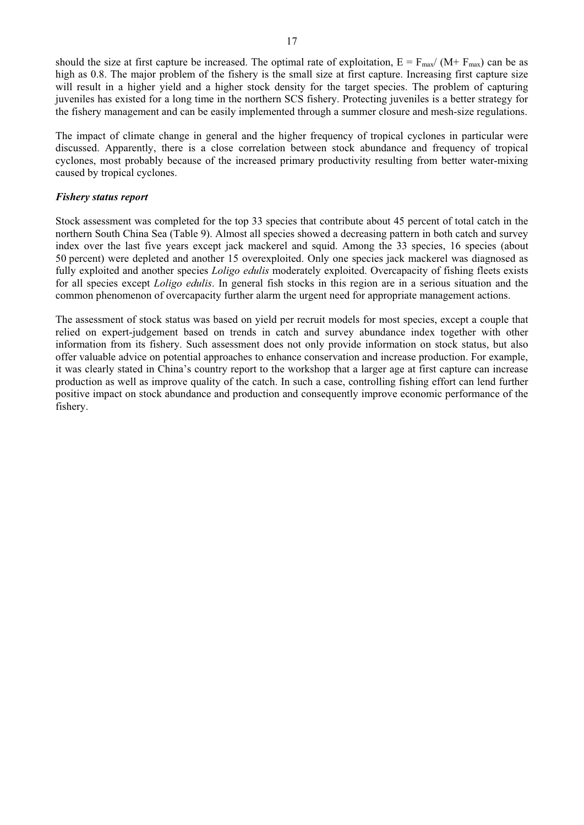should the size at first capture be increased. The optimal rate of exploitation,  $E = F_{\text{max}}/(M + F_{\text{max}})$  can be as high as 0.8. The major problem of the fishery is the small size at first capture. Increasing first capture size will result in a higher yield and a higher stock density for the target species. The problem of capturing juveniles has existed for a long time in the northern SCS fishery. Protecting juveniles is a better strategy for the fishery management and can be easily implemented through a summer closure and mesh-size regulations.

The impact of climate change in general and the higher frequency of tropical cyclones in particular were discussed. Apparently, there is a close correlation between stock abundance and frequency of tropical cyclones, most probably because of the increased primary productivity resulting from better water-mixing caused by tropical cyclones.

#### *Fishery status report*

Stock assessment was completed for the top 33 species that contribute about 45 percent of total catch in the northern South China Sea (Table 9). Almost all species showed a decreasing pattern in both catch and survey index over the last five years except jack mackerel and squid. Among the 33 species, 16 species (about 50 percent) were depleted and another 15 overexploited. Only one species jack mackerel was diagnosed as fully exploited and another species *Loligo edulis* moderately exploited. Overcapacity of fishing fleets exists for all species except *Loligo edulis*. In general fish stocks in this region are in a serious situation and the common phenomenon of overcapacity further alarm the urgent need for appropriate management actions.

The assessment of stock status was based on yield per recruit models for most species, except a couple that relied on expert-judgement based on trends in catch and survey abundance index together with other information from its fishery. Such assessment does not only provide information on stock status, but also offer valuable advice on potential approaches to enhance conservation and increase production. For example, it was clearly stated in China's country report to the workshop that a larger age at first capture can increase production as well as improve quality of the catch. In such a case, controlling fishing effort can lend further positive impact on stock abundance and production and consequently improve economic performance of the fishery.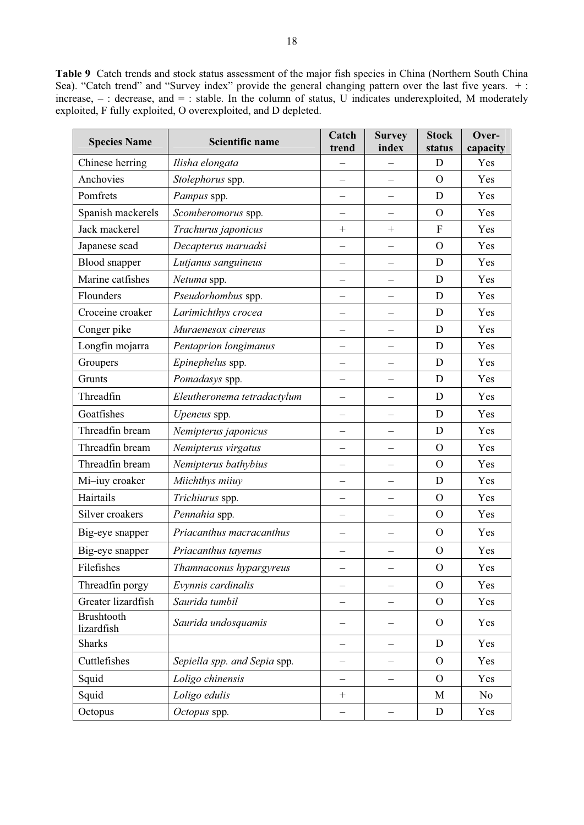**Table 9** Catch trends and stock status assessment of the major fish species in China (Northern South China Sea). "Catch trend" and "Survey index" provide the general changing pattern over the last five years. +: increase,  $-$ : decrease, and  $=$ : stable. In the column of status, U indicates underexploited, M moderately exploited, F fully exploited, O overexploited, and D depleted.

| <b>Species Name</b>             | <b>Scientific name</b>       | Catch<br>trend           | <b>Survey</b><br>index   | <b>Stock</b><br>status | Over-<br>capacity |
|---------------------------------|------------------------------|--------------------------|--------------------------|------------------------|-------------------|
| Chinese herring                 | Ilisha elongata              |                          |                          | D                      | Yes               |
| Anchovies                       | Stolephorus spp.             |                          |                          | $\Omega$               | Yes               |
| Pomfrets                        | Pampus spp.                  | $\overline{\phantom{0}}$ |                          | D                      | Yes               |
| Spanish mackerels               | Scomberomorus spp.           |                          |                          | $\mathbf{O}$           | Yes               |
| Jack mackerel                   | Trachurus japonicus          | $+$                      | $^{+}$                   | $\mathbf{F}$           | Yes               |
| Japanese scad                   | Decapterus maruadsi          |                          |                          | $\Omega$               | Yes               |
| <b>Blood</b> snapper            | Lutjanus sanguineus          |                          |                          | D                      | Yes               |
| Marine catfishes                | Netuma spp.                  |                          |                          | D                      | Yes               |
| Flounders                       | Pseudorhombus spp.           | $\overline{\phantom{0}}$ | $\overline{\phantom{0}}$ | D                      | Yes               |
| Croceine croaker                | Larimichthys crocea          |                          |                          | D                      | Yes               |
| Conger pike                     | Muraenesox cinereus          | $\overline{\phantom{0}}$ | $\overline{\phantom{0}}$ | D                      | Yes               |
| Longfin mojarra                 | Pentaprion longimanus        |                          |                          | D                      | Yes               |
| Groupers                        | Epinephelus spp.             |                          |                          | D                      | Yes               |
| Grunts                          | Pomadasys spp.               |                          |                          | D                      | Yes               |
| Threadfin                       | Eleutheronema tetradactylum  | $\overline{\phantom{0}}$ | $\overline{\phantom{0}}$ | D                      | Yes               |
| Goatfishes                      | Upeneus spp.                 |                          |                          | D                      | Yes               |
| Threadfin bream                 | Nemipterus japonicus         | $\overline{\phantom{0}}$ | $\overline{\phantom{0}}$ | D                      | Yes               |
| Threadfin bream                 | Nemipterus virgatus          |                          |                          | $\Omega$               | Yes               |
| Threadfin bream                 | Nemipterus bathybius         |                          |                          | $\Omega$               | Yes               |
| Mi-iuy croaker                  | Miichthys miiuy              |                          |                          | D                      | Yes               |
| Hairtails                       | Trichiurus spp.              |                          |                          | $\Omega$               | Yes               |
| Silver croakers                 | Pennahia spp.                |                          |                          | $\Omega$               | Yes               |
| Big-eye snapper                 | Priacanthus macracanthus     |                          |                          | $\Omega$               | Yes               |
| Big-eye snapper                 | Priacanthus tayenus          |                          |                          | $\rm{O}$               | Yes               |
| Filefishes                      | Thamnaconus hypargyreus      |                          |                          | $\mathbf O$            | Yes               |
| Threadfin porgy                 | Evynnis cardinalis           |                          |                          | $\Omega$               | Yes               |
| Greater lizardfish              | Saurida tumbil               |                          |                          | $\mathcal{O}$          | Yes               |
| <b>Brushtooth</b><br>lizardfish | Saurida undosquamis          |                          |                          | $\mathbf{O}$           | Yes               |
| <b>Sharks</b>                   |                              |                          |                          | D                      | Yes               |
| Cuttlefishes                    | Sepiella spp. and Sepia spp. |                          |                          | $\Omega$               | Yes               |
| Squid                           | Loligo chinensis             |                          |                          | $\Omega$               | Yes               |
| Squid                           | Loligo edulis                | $^{+}$                   |                          | M                      | No                |
| Octopus                         | Octopus spp.                 | -                        | $\qquad \qquad -$        | D                      | Yes               |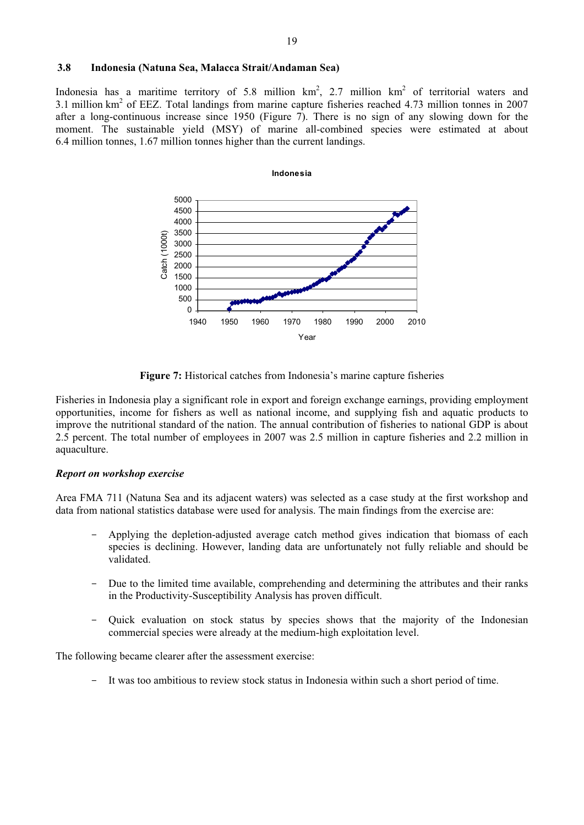#### **3.8 Indonesia (Natuna Sea, Malacca Strait/Andaman Sea)**

Indonesia has a maritime territory of 5.8 million  $km^2$ , 2.7 million  $km^2$  of territorial waters and 3.1 million  $km^2$  of EEZ. Total landings from marine capture fisheries reached 4.73 million tonnes in 2007 after a long-continuous increase since 1950 (Figure 7). There is no sign of any slowing down for the moment. The sustainable yield (MSY) of marine all-combined species were estimated at about 6.4 million tonnes, 1.67 million tonnes higher than the current landings.



**Figure 7:** Historical catches from Indonesia's marine capture fisheries

Fisheries in Indonesia play a significant role in export and foreign exchange earnings, providing employment opportunities, income for fishers as well as national income, and supplying fish and aquatic products to improve the nutritional standard of the nation. The annual contribution of fisheries to national GDP is about 2.5 percent. The total number of employees in 2007 was 2.5 million in capture fisheries and 2.2 million in aquaculture.

#### *Report on workshop exercise*

Area FMA 711 (Natuna Sea and its adjacent waters) was selected as a case study at the first workshop and data from national statistics database were used for analysis. The main findings from the exercise are:

- Applying the depletion-adjusted average catch method gives indication that biomass of each species is declining. However, landing data are unfortunately not fully reliable and should be validated.
- Due to the limited time available, comprehending and determining the attributes and their ranks in the Productivity-Susceptibility Analysis has proven difficult.
- Quick evaluation on stock status by species shows that the majority of the Indonesian commercial species were already at the medium-high exploitation level.

The following became clearer after the assessment exercise:

It was too ambitious to review stock status in Indonesia within such a short period of time.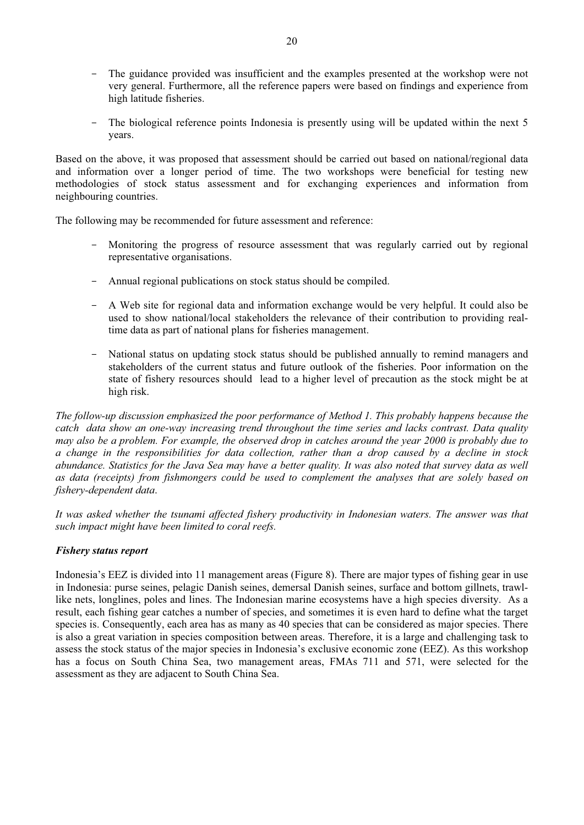- The guidance provided was insufficient and the examples presented at the workshop were not very general. Furthermore, all the reference papers were based on findings and experience from high latitude fisheries.
- The biological reference points Indonesia is presently using will be updated within the next 5 years.

Based on the above, it was proposed that assessment should be carried out based on national/regional data and information over a longer period of time. The two workshops were beneficial for testing new methodologies of stock status assessment and for exchanging experiences and information from neighbouring countries.

The following may be recommended for future assessment and reference:

- Monitoring the progress of resource assessment that was regularly carried out by regional representative organisations.
- Annual regional publications on stock status should be compiled.
- A Web site for regional data and information exchange would be very helpful. It could also be used to show national/local stakeholders the relevance of their contribution to providing realtime data as part of national plans for fisheries management.
- National status on updating stock status should be published annually to remind managers and stakeholders of the current status and future outlook of the fisheries. Poor information on the state of fishery resources should lead to a higher level of precaution as the stock might be at high risk.

*The follow-up discussion emphasized the poor performance of Method 1. This probably happens because the catch data show an one-way increasing trend throughout the time series and lacks contrast. Data quality may also be a problem. For example, the observed drop in catches around the year 2000 is probably due to a change in the responsibilities for data collection, rather than a drop caused by a decline in stock abundance. Statistics for the Java Sea may have a better quality. It was also noted that survey data as well as data (receipts) from fishmongers could be used to complement the analyses that are solely based on fishery-dependent data*.

*It was asked whether the tsunami affected fishery productivity in Indonesian waters. The answer was that such impact might have been limited to coral reefs.* 

# *Fishery status report*

Indonesia's EEZ is divided into 11 management areas (Figure 8). There are major types of fishing gear in use in Indonesia: purse seines, pelagic Danish seines, demersal Danish seines, surface and bottom gillnets, trawllike nets, longlines, poles and lines. The Indonesian marine ecosystems have a high species diversity. As a result, each fishing gear catches a number of species, and sometimes it is even hard to define what the target species is. Consequently, each area has as many as 40 species that can be considered as major species. There is also a great variation in species composition between areas. Therefore, it is a large and challenging task to assess the stock status of the major species in Indonesia's exclusive economic zone (EEZ). As this workshop has a focus on South China Sea, two management areas, FMAs 711 and 571, were selected for the assessment as they are adjacent to South China Sea.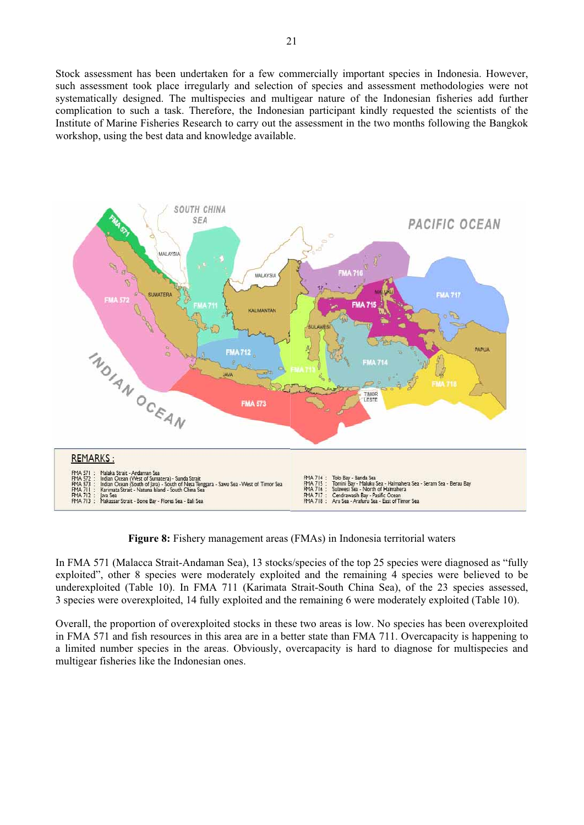Stock assessment has been undertaken for a few commercially important species in Indonesia. However, such assessment took place irregularly and selection of species and assessment methodologies were not systematically designed. The multispecies and multigear nature of the Indonesian fisheries add further complication to such a task. Therefore, the Indonesian participant kindly requested the scientists of the Institute of Marine Fisheries Research to carry out the assessment in the two months following the Bangkok workshop, using the best data and knowledge available.



**Figure 8:** Fishery management areas (FMAs) in Indonesia territorial waters

In FMA 571 (Malacca Strait-Andaman Sea), 13 stocks/species of the top 25 species were diagnosed as "fully exploited", other 8 species were moderately exploited and the remaining 4 species were believed to be underexploited (Table 10). In FMA 711 (Karimata Strait-South China Sea), of the 23 species assessed, 3 species were overexploited, 14 fully exploited and the remaining 6 were moderately exploited (Table 10).

Overall, the proportion of overexploited stocks in these two areas is low. No species has been overexploited in FMA 571 and fish resources in this area are in a better state than FMA 711. Overcapacity is happening to a limited number species in the areas. Obviously, overcapacity is hard to diagnose for multispecies and multigear fisheries like the Indonesian ones.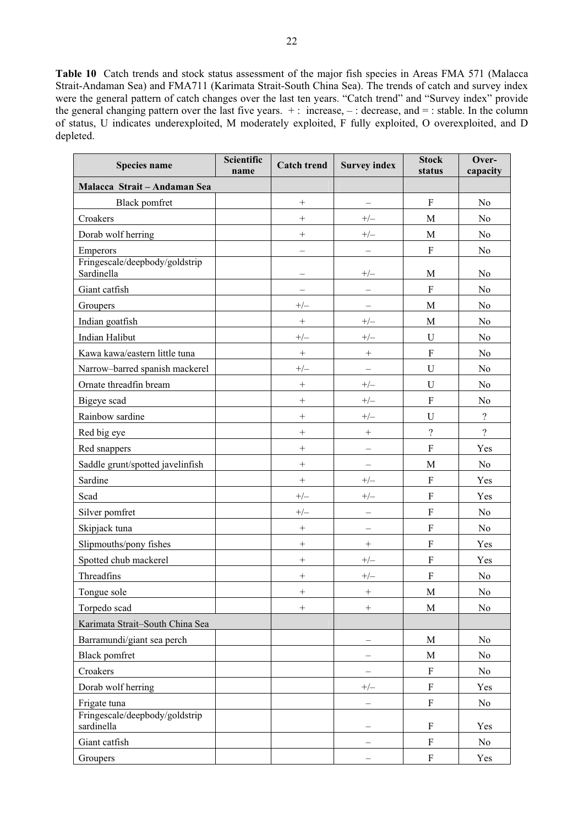**Table 10** Catch trends and stock status assessment of the major fish species in Areas FMA 571 (Malacca Strait-Andaman Sea) and FMA711 (Karimata Strait-South China Sea). The trends of catch and survey index were the general pattern of catch changes over the last ten years. "Catch trend" and "Survey index" provide the general changing pattern over the last five years. + : increase, – : decrease, and = : stable. In the column of status, U indicates underexploited, M moderately exploited, F fully exploited, O overexploited, and D depleted.

| Scientific<br>Species name<br>name           |  | <b>Catch trend</b> | <b>Survey index</b>      | <b>Stock</b><br>status    | Over-<br>capacity  |
|----------------------------------------------|--|--------------------|--------------------------|---------------------------|--------------------|
| Malacca Strait - Andaman Sea                 |  |                    |                          |                           |                    |
| <b>Black</b> pomfret                         |  | $\! + \!\!\!\!$    | -                        | $\boldsymbol{\mathrm{F}}$ | N <sub>0</sub>     |
| Croakers                                     |  | $^{+}$             | $+/-$                    | M                         | No                 |
| Dorab wolf herring                           |  | $^{+}$             | $+/-$                    | M                         | No                 |
| <b>Emperors</b>                              |  |                    | $\overline{\phantom{0}}$ | ${\bf F}$                 | No                 |
| Fringescale/deepbody/goldstrip<br>Sardinella |  |                    | $+/-$                    | $\mathbf M$               | No                 |
| Giant catfish                                |  |                    |                          | ${\bf F}$                 | No                 |
| Groupers                                     |  | $+/-$              |                          | M                         | N <sub>0</sub>     |
| Indian goatfish                              |  |                    | $+/-$                    | M                         | N <sub>0</sub>     |
| <b>Indian Halibut</b>                        |  | $+/-$              | $+/-$                    | U                         | No                 |
| Kawa kawa/eastern little tuna                |  | $\! + \!$          | $^{+}$                   | $\overline{F}$            | No                 |
| Narrow-barred spanish mackerel               |  | $+/-$              |                          | $\mathbf U$               | No                 |
| Ornate threadfin bream                       |  | $\! + \!\!\!\!$    | $+/-$                    | $\mathbf U$               | No                 |
| Bigeye scad                                  |  | $^{+}$             | $+/-$                    | $\overline{F}$            | No                 |
| Rainbow sardine                              |  | $^{+}$             | $+/-$                    | U                         | $\ddot{?}$         |
| Red big eye                                  |  | $\! + \!\!\!\!$    | $^+$                     | $\overline{\mathcal{L}}$  | $\overline{\cdot}$ |
| Red snappers                                 |  | $\! + \!$          |                          | ${\bf F}$                 | Yes                |
| Saddle grunt/spotted javelinfish             |  | $^{+}$             |                          | M                         | No                 |
| Sardine                                      |  | $^{+}$             | $+/-$                    | $\boldsymbol{\mathrm{F}}$ | Yes                |
| Scad                                         |  | $+/-$              | $+/-$                    | $\overline{F}$            | Yes                |
| Silver pomfret                               |  | $+/-$              | $\overline{\phantom{0}}$ | $\overline{F}$            | No                 |
| Skipjack tuna                                |  | $\! + \!\!\!\!$    |                          | $\rm F$                   | N <sub>o</sub>     |
| Slipmouths/pony fishes                       |  | $\! + \!$          | $^{+}$                   | $\overline{F}$            | Yes                |
| Spotted chub mackerel                        |  | $\! + \!\!\!\!$    | $+/-$                    | $\mathbf F$               | Yes                |
| Threadfins                                   |  | $^{+}$             | $+/-$                    | F                         | No                 |
| Tongue sole                                  |  | $^{+}$             | $^{+}$                   | $\mathbf M$               | N <sub>o</sub>     |
| Torpedo scad                                 |  | $\! + \!\!\!\!$    | $^{+}$                   | M                         | No                 |
| Karimata Strait-South China Sea              |  |                    |                          |                           |                    |
| Barramundi/giant sea perch                   |  |                    |                          | M                         | N <sub>0</sub>     |
| <b>Black pomfret</b>                         |  |                    |                          | M                         | No                 |
| Croakers                                     |  |                    |                          | $\boldsymbol{\mathrm{F}}$ | No                 |
| Dorab wolf herring                           |  |                    | $+/-$                    | $\overline{F}$            | Yes                |
| Frigate tuna                                 |  |                    |                          | ${\bf F}$                 | No                 |
| Fringescale/deepbody/goldstrip<br>sardinella |  |                    |                          | $\boldsymbol{\mathrm{F}}$ | Yes                |
| Giant catfish                                |  |                    |                          | $\boldsymbol{\mathrm{F}}$ | N <sub>0</sub>     |
| Groupers                                     |  |                    |                          | $\boldsymbol{\mathrm{F}}$ | Yes                |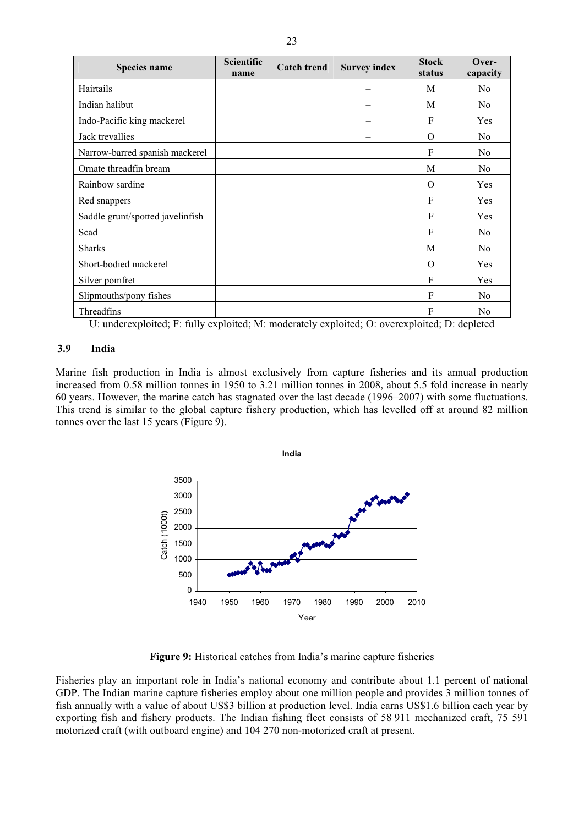| <b>Species name</b>              | <b>Scientific</b><br>name | <b>Catch trend</b> | <b>Survey index</b> | <b>Stock</b><br>status | Over-<br>capacity |
|----------------------------------|---------------------------|--------------------|---------------------|------------------------|-------------------|
| Hairtails                        |                           |                    |                     | M                      | N <sub>0</sub>    |
| Indian halibut                   |                           |                    | -                   | M                      | N <sub>0</sub>    |
| Indo-Pacific king mackerel       |                           |                    |                     | F                      | Yes               |
| Jack trevallies                  |                           |                    |                     | O                      | N <sub>0</sub>    |
| Narrow-barred spanish mackerel   |                           |                    |                     | F                      | N <sub>0</sub>    |
| Ornate threadfin bream           |                           |                    |                     | M                      | No                |
| Rainbow sardine                  |                           |                    |                     | $\Omega$               | Yes               |
| Red snappers                     |                           |                    |                     | F                      | Yes               |
| Saddle grunt/spotted javelinfish |                           |                    |                     | $\mathbf{F}$           | Yes               |
| Scad                             |                           |                    |                     | F                      | N <sub>0</sub>    |
| <b>Sharks</b>                    |                           |                    |                     | M                      | No                |
| Short-bodied mackerel            |                           |                    |                     | O                      | Yes               |
| Silver pomfret                   |                           |                    |                     | $\mathbf{F}$           | Yes               |
| Slipmouths/pony fishes           |                           |                    |                     | F                      | No                |
| Threadfins                       |                           |                    |                     | F                      | No                |

U: underexploited; F: fully exploited; M: moderately exploited; O: overexploited; D: depleted

# **3.9 India**

Marine fish production in India is almost exclusively from capture fisheries and its annual production increased from 0.58 million tonnes in 1950 to 3.21 million tonnes in 2008, about 5.5 fold increase in nearly 60 years. However, the marine catch has stagnated over the last decade (1996–2007) with some fluctuations. This trend is similar to the global capture fishery production, which has levelled off at around 82 million tonnes over the last 15 years (Figure 9).



**Figure 9:** Historical catches from India's marine capture fisheries

Fisheries play an important role in India's national economy and contribute about 1.1 percent of national GDP. The Indian marine capture fisheries employ about one million people and provides 3 million tonnes of fish annually with a value of about US\$3 billion at production level. India earns US\$1.6 billion each year by exporting fish and fishery products. The Indian fishing fleet consists of 58 911 mechanized craft, 75 591 motorized craft (with outboard engine) and 104 270 non-motorized craft at present.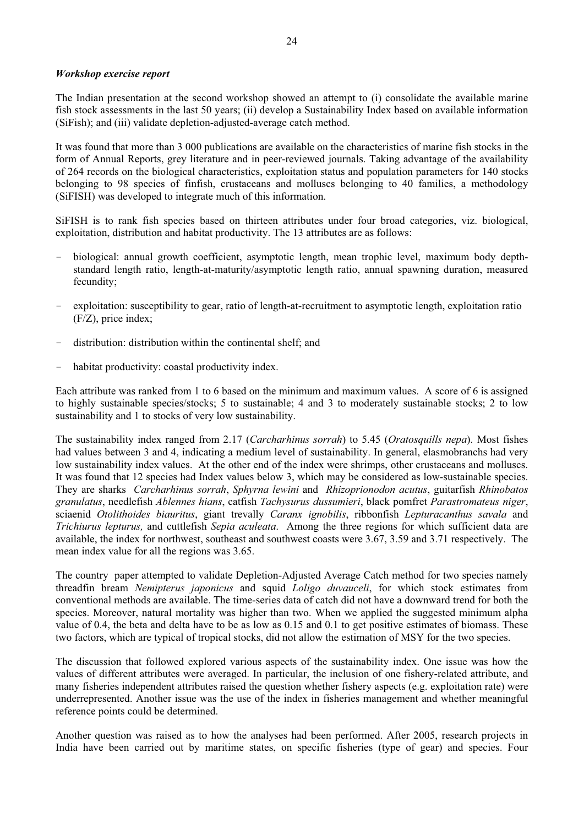# *Workshop exercise report*

The Indian presentation at the second workshop showed an attempt to (i) consolidate the available marine fish stock assessments in the last 50 years; (ii) develop a Sustainability Index based on available information (SiFish); and (iii) validate depletion-adjusted-average catch method.

It was found that more than 3 000 publications are available on the characteristics of marine fish stocks in the form of Annual Reports, grey literature and in peer-reviewed journals. Taking advantage of the availability of 264 records on the biological characteristics, exploitation status and population parameters for 140 stocks belonging to 98 species of finfish, crustaceans and molluscs belonging to 40 families, a methodology (SiFISH) was developed to integrate much of this information.

SiFISH is to rank fish species based on thirteen attributes under four broad categories, viz. biological, exploitation, distribution and habitat productivity. The 13 attributes are as follows:

- biological: annual growth coefficient, asymptotic length, mean trophic level, maximum body depthstandard length ratio, length-at-maturity/asymptotic length ratio, annual spawning duration, measured fecundity;
- exploitation: susceptibility to gear, ratio of length-at-recruitment to asymptotic length, exploitation ratio (F/Z), price index;
- distribution: distribution within the continental shelf; and
- habitat productivity: coastal productivity index.

Each attribute was ranked from 1 to 6 based on the minimum and maximum values. A score of 6 is assigned to highly sustainable species/stocks; 5 to sustainable; 4 and 3 to moderately sustainable stocks; 2 to low sustainability and 1 to stocks of very low sustainability.

The sustainability index ranged from 2.17 (*Carcharhinus sorrah*) to 5.45 (*Oratosquills nepa*). Most fishes had values between 3 and 4, indicating a medium level of sustainability. In general, elasmobranchs had very low sustainability index values. At the other end of the index were shrimps, other crustaceans and molluscs. It was found that 12 species had Index values below 3, which may be considered as low-sustainable species. They are sharks *Carcharhinus sorrah*, *Sphyrna lewini* and *Rhizoprionodon acutus*, guitarfish *Rhinobatos granulatus*, needlefish *Ablennes hians*, catfish *Tachysurus dussumieri*, black pomfret *Parastromateus niger*, sciaenid *Otolithoides biauritus*, giant trevally *Caranx ignobilis*, ribbonfish *Lepturacanthus savala* and *Trichiurus lepturus,* and cuttlefish *Sepia aculeata*. Among the three regions for which sufficient data are available, the index for northwest, southeast and southwest coasts were 3.67, 3.59 and 3.71 respectively. The mean index value for all the regions was 3.65.

The country paper attempted to validate Depletion-Adjusted Average Catch method for two species namely threadfin bream *Nemipterus japonicus* and squid *Loligo duvauceli*, for which stock estimates from conventional methods are available. The time-series data of catch did not have a downward trend for both the species. Moreover, natural mortality was higher than two. When we applied the suggested minimum alpha value of 0.4, the beta and delta have to be as low as 0.15 and 0.1 to get positive estimates of biomass. These two factors, which are typical of tropical stocks, did not allow the estimation of MSY for the two species.

The discussion that followed explored various aspects of the sustainability index. One issue was how the values of different attributes were averaged. In particular, the inclusion of one fishery-related attribute, and many fisheries independent attributes raised the question whether fishery aspects (e.g. exploitation rate) were underrepresented. Another issue was the use of the index in fisheries management and whether meaningful reference points could be determined.

Another question was raised as to how the analyses had been performed. After 2005, research projects in India have been carried out by maritime states, on specific fisheries (type of gear) and species. Four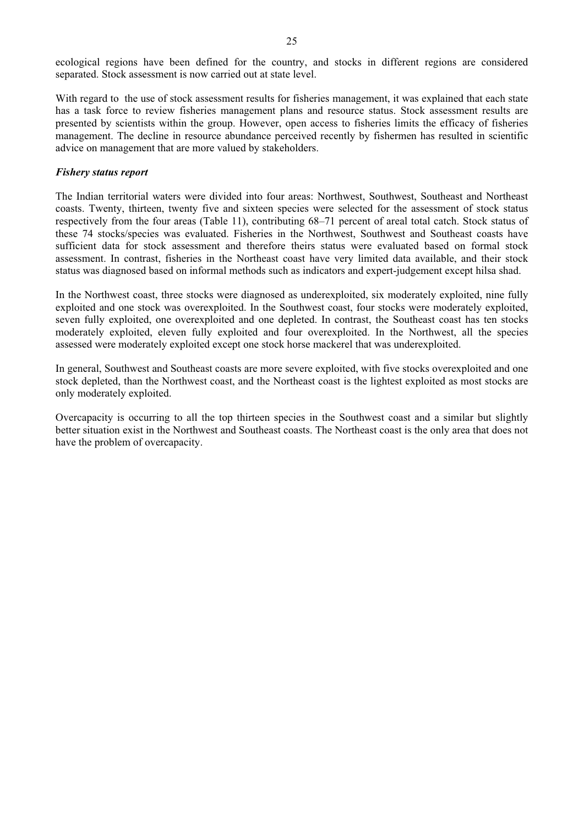ecological regions have been defined for the country, and stocks in different regions are considered separated. Stock assessment is now carried out at state level.

With regard to the use of stock assessment results for fisheries management, it was explained that each state has a task force to review fisheries management plans and resource status. Stock assessment results are presented by scientists within the group. However, open access to fisheries limits the efficacy of fisheries management. The decline in resource abundance perceived recently by fishermen has resulted in scientific advice on management that are more valued by stakeholders.

#### *Fishery status report*

The Indian territorial waters were divided into four areas: Northwest, Southwest, Southeast and Northeast coasts. Twenty, thirteen, twenty five and sixteen species were selected for the assessment of stock status respectively from the four areas (Table 11), contributing 68–71 percent of areal total catch. Stock status of these 74 stocks/species was evaluated. Fisheries in the Northwest, Southwest and Southeast coasts have sufficient data for stock assessment and therefore theirs status were evaluated based on formal stock assessment. In contrast, fisheries in the Northeast coast have very limited data available, and their stock status was diagnosed based on informal methods such as indicators and expert-judgement except hilsa shad.

In the Northwest coast, three stocks were diagnosed as underexploited, six moderately exploited, nine fully exploited and one stock was overexploited. In the Southwest coast, four stocks were moderately exploited, seven fully exploited, one overexploited and one depleted. In contrast, the Southeast coast has ten stocks moderately exploited, eleven fully exploited and four overexploited. In the Northwest, all the species assessed were moderately exploited except one stock horse mackerel that was underexploited.

In general, Southwest and Southeast coasts are more severe exploited, with five stocks overexploited and one stock depleted, than the Northwest coast, and the Northeast coast is the lightest exploited as most stocks are only moderately exploited.

Overcapacity is occurring to all the top thirteen species in the Southwest coast and a similar but slightly better situation exist in the Northwest and Southeast coasts. The Northeast coast is the only area that does not have the problem of overcapacity.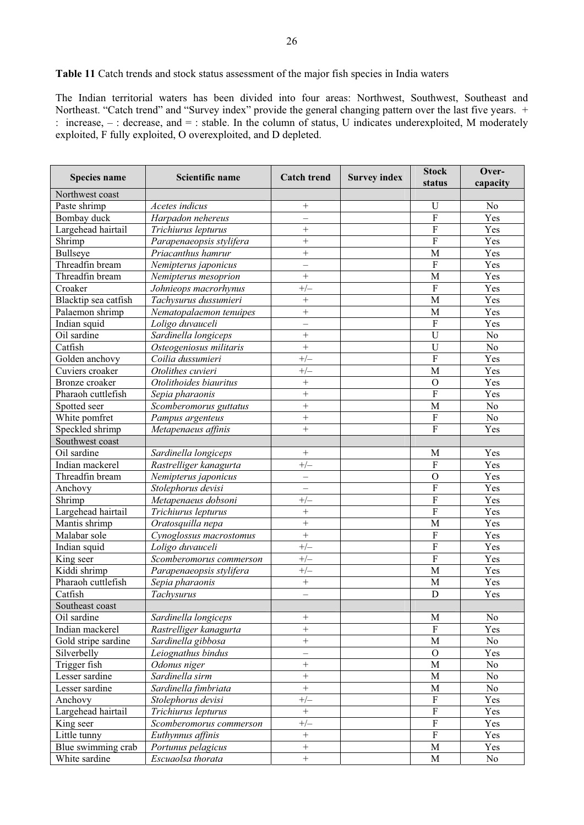The Indian territorial waters has been divided into four areas: Northwest, Southwest, Southeast and Northeast. "Catch trend" and "Survey index" provide the general changing pattern over the last five years. + : increase, – : decrease, and = : stable. In the column of status, U indicates underexploited, M moderately exploited, F fully exploited, O overexploited, and D depleted.

| <b>Species name</b>            | Scientific name                    | <b>Catch trend</b> | <b>Survey index</b> | <b>Stock</b><br>status           | Over-<br>capacity |
|--------------------------------|------------------------------------|--------------------|---------------------|----------------------------------|-------------------|
| Northwest coast                |                                    |                    |                     |                                  |                   |
| Paste shrimp                   | Acetes indicus                     | $^+$               |                     | U                                | No                |
| Bombay duck                    | Harpadon nehereus                  |                    |                     | $\overline{F}$                   | Yes               |
| Largehead hairtail             | Trichiurus lepturus                | $^{+}$             |                     | $\overline{F}$                   | Yes               |
| Shrimp                         | Parapenaeopsis stylifera           | $^{+}$             |                     | $\overline{F}$                   | Yes               |
| <b>Bullseye</b>                | Priacanthus hamrur                 | $^{+}$             |                     | M                                | Yes               |
| Threadfin bream                | Nemipterus japonicus               |                    |                     | $\mathbf F$                      | Yes               |
| Threadfin bream                | Nemipterus mesoprion               | $^{+}$             |                     | M                                | Yes               |
| Croaker                        | Johnieops macrorhynus              | $+/-$              |                     | $\mathbf F$                      | Yes               |
| Blacktip sea catfish           | Tachysurus dussumieri              | $^{+}$             |                     | M                                | Yes               |
| Palaemon shrimp                | Nematopalaemon tenuipes            | $^{+}$             |                     | M                                | Yes               |
| Indian squid                   | Loligo duvauceli                   |                    |                     | $\mathbf F$                      | Yes               |
| Oil sardine                    | Sardinella longiceps               | $^{+}$             |                     | $\overline{U}$                   | No                |
| Catfish                        | Osteogeniosus militaris            | $^{+}$             |                     | U                                | No                |
| Golden anchovy                 | Coilia dussumieri                  | $+/-$              |                     | $\overline{F}$                   | Yes               |
| Cuviers croaker                | Otolithes cuvieri                  | $+/-$              |                     | M                                | Yes               |
| Bronze croaker                 | Otolithoides biauritus             | $^{+}$             |                     | $\mathbf O$                      | Yes               |
| Pharaoh cuttlefish             | Sepia pharaonis                    | $^{+}$             |                     | $\overline{F}$                   | Yes               |
| Spotted seer                   | Scomberomorus guttatus             | $^{+}$             |                     | M                                | $\rm No$          |
| White pomfret                  | Pampus argenteus                   | $^{+}$             |                     | $\rm F$                          | $\rm No$          |
| Speckled shrimp                |                                    | $^{+}$             |                     | $\overline{F}$                   | Yes               |
|                                | Metapenaeus affinis                |                    |                     |                                  |                   |
| Southwest coast<br>Oil sardine |                                    | $^{+}$             |                     |                                  | Yes               |
|                                | Sardinella longiceps               |                    |                     | M<br>$\mathbf F$                 |                   |
| Indian mackerel                | Rastrelliger kanagurta             | $+/-$              |                     |                                  | Yes               |
| Threadfin bream                | $\overline{N}$ emipterus japonicus |                    |                     | $\overline{O}$<br>$\overline{F}$ | Yes               |
| Anchovy                        | Stolephorus devisi                 |                    |                     |                                  | Yes               |
| Shrimp                         | Metapenaeus dobsoni                | $+/-$              |                     | $\overline{F}$                   | Yes               |
| Largehead hairtail             | Trichiurus lepturus                | $^{+}$             |                     | $\overline{F}$                   | Yes               |
| Mantis shrimp                  | Oratosquilla nepa                  | $^{+}$             |                     | M                                | Yes               |
| Malabar sole                   | Cynoglossus macrostomus            | $^{+}$             |                     | $\mathbf F$                      | Yes               |
| Indian squid                   | Loligo duvauceli                   | $+/-$              |                     | $\overline{F}$                   | Yes               |
| King seer                      | Scomberomorus commerson            | $+/-$              |                     | $\overline{F}$                   | Yes               |
| Kiddi shrimp                   | Parapenaeopsis stylifera           | $+/-$              |                     | M                                | Yes               |
| Pharaoh cuttlefish             | Sepia pharaonis                    | $\! + \!$          |                     | M                                | Yes               |
| Catfish                        | Tachysurus                         |                    |                     | D                                | Yes               |
| Southeast coast                |                                    |                    |                     |                                  |                   |
| Oil sardine                    | Sardinella longiceps               | $^+$               |                     | M                                | No                |
| Indian mackerel                | Rastrelliger kanagurta             | $\qquad \qquad +$  |                     | $\overline{F}$                   | Yes               |
| Gold stripe sardine            | Sardinella gibbosa                 | $\qquad \qquad +$  |                     | $\mathbf M$                      | $\rm No$          |
| Silverbelly                    | Leiognathus bindus                 |                    |                     | $\mathcal{O}$                    | Yes               |
| Trigger fish                   | Odonus niger                       | $\! + \!$          |                     | M                                | No                |
| Lesser sardine                 | Sardinella sirm                    | $\qquad \qquad +$  |                     | $\mathbf M$                      | $\rm No$          |
| Lesser sardine                 | Sardinella fimbriata               | $\qquad \qquad +$  |                     | $\mathbf M$                      | No                |
| Anchovy                        | Stolephorus devisi                 | $+/-$              |                     | ${\bf F}$                        | Yes               |
| Largehead hairtail             | Trichiurus lepturus                | $\qquad \qquad +$  |                     | $\overline{\mathrm{F}}$          | Yes               |
| King seer                      | Scomberomorus commerson            | $+/-$              |                     | $\overline{F}$                   | Yes               |
| Little tunny                   | Euthynnus affinis                  | $\boldsymbol{+}$   |                     | $\overline{F}$                   | Yes               |
| Blue swimming crab             | Portunus pelagicus                 | $\qquad \qquad +$  |                     | M                                | Yes               |
| White sardine                  | Escuaolsa thorata                  | $\boldsymbol{+}$   |                     | $\mathbf M$                      | No                |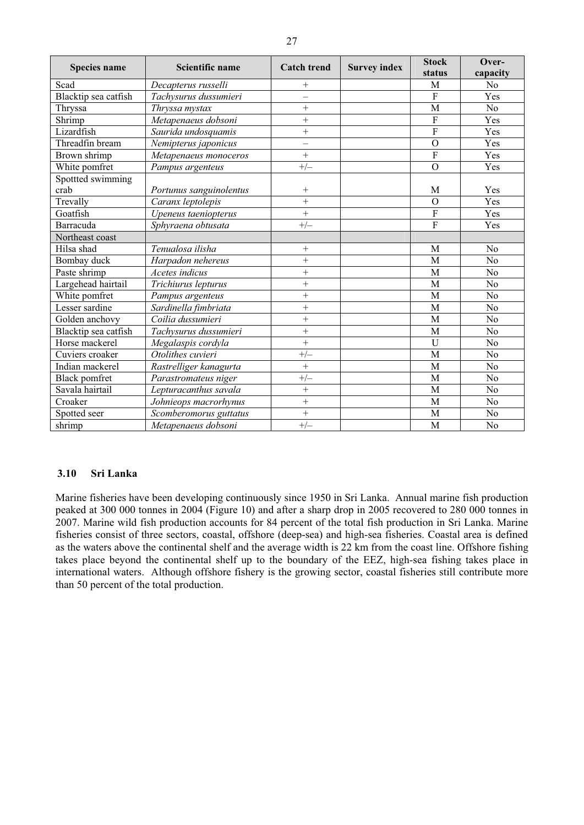| Species name         | Scientific name         | <b>Catch trend</b>       | <b>Survey index</b> | <b>Stock</b>   | Over-          |
|----------------------|-------------------------|--------------------------|---------------------|----------------|----------------|
|                      |                         |                          |                     | status         | capacity       |
| Scad                 | Decapterus russelli     | $^{+}$                   |                     | M              | N <sub>o</sub> |
| Blacktip sea catfish | Tachysurus dussumieri   | $\overline{\phantom{0}}$ |                     | $\overline{F}$ | Yes            |
| Thryssa              | Thryssa mystax          | $+$                      |                     | M              | N <sub>o</sub> |
| Shrimp               | Metapenaeus dobsoni     | $^{+}$                   |                     | $\overline{F}$ | Yes            |
| Lizardfish           | Saurida undosquamis     | $^{+}$                   |                     | $\overline{F}$ | Yes            |
| Threadfin bream      | Nemipterus japonicus    | $\equiv$                 |                     | $\Omega$       | Yes            |
| Brown shrimp         | Metapenaeus monoceros   | $^{+}$                   |                     | $\overline{F}$ | Yes            |
| White pomfret        | Pampus argenteus        | $+/-$                    |                     | $\mathbf{O}$   | Yes            |
| Spottted swimming    |                         |                          |                     |                |                |
| crab                 | Portunus sanguinolentus | $^{+}$                   |                     | M              | Yes            |
| Trevally             | Caranx leptolepis       | $\overline{+}$           |                     | $\Omega$       | Yes            |
| Goatfish             | Upeneus taeniopterus    | $\ddot{}$                |                     | F              | Yes            |
| Barracuda            | Sphyraena obtusata      | $+/-$                    |                     | F              | Yes            |
| Northeast coast      |                         |                          |                     |                |                |
| Hilsa shad           | Tenualosa ilisha        | $+$                      |                     | M              | N <sub>o</sub> |
| Bombay duck          | Harpadon nehereus       | $^{+}$                   |                     | M              | N <sub>o</sub> |
| Paste shrimp         | Acetes indicus          | $\overline{+}$           |                     | M              | N <sub>o</sub> |
| Largehead hairtail   | Trichiurus lepturus     | $+$                      |                     | M              | N <sub>o</sub> |
| White pomfret        | Pampus argenteus        | $^{+}$                   |                     | M              | No             |
| Lesser sardine       | Sardinella fimbriata    | $\ddot{}$                |                     | M              | N <sub>o</sub> |
| Golden anchovy       | Coilia dussumieri       | $+$                      |                     | M              | No             |
| Blacktip sea catfish | Tachysurus dussumieri   | $^{+}$                   |                     | M              | N <sub>o</sub> |
| Horse mackerel       | Megalaspis cordyla      | $+$                      |                     | U              | N <sub>o</sub> |
| Cuviers croaker      | Otolithes cuvieri       | $+/-$                    |                     | M              | N <sub>o</sub> |
| Indian mackerel      | Rastrelliger kanagurta  | $^{+}$                   |                     | M              | No             |
| <b>Black pomfret</b> | Parastromateus niger    | $+/-$                    |                     | M              | N <sub>o</sub> |
| Savala hairtail      | Lepturacanthus savala   | $^{+}$                   |                     | M              | N <sub>o</sub> |
| Croaker              | Johnieops macrorhynus   | $+$                      |                     | M              | No             |
| Spotted seer         | Scomberomorus guttatus  | $\ddot{}$                |                     | M              | N <sub>o</sub> |
| shrimp               | Metapenaeus dobsoni     | $+/-$                    |                     | M              | N <sub>o</sub> |

# **3.10 Sri Lanka**

Marine fisheries have been developing continuously since 1950 in Sri Lanka. Annual marine fish production peaked at 300 000 tonnes in 2004 (Figure 10) and after a sharp drop in 2005 recovered to 280 000 tonnes in 2007. Marine wild fish production accounts for 84 percent of the total fish production in Sri Lanka. Marine fisheries consist of three sectors, coastal, offshore (deep-sea) and high-sea fisheries. Coastal area is defined as the waters above the continental shelf and the average width is 22 km from the coast line. Offshore fishing takes place beyond the continental shelf up to the boundary of the EEZ, high-sea fishing takes place in international waters. Although offshore fishery is the growing sector, coastal fisheries still contribute more than 50 percent of the total production.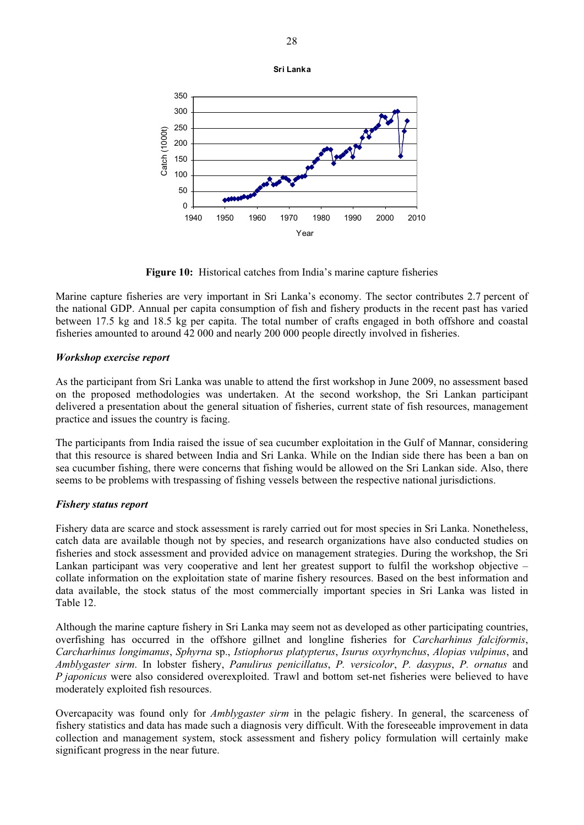

**Figure 10:** Historical catches from India's marine capture fisheries

Marine capture fisheries are very important in Sri Lanka's economy. The sector contributes 2.7 percent of the national GDP. Annual per capita consumption of fish and fishery products in the recent past has varied between 17.5 kg and 18.5 kg per capita. The total number of crafts engaged in both offshore and coastal fisheries amounted to around 42 000 and nearly 200 000 people directly involved in fisheries.

# *Workshop exercise report*

As the participant from Sri Lanka was unable to attend the first workshop in June 2009, no assessment based on the proposed methodologies was undertaken. At the second workshop, the Sri Lankan participant delivered a presentation about the general situation of fisheries, current state of fish resources, management practice and issues the country is facing.

The participants from India raised the issue of sea cucumber exploitation in the Gulf of Mannar, considering that this resource is shared between India and Sri Lanka. While on the Indian side there has been a ban on sea cucumber fishing, there were concerns that fishing would be allowed on the Sri Lankan side. Also, there seems to be problems with trespassing of fishing vessels between the respective national jurisdictions.

#### *Fishery status report*

Fishery data are scarce and stock assessment is rarely carried out for most species in Sri Lanka. Nonetheless, catch data are available though not by species, and research organizations have also conducted studies on fisheries and stock assessment and provided advice on management strategies. During the workshop, the Sri Lankan participant was very cooperative and lent her greatest support to fulfil the workshop objective – collate information on the exploitation state of marine fishery resources. Based on the best information and data available, the stock status of the most commercially important species in Sri Lanka was listed in Table 12.

Although the marine capture fishery in Sri Lanka may seem not as developed as other participating countries, overfishing has occurred in the offshore gillnet and longline fisheries for *Carcharhinus falciformis*, *Carcharhinus longimanus*, *Sphyrna* sp., *Istiophorus platypterus*, *Isurus oxyrhynchus*, *Alopias vulpinus*, and *Amblygaster sirm*. In lobster fishery, *Panulirus penicillatus*, *P. versicolor*, *P. dasypus*, *P. ornatus* and *P japonicus* were also considered overexploited. Trawl and bottom set-net fisheries were believed to have moderately exploited fish resources.

Overcapacity was found only for *Amblygaster sirm* in the pelagic fishery. In general, the scarceness of fishery statistics and data has made such a diagnosis very difficult. With the foreseeable improvement in data collection and management system, stock assessment and fishery policy formulation will certainly make significant progress in the near future.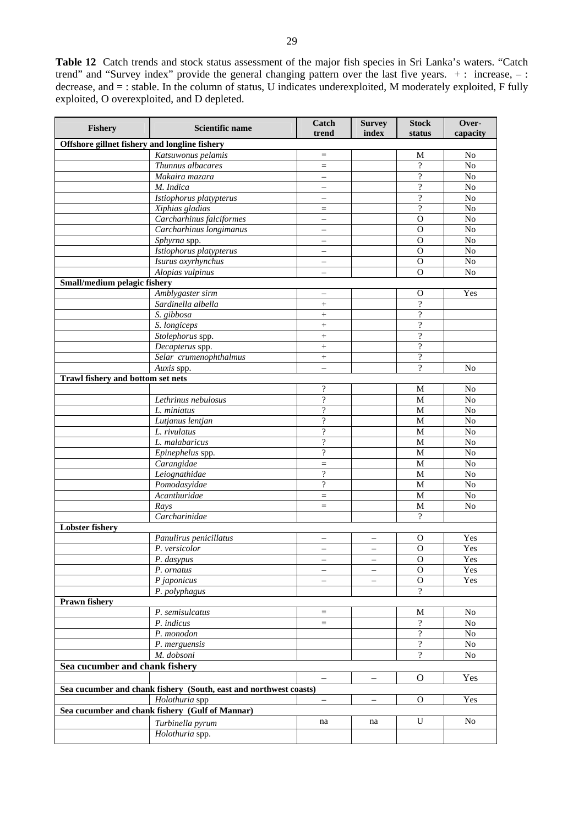**Table 12** Catch trends and stock status assessment of the major fish species in Sri Lanka's waters. "Catch trend" and "Survey index" provide the general changing pattern over the last five years. + : increase, – : decrease, and = : stable. In the column of status, U indicates underexploited, M moderately exploited, F fully exploited, O overexploited, and D depleted.

| Fishery                                       | <b>Scientific name</b>                                            | Catch<br>trend           | <b>Survey</b><br>index   | <b>Stock</b><br>status   | Over-<br>capacity |
|-----------------------------------------------|-------------------------------------------------------------------|--------------------------|--------------------------|--------------------------|-------------------|
| Offshore gillnet fishery and longline fishery |                                                                   |                          |                          |                          |                   |
|                                               | Katsuwonus pelamis                                                | $\quad =$                |                          | M                        | No                |
|                                               | Thunnus albacares                                                 | $\equiv$                 |                          | $\overline{?}$           | No                |
|                                               | Makaira mazara                                                    | $\equiv$                 |                          | $\gamma$                 | No                |
|                                               | M. Indica                                                         | $\qquad \qquad -$        |                          | $\overline{\mathcal{C}}$ | No                |
|                                               | Istiophorus platypterus                                           | $\equiv$                 |                          | $\gamma$                 | No                |
|                                               | Xiphias gladias                                                   | $\quad =$                |                          | $\overline{\mathcal{L}}$ | No                |
|                                               | Carcharhinus falciformes                                          | —                        |                          | $\Omega$                 | No                |
|                                               | Carcharhinus longimanus                                           | $\qquad \qquad -$        |                          | $\Omega$                 | No                |
|                                               | Sphyrna spp.                                                      | $\qquad \qquad -$        |                          | $\overline{O}$           | No                |
|                                               | Istiophorus platypterus                                           | $\equiv$                 |                          | $\overline{0}$           | $\overline{No}$   |
|                                               | Isurus oxyrhynchus                                                | $\qquad \qquad -$        |                          | $\mathbf O$              | No                |
|                                               | Alopias vulpinus                                                  | $\overline{\phantom{0}}$ |                          | $\Omega$                 | No                |
| Small/medium pelagic fishery                  |                                                                   |                          |                          |                          |                   |
|                                               | Amblygaster sirm                                                  |                          |                          | О<br>$\overline{?}$      | Yes               |
|                                               | Sardinella albella                                                | $^{+}$                   |                          | $\overline{\mathcal{C}}$ |                   |
|                                               | S. gibbosa<br>S. longiceps                                        | $+$                      |                          | $\overline{\mathcal{L}}$ |                   |
|                                               | Stolephorus spp.                                                  | $\! + \!\!\!\!$          |                          | $\gamma$                 |                   |
|                                               | Decapterus spp.                                                   | $\ddot{}$<br>$^{+}$      |                          | $\overline{\mathcal{L}}$ |                   |
|                                               | Selar crumenophthalmus                                            |                          |                          | $\gamma$                 |                   |
|                                               | Auxis spp.                                                        | $\equiv$                 |                          | $\overline{\mathcal{L}}$ | N <sub>o</sub>    |
| <b>Trawl fishery and bottom set nets</b>      |                                                                   |                          |                          |                          |                   |
|                                               |                                                                   | $\overline{\mathcal{L}}$ |                          | M                        | N <sub>o</sub>    |
|                                               | Lethrinus nebulosus                                               | $\overline{?}$           |                          | M                        | No                |
|                                               | L. miniatus                                                       | $\overline{\cdot}$       |                          | M                        | No                |
|                                               | Lutjanus lentjan                                                  | $\overline{\mathcal{L}}$ |                          | $\overline{M}$           | No                |
|                                               | L. rivulatus                                                      | $\overline{?}$           |                          | M                        | No                |
|                                               | L. malabaricus                                                    | $\gamma$                 |                          | M                        | No                |
|                                               | Epinephelus spp.                                                  | $\overline{?}$           |                          | M                        | No                |
|                                               | Carangidae                                                        | $=$                      |                          | M                        | No                |
|                                               | Leiognathidae                                                     | $\gamma$                 |                          | $\overline{M}$           | $\overline{No}$   |
|                                               | Pomodasyidae                                                      | $\overline{\cdot}$       |                          | M                        | No                |
|                                               | Acanthuridae                                                      | $\equiv$                 |                          | M                        | No                |
|                                               | Rays                                                              | $\equiv$                 |                          | M                        | N <sub>0</sub>    |
|                                               | Carcharinidae                                                     |                          |                          | $\overline{?}$           |                   |
| <b>Lobster fishery</b>                        |                                                                   |                          |                          |                          |                   |
|                                               | Panulirus penicillatus                                            | $\qquad \qquad -$        | $\qquad \qquad -$        | $\Omega$                 | Yes               |
|                                               | P. versicolor                                                     | $\overline{\phantom{0}}$ | $\qquad \qquad -$        | $\mathbf{O}$             | Yes               |
|                                               | P. dasypus                                                        |                          |                          | $\overline{0}$           | Yes               |
|                                               | P. ornatus                                                        | $\qquad \qquad -$        |                          | $\Omega$                 | Yes               |
|                                               | P japonicus                                                       | $\equiv$                 | $\overline{\phantom{0}}$ | $\overline{0}$           | Yes               |
|                                               | P. polyphagus                                                     |                          |                          | $\gamma$                 |                   |
| <b>Prawn fishery</b>                          |                                                                   |                          |                          |                          |                   |
|                                               | P. semisulcatus<br>P. indicus                                     | $\quad =$                |                          | M<br>$\gamma$            | No<br>No          |
|                                               | P. monodon                                                        | $=$                      |                          | $\overline{\mathcal{L}}$ | N <sub>o</sub>    |
|                                               | P. merguensis                                                     |                          |                          | $\overline{?}$           | $\rm No$          |
|                                               | M. dobsoni                                                        |                          |                          | $\overline{?}$           | $\rm No$          |
| Sea cucumber and chank fishery                |                                                                   |                          |                          |                          |                   |
|                                               |                                                                   |                          |                          | $\mathbf{O}$             | Yes               |
|                                               | Sea cucumber and chank fishery (South, east and northwest coasts) | $\qquad \qquad -$        | $\qquad \qquad -$        |                          |                   |
|                                               | Holothuria spp                                                    |                          | $\overline{\phantom{m}}$ | $\mathbf O$              | Yes               |
|                                               | Sea cucumber and chank fishery (Gulf of Mannar)                   | $\qquad \qquad -$        |                          |                          |                   |
|                                               |                                                                   | na                       | na                       | U                        | No                |
|                                               | Turbinella pyrum                                                  |                          |                          |                          |                   |
|                                               | Holothuria spp.                                                   |                          |                          |                          |                   |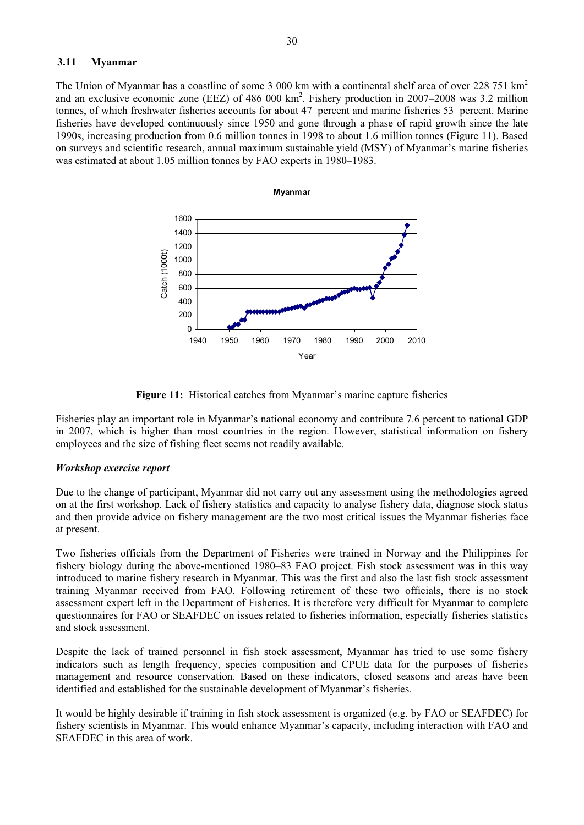# **3.11 Myanmar**

The Union of Myanmar has a coastline of some 3 000 km with a continental shelf area of over 228 751 km<sup>2</sup> and an exclusive economic zone (EEZ) of 486 000 km<sup>2</sup>. Fishery production in 2007–2008 was 3.2 million tonnes, of which freshwater fisheries accounts for about 47 percent and marine fisheries 53 percent. Marine fisheries have developed continuously since 1950 and gone through a phase of rapid growth since the late 1990s, increasing production from 0.6 million tonnes in 1998 to about 1.6 million tonnes (Figure 11). Based on surveys and scientific research, annual maximum sustainable yield (MSY) of Myanmar's marine fisheries was estimated at about 1.05 million tonnes by FAO experts in 1980–1983.



**Figure 11:** Historical catches from Myanmar's marine capture fisheries

Fisheries play an important role in Myanmar's national economy and contribute 7.6 percent to national GDP in 2007, which is higher than most countries in the region. However, statistical information on fishery employees and the size of fishing fleet seems not readily available.

# *Workshop exercise report*

Due to the change of participant, Myanmar did not carry out any assessment using the methodologies agreed on at the first workshop. Lack of fishery statistics and capacity to analyse fishery data, diagnose stock status and then provide advice on fishery management are the two most critical issues the Myanmar fisheries face at present.

Two fisheries officials from the Department of Fisheries were trained in Norway and the Philippines for fishery biology during the above-mentioned 1980–83 FAO project. Fish stock assessment was in this way introduced to marine fishery research in Myanmar. This was the first and also the last fish stock assessment training Myanmar received from FAO. Following retirement of these two officials, there is no stock assessment expert left in the Department of Fisheries. It is therefore very difficult for Myanmar to complete questionnaires for FAO or SEAFDEC on issues related to fisheries information, especially fisheries statistics and stock assessment.

Despite the lack of trained personnel in fish stock assessment, Myanmar has tried to use some fishery indicators such as length frequency, species composition and CPUE data for the purposes of fisheries management and resource conservation. Based on these indicators, closed seasons and areas have been identified and established for the sustainable development of Myanmar's fisheries.

It would be highly desirable if training in fish stock assessment is organized (e.g. by FAO or SEAFDEC) for fishery scientists in Myanmar. This would enhance Myanmar's capacity, including interaction with FAO and SEAFDEC in this area of work.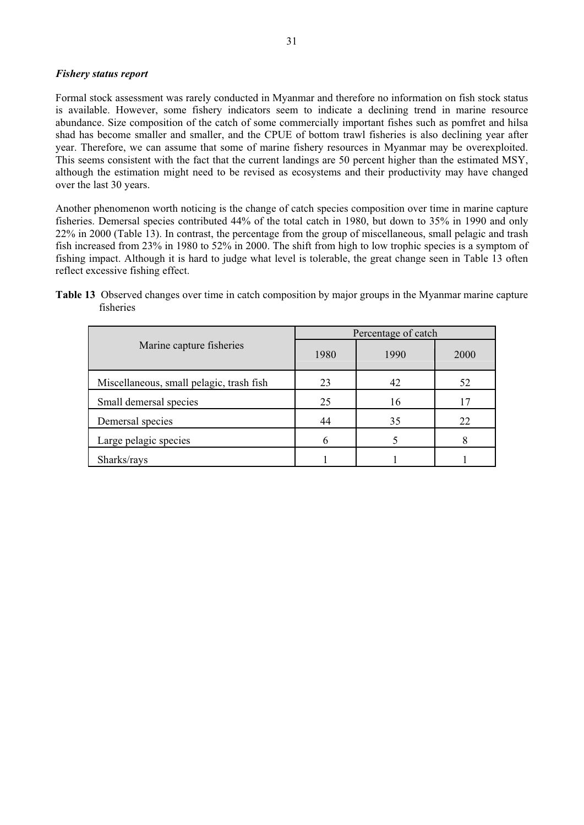#### *Fishery status report*

Formal stock assessment was rarely conducted in Myanmar and therefore no information on fish stock status is available. However, some fishery indicators seem to indicate a declining trend in marine resource abundance. Size composition of the catch of some commercially important fishes such as pomfret and hilsa shad has become smaller and smaller, and the CPUE of bottom trawl fisheries is also declining year after year. Therefore, we can assume that some of marine fishery resources in Myanmar may be overexploited. This seems consistent with the fact that the current landings are 50 percent higher than the estimated MSY, although the estimation might need to be revised as ecosystems and their productivity may have changed over the last 30 years.

Another phenomenon worth noticing is the change of catch species composition over time in marine capture fisheries. Demersal species contributed 44% of the total catch in 1980, but down to 35% in 1990 and only 22% in 2000 (Table 13). In contrast, the percentage from the group of miscellaneous, small pelagic and trash fish increased from 23% in 1980 to 52% in 2000. The shift from high to low trophic species is a symptom of fishing impact. Although it is hard to judge what level is tolerable, the great change seen in Table 13 often reflect excessive fishing effect.

|                                          | Percentage of catch |      |      |  |
|------------------------------------------|---------------------|------|------|--|
| Marine capture fisheries                 | 1980                | 1990 | 2000 |  |
| Miscellaneous, small pelagic, trash fish | 23                  | 42   | 52   |  |
| Small demersal species                   | 25                  | 16   |      |  |
| Demersal species                         | 44                  | 35   | 22   |  |
| Large pelagic species                    |                     |      |      |  |
| Sharks/rays                              |                     |      |      |  |

**Table 13** Observed changes over time in catch composition by major groups in the Myanmar marine capture fisheries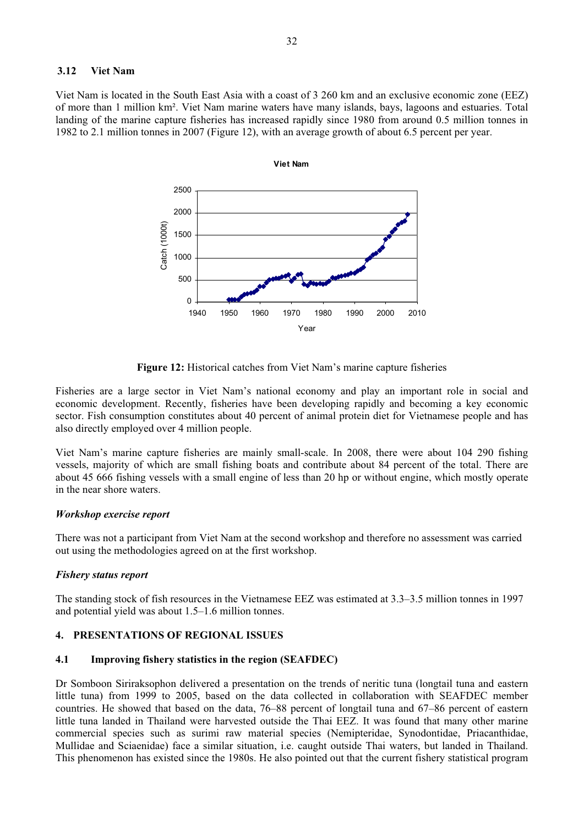#### **3.12 Viet Nam**

Viet Nam is located in the South East Asia with a coast of 3 260 km and an exclusive economic zone (EEZ) of more than 1 million km². Viet Nam marine waters have many islands, bays, lagoons and estuaries. Total landing of the marine capture fisheries has increased rapidly since 1980 from around 0.5 million tonnes in 1982 to 2.1 million tonnes in 2007 (Figure 12), with an average growth of about 6.5 percent per year.



**Figure 12:** Historical catches from Viet Nam's marine capture fisheries

Fisheries are a large sector in Viet Nam's national economy and play an important role in social and economic development. Recently, fisheries have been developing rapidly and becoming a key economic sector. Fish consumption constitutes about 40 percent of animal protein diet for Vietnamese people and has also directly employed over 4 million people.

Viet Nam's marine capture fisheries are mainly small-scale. In 2008, there were about 104 290 fishing vessels, majority of which are small fishing boats and contribute about 84 percent of the total. There are about 45 666 fishing vessels with a small engine of less than 20 hp or without engine, which mostly operate in the near shore waters.

# *Workshop exercise report*

There was not a participant from Viet Nam at the second workshop and therefore no assessment was carried out using the methodologies agreed on at the first workshop.

# *Fishery status report*

The standing stock of fish resources in the Vietnamese EEZ was estimated at 3.3–3.5 million tonnes in 1997 and potential yield was about 1.5–1.6 million tonnes.

# **4. PRESENTATIONS OF REGIONAL ISSUES**

# **4.1 Improving fishery statistics in the region (SEAFDEC)**

Dr Somboon Siriraksophon delivered a presentation on the trends of neritic tuna (longtail tuna and eastern little tuna) from 1999 to 2005, based on the data collected in collaboration with SEAFDEC member countries. He showed that based on the data, 76–88 percent of longtail tuna and 67–86 percent of eastern little tuna landed in Thailand were harvested outside the Thai EEZ. It was found that many other marine commercial species such as surimi raw material species (Nemipteridae, Synodontidae, Priacanthidae, Mullidae and Sciaenidae) face a similar situation, i.e. caught outside Thai waters, but landed in Thailand. This phenomenon has existed since the 1980s. He also pointed out that the current fishery statistical program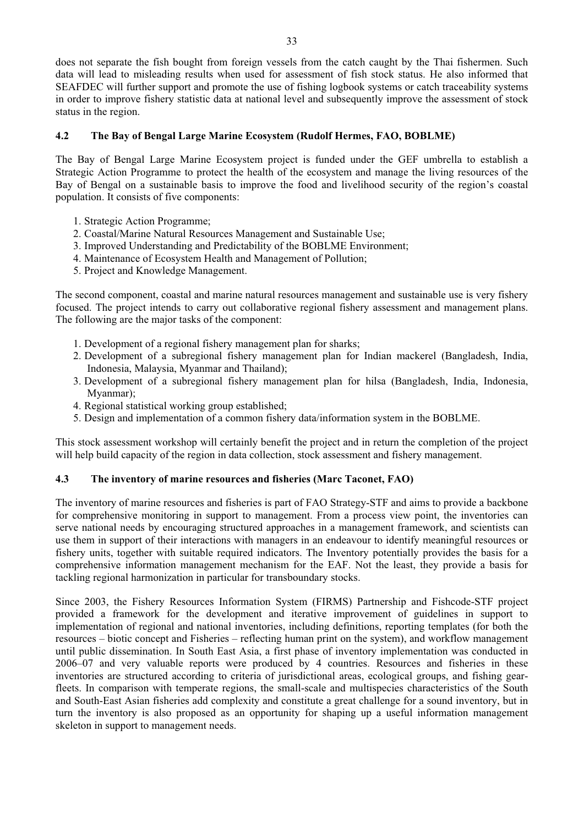does not separate the fish bought from foreign vessels from the catch caught by the Thai fishermen. Such data will lead to misleading results when used for assessment of fish stock status. He also informed that SEAFDEC will further support and promote the use of fishing logbook systems or catch traceability systems in order to improve fishery statistic data at national level and subsequently improve the assessment of stock status in the region.

# **4.2 The Bay of Bengal Large Marine Ecosystem (Rudolf Hermes, FAO, BOBLME)**

The Bay of Bengal Large Marine Ecosystem project is funded under the GEF umbrella to establish a Strategic Action Programme to protect the health of the ecosystem and manage the living resources of the Bay of Bengal on a sustainable basis to improve the food and livelihood security of the region's coastal population. It consists of five components:

- 1. Strategic Action Programme;
- 2. Coastal/Marine Natural Resources Management and Sustainable Use;
- 3. Improved Understanding and Predictability of the BOBLME Environment;
- 4. Maintenance of Ecosystem Health and Management of Pollution;
- 5. Project and Knowledge Management.

The second component, coastal and marine natural resources management and sustainable use is very fishery focused. The project intends to carry out collaborative regional fishery assessment and management plans. The following are the major tasks of the component:

- 1. Development of a regional fishery management plan for sharks;
- 2. Development of a subregional fishery management plan for Indian mackerel (Bangladesh, India, Indonesia, Malaysia, Myanmar and Thailand);
- 3. Development of a subregional fishery management plan for hilsa (Bangladesh, India, Indonesia, Myanmar);
- 4. Regional statistical working group established;
- 5. Design and implementation of a common fishery data/information system in the BOBLME.

This stock assessment workshop will certainly benefit the project and in return the completion of the project will help build capacity of the region in data collection, stock assessment and fishery management.

# **4.3 The inventory of marine resources and fisheries (Marc Taconet, FAO)**

The inventory of marine resources and fisheries is part of FAO Strategy-STF and aims to provide a backbone for comprehensive monitoring in support to management. From a process view point, the inventories can serve national needs by encouraging structured approaches in a management framework, and scientists can use them in support of their interactions with managers in an endeavour to identify meaningful resources or fishery units, together with suitable required indicators. The Inventory potentially provides the basis for a comprehensive information management mechanism for the EAF. Not the least, they provide a basis for tackling regional harmonization in particular for transboundary stocks.

Since 2003, the Fishery Resources Information System (FIRMS) Partnership and Fishcode-STF project provided a framework for the development and iterative improvement of guidelines in support to implementation of regional and national inventories, including definitions, reporting templates (for both the resources – biotic concept and Fisheries – reflecting human print on the system), and workflow management until public dissemination. In South East Asia, a first phase of inventory implementation was conducted in 2006–07 and very valuable reports were produced by 4 countries. Resources and fisheries in these inventories are structured according to criteria of jurisdictional areas, ecological groups, and fishing gearfleets. In comparison with temperate regions, the small-scale and multispecies characteristics of the South and South-East Asian fisheries add complexity and constitute a great challenge for a sound inventory, but in turn the inventory is also proposed as an opportunity for shaping up a useful information management skeleton in support to management needs.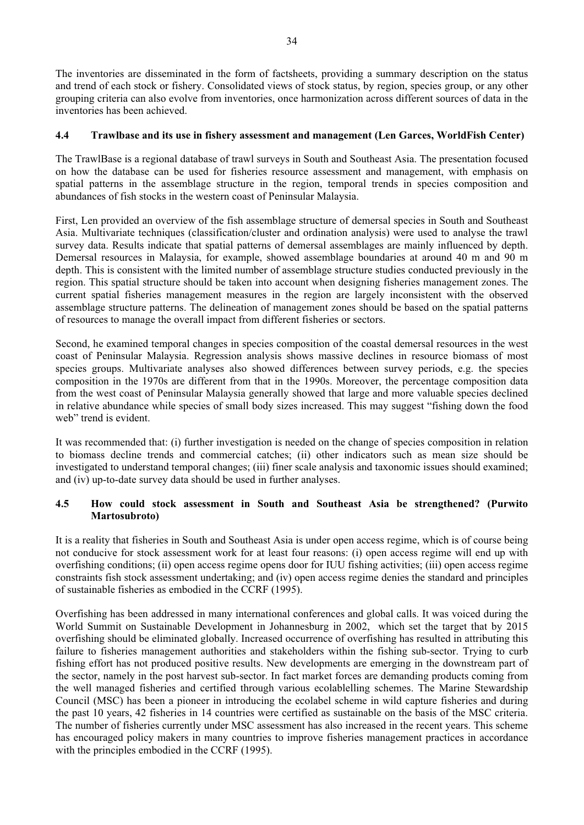The inventories are disseminated in the form of factsheets, providing a summary description on the status and trend of each stock or fishery. Consolidated views of stock status, by region, species group, or any other grouping criteria can also evolve from inventories, once harmonization across different sources of data in the inventories has been achieved.

# **4.4 Trawlbase and its use in fishery assessment and management (Len Garces, WorldFish Center)**

The TrawlBase is a regional database of trawl surveys in South and Southeast Asia. The presentation focused on how the database can be used for fisheries resource assessment and management, with emphasis on spatial patterns in the assemblage structure in the region, temporal trends in species composition and abundances of fish stocks in the western coast of Peninsular Malaysia.

First, Len provided an overview of the fish assemblage structure of demersal species in South and Southeast Asia. Multivariate techniques (classification/cluster and ordination analysis) were used to analyse the trawl survey data. Results indicate that spatial patterns of demersal assemblages are mainly influenced by depth. Demersal resources in Malaysia, for example, showed assemblage boundaries at around 40 m and 90 m depth. This is consistent with the limited number of assemblage structure studies conducted previously in the region. This spatial structure should be taken into account when designing fisheries management zones. The current spatial fisheries management measures in the region are largely inconsistent with the observed assemblage structure patterns. The delineation of management zones should be based on the spatial patterns of resources to manage the overall impact from different fisheries or sectors.

Second, he examined temporal changes in species composition of the coastal demersal resources in the west coast of Peninsular Malaysia. Regression analysis shows massive declines in resource biomass of most species groups. Multivariate analyses also showed differences between survey periods, e.g. the species composition in the 1970s are different from that in the 1990s. Moreover, the percentage composition data from the west coast of Peninsular Malaysia generally showed that large and more valuable species declined in relative abundance while species of small body sizes increased. This may suggest "fishing down the food web" trend is evident.

It was recommended that: (i) further investigation is needed on the change of species composition in relation to biomass decline trends and commercial catches; (ii) other indicators such as mean size should be investigated to understand temporal changes; (iii) finer scale analysis and taxonomic issues should examined; and (iv) up-to-date survey data should be used in further analyses.

# **4.5 How could stock assessment in South and Southeast Asia be strengthened? (Purwito Martosubroto)**

It is a reality that fisheries in South and Southeast Asia is under open access regime, which is of course being not conducive for stock assessment work for at least four reasons: (i) open access regime will end up with overfishing conditions; (ii) open access regime opens door for IUU fishing activities; (iii) open access regime constraints fish stock assessment undertaking; and (iv) open access regime denies the standard and principles of sustainable fisheries as embodied in the CCRF (1995).

Overfishing has been addressed in many international conferences and global calls. It was voiced during the World Summit on Sustainable Development in Johannesburg in 2002, which set the target that by 2015 overfishing should be eliminated globally. Increased occurrence of overfishing has resulted in attributing this failure to fisheries management authorities and stakeholders within the fishing sub-sector. Trying to curb fishing effort has not produced positive results. New developments are emerging in the downstream part of the sector, namely in the post harvest sub-sector. In fact market forces are demanding products coming from the well managed fisheries and certified through various ecolablelling schemes. The Marine Stewardship Council (MSC) has been a pioneer in introducing the ecolabel scheme in wild capture fisheries and during the past 10 years, 42 fisheries in 14 countries were certified as sustainable on the basis of the MSC criteria. The number of fisheries currently under MSC assessment has also increased in the recent years. This scheme has encouraged policy makers in many countries to improve fisheries management practices in accordance with the principles embodied in the CCRF (1995).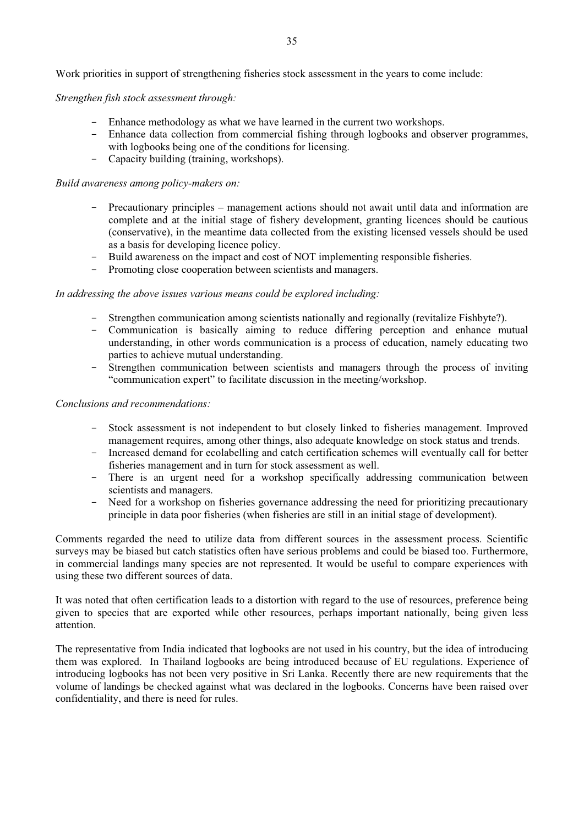*Strengthen fish stock assessment through:* 

- Enhance methodology as what we have learned in the current two workshops.
- Enhance data collection from commercial fishing through logbooks and observer programmes, with logbooks being one of the conditions for licensing.
- Capacity building (training, workshops).

#### *Build awareness among policy-makers on:*

- Precautionary principles management actions should not await until data and information are complete and at the initial stage of fishery development, granting licences should be cautious (conservative), in the meantime data collected from the existing licensed vessels should be used as a basis for developing licence policy.
- Build awareness on the impact and cost of NOT implementing responsible fisheries.
- Promoting close cooperation between scientists and managers.

# *In addressing the above issues various means could be explored including:*

- Strengthen communication among scientists nationally and regionally (revitalize Fishbyte?).
- Communication is basically aiming to reduce differing perception and enhance mutual understanding, in other words communication is a process of education, namely educating two parties to achieve mutual understanding.
- Strengthen communication between scientists and managers through the process of inviting "communication expert" to facilitate discussion in the meeting/workshop.

#### *Conclusions and recommendations:*

- Stock assessment is not independent to but closely linked to fisheries management. Improved management requires, among other things, also adequate knowledge on stock status and trends.
- Increased demand for ecolabelling and catch certification schemes will eventually call for better fisheries management and in turn for stock assessment as well.
- There is an urgent need for a workshop specifically addressing communication between scientists and managers.
- Need for a workshop on fisheries governance addressing the need for prioritizing precautionary principle in data poor fisheries (when fisheries are still in an initial stage of development).

Comments regarded the need to utilize data from different sources in the assessment process. Scientific surveys may be biased but catch statistics often have serious problems and could be biased too. Furthermore, in commercial landings many species are not represented. It would be useful to compare experiences with using these two different sources of data.

It was noted that often certification leads to a distortion with regard to the use of resources, preference being given to species that are exported while other resources, perhaps important nationally, being given less attention.

The representative from India indicated that logbooks are not used in his country, but the idea of introducing them was explored. In Thailand logbooks are being introduced because of EU regulations. Experience of introducing logbooks has not been very positive in Sri Lanka. Recently there are new requirements that the volume of landings be checked against what was declared in the logbooks. Concerns have been raised over confidentiality, and there is need for rules.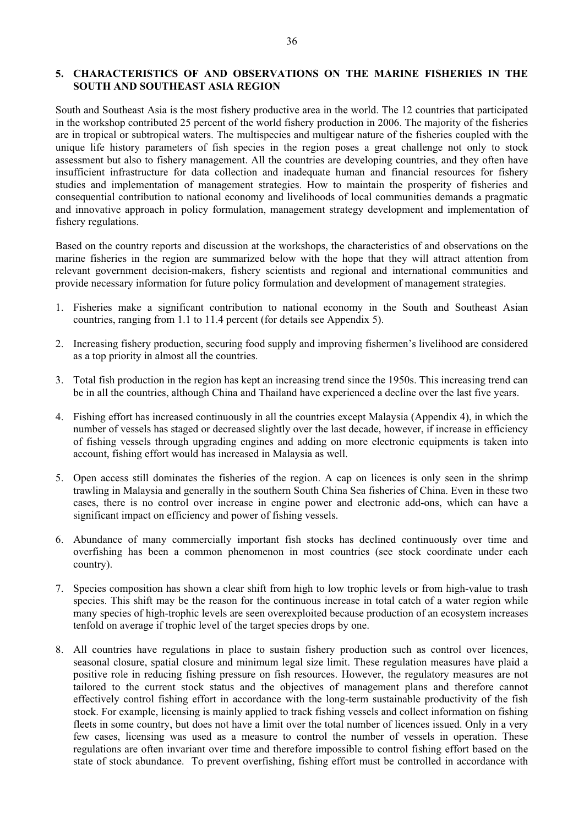# **5. CHARACTERISTICS OF AND OBSERVATIONS ON THE MARINE FISHERIES IN THE SOUTH AND SOUTHEAST ASIA REGION**

South and Southeast Asia is the most fishery productive area in the world. The 12 countries that participated in the workshop contributed 25 percent of the world fishery production in 2006. The majority of the fisheries are in tropical or subtropical waters. The multispecies and multigear nature of the fisheries coupled with the unique life history parameters of fish species in the region poses a great challenge not only to stock assessment but also to fishery management. All the countries are developing countries, and they often have insufficient infrastructure for data collection and inadequate human and financial resources for fishery studies and implementation of management strategies. How to maintain the prosperity of fisheries and consequential contribution to national economy and livelihoods of local communities demands a pragmatic and innovative approach in policy formulation, management strategy development and implementation of fishery regulations.

Based on the country reports and discussion at the workshops, the characteristics of and observations on the marine fisheries in the region are summarized below with the hope that they will attract attention from relevant government decision-makers, fishery scientists and regional and international communities and provide necessary information for future policy formulation and development of management strategies.

- 1. Fisheries make a significant contribution to national economy in the South and Southeast Asian countries, ranging from 1.1 to 11.4 percent (for details see Appendix 5).
- 2. Increasing fishery production, securing food supply and improving fishermen's livelihood are considered as a top priority in almost all the countries.
- 3. Total fish production in the region has kept an increasing trend since the 1950s. This increasing trend can be in all the countries, although China and Thailand have experienced a decline over the last five years.
- 4. Fishing effort has increased continuously in all the countries except Malaysia (Appendix 4), in which the number of vessels has staged or decreased slightly over the last decade, however, if increase in efficiency of fishing vessels through upgrading engines and adding on more electronic equipments is taken into account, fishing effort would has increased in Malaysia as well.
- 5. Open access still dominates the fisheries of the region. A cap on licences is only seen in the shrimp trawling in Malaysia and generally in the southern South China Sea fisheries of China. Even in these two cases, there is no control over increase in engine power and electronic add-ons, which can have a significant impact on efficiency and power of fishing vessels.
- 6. Abundance of many commercially important fish stocks has declined continuously over time and overfishing has been a common phenomenon in most countries (see stock coordinate under each country).
- 7. Species composition has shown a clear shift from high to low trophic levels or from high-value to trash species. This shift may be the reason for the continuous increase in total catch of a water region while many species of high-trophic levels are seen overexploited because production of an ecosystem increases tenfold on average if trophic level of the target species drops by one.
- 8. All countries have regulations in place to sustain fishery production such as control over licences, seasonal closure, spatial closure and minimum legal size limit. These regulation measures have plaid a positive role in reducing fishing pressure on fish resources. However, the regulatory measures are not tailored to the current stock status and the objectives of management plans and therefore cannot effectively control fishing effort in accordance with the long-term sustainable productivity of the fish stock. For example, licensing is mainly applied to track fishing vessels and collect information on fishing fleets in some country, but does not have a limit over the total number of licences issued. Only in a very few cases, licensing was used as a measure to control the number of vessels in operation. These regulations are often invariant over time and therefore impossible to control fishing effort based on the state of stock abundance. To prevent overfishing, fishing effort must be controlled in accordance with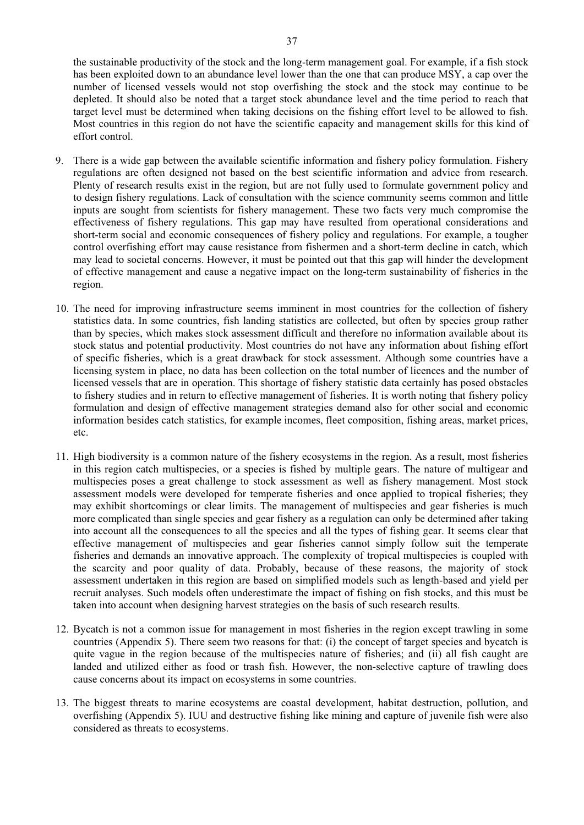the sustainable productivity of the stock and the long-term management goal. For example, if a fish stock has been exploited down to an abundance level lower than the one that can produce MSY, a cap over the number of licensed vessels would not stop overfishing the stock and the stock may continue to be depleted. It should also be noted that a target stock abundance level and the time period to reach that target level must be determined when taking decisions on the fishing effort level to be allowed to fish. Most countries in this region do not have the scientific capacity and management skills for this kind of effort control.

- 9. There is a wide gap between the available scientific information and fishery policy formulation. Fishery regulations are often designed not based on the best scientific information and advice from research. Plenty of research results exist in the region, but are not fully used to formulate government policy and to design fishery regulations. Lack of consultation with the science community seems common and little inputs are sought from scientists for fishery management. These two facts very much compromise the effectiveness of fishery regulations. This gap may have resulted from operational considerations and short-term social and economic consequences of fishery policy and regulations. For example, a tougher control overfishing effort may cause resistance from fishermen and a short-term decline in catch, which may lead to societal concerns. However, it must be pointed out that this gap will hinder the development of effective management and cause a negative impact on the long-term sustainability of fisheries in the region.
- 10. The need for improving infrastructure seems imminent in most countries for the collection of fishery statistics data. In some countries, fish landing statistics are collected, but often by species group rather than by species, which makes stock assessment difficult and therefore no information available about its stock status and potential productivity. Most countries do not have any information about fishing effort of specific fisheries, which is a great drawback for stock assessment. Although some countries have a licensing system in place, no data has been collection on the total number of licences and the number of licensed vessels that are in operation. This shortage of fishery statistic data certainly has posed obstacles to fishery studies and in return to effective management of fisheries. It is worth noting that fishery policy formulation and design of effective management strategies demand also for other social and economic information besides catch statistics, for example incomes, fleet composition, fishing areas, market prices, etc.
- 11. High biodiversity is a common nature of the fishery ecosystems in the region. As a result, most fisheries in this region catch multispecies, or a species is fished by multiple gears. The nature of multigear and multispecies poses a great challenge to stock assessment as well as fishery management. Most stock assessment models were developed for temperate fisheries and once applied to tropical fisheries; they may exhibit shortcomings or clear limits. The management of multispecies and gear fisheries is much more complicated than single species and gear fishery as a regulation can only be determined after taking into account all the consequences to all the species and all the types of fishing gear. It seems clear that effective management of multispecies and gear fisheries cannot simply follow suit the temperate fisheries and demands an innovative approach. The complexity of tropical multispecies is coupled with the scarcity and poor quality of data. Probably, because of these reasons, the majority of stock assessment undertaken in this region are based on simplified models such as length-based and yield per recruit analyses. Such models often underestimate the impact of fishing on fish stocks, and this must be taken into account when designing harvest strategies on the basis of such research results.
- 12. Bycatch is not a common issue for management in most fisheries in the region except trawling in some countries (Appendix 5). There seem two reasons for that: (i) the concept of target species and bycatch is quite vague in the region because of the multispecies nature of fisheries; and (ii) all fish caught are landed and utilized either as food or trash fish. However, the non-selective capture of trawling does cause concerns about its impact on ecosystems in some countries.
- 13. The biggest threats to marine ecosystems are coastal development, habitat destruction, pollution, and overfishing (Appendix 5). IUU and destructive fishing like mining and capture of juvenile fish were also considered as threats to ecosystems.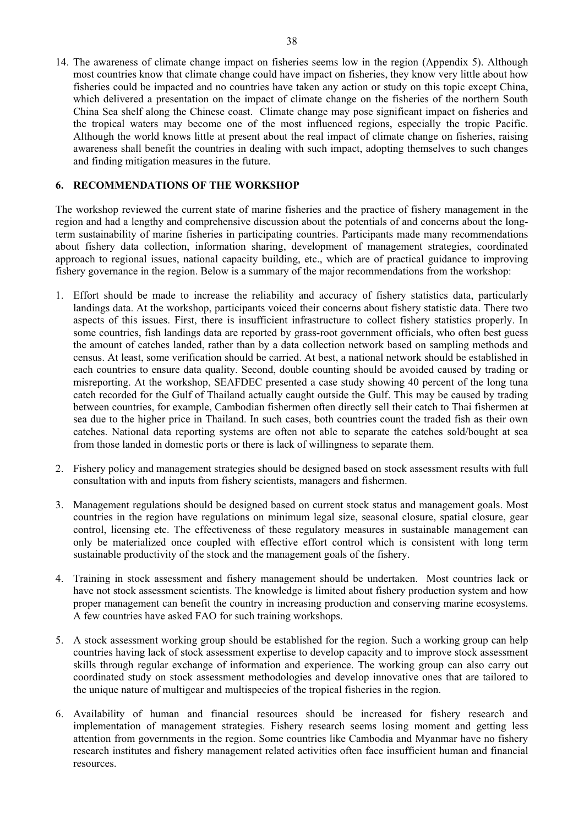14. The awareness of climate change impact on fisheries seems low in the region (Appendix 5). Although most countries know that climate change could have impact on fisheries, they know very little about how fisheries could be impacted and no countries have taken any action or study on this topic except China, which delivered a presentation on the impact of climate change on the fisheries of the northern South China Sea shelf along the Chinese coast. Climate change may pose significant impact on fisheries and the tropical waters may become one of the most influenced regions, especially the tropic Pacific. Although the world knows little at present about the real impact of climate change on fisheries, raising awareness shall benefit the countries in dealing with such impact, adopting themselves to such changes and finding mitigation measures in the future.

# **6. RECOMMENDATIONS OF THE WORKSHOP**

The workshop reviewed the current state of marine fisheries and the practice of fishery management in the region and had a lengthy and comprehensive discussion about the potentials of and concerns about the longterm sustainability of marine fisheries in participating countries. Participants made many recommendations about fishery data collection, information sharing, development of management strategies, coordinated approach to regional issues, national capacity building, etc., which are of practical guidance to improving fishery governance in the region. Below is a summary of the major recommendations from the workshop:

- 1. Effort should be made to increase the reliability and accuracy of fishery statistics data, particularly landings data. At the workshop, participants voiced their concerns about fishery statistic data. There two aspects of this issues. First, there is insufficient infrastructure to collect fishery statistics properly. In some countries, fish landings data are reported by grass-root government officials, who often best guess the amount of catches landed, rather than by a data collection network based on sampling methods and census. At least, some verification should be carried. At best, a national network should be established in each countries to ensure data quality. Second, double counting should be avoided caused by trading or misreporting. At the workshop, SEAFDEC presented a case study showing 40 percent of the long tuna catch recorded for the Gulf of Thailand actually caught outside the Gulf. This may be caused by trading between countries, for example, Cambodian fishermen often directly sell their catch to Thai fishermen at sea due to the higher price in Thailand. In such cases, both countries count the traded fish as their own catches. National data reporting systems are often not able to separate the catches sold/bought at sea from those landed in domestic ports or there is lack of willingness to separate them.
- 2. Fishery policy and management strategies should be designed based on stock assessment results with full consultation with and inputs from fishery scientists, managers and fishermen.
- 3. Management regulations should be designed based on current stock status and management goals. Most countries in the region have regulations on minimum legal size, seasonal closure, spatial closure, gear control, licensing etc. The effectiveness of these regulatory measures in sustainable management can only be materialized once coupled with effective effort control which is consistent with long term sustainable productivity of the stock and the management goals of the fishery.
- 4. Training in stock assessment and fishery management should be undertaken. Most countries lack or have not stock assessment scientists. The knowledge is limited about fishery production system and how proper management can benefit the country in increasing production and conserving marine ecosystems. A few countries have asked FAO for such training workshops.
- 5. A stock assessment working group should be established for the region. Such a working group can help countries having lack of stock assessment expertise to develop capacity and to improve stock assessment skills through regular exchange of information and experience. The working group can also carry out coordinated study on stock assessment methodologies and develop innovative ones that are tailored to the unique nature of multigear and multispecies of the tropical fisheries in the region.
- 6. Availability of human and financial resources should be increased for fishery research and implementation of management strategies. Fishery research seems losing moment and getting less attention from governments in the region. Some countries like Cambodia and Myanmar have no fishery research institutes and fishery management related activities often face insufficient human and financial resources.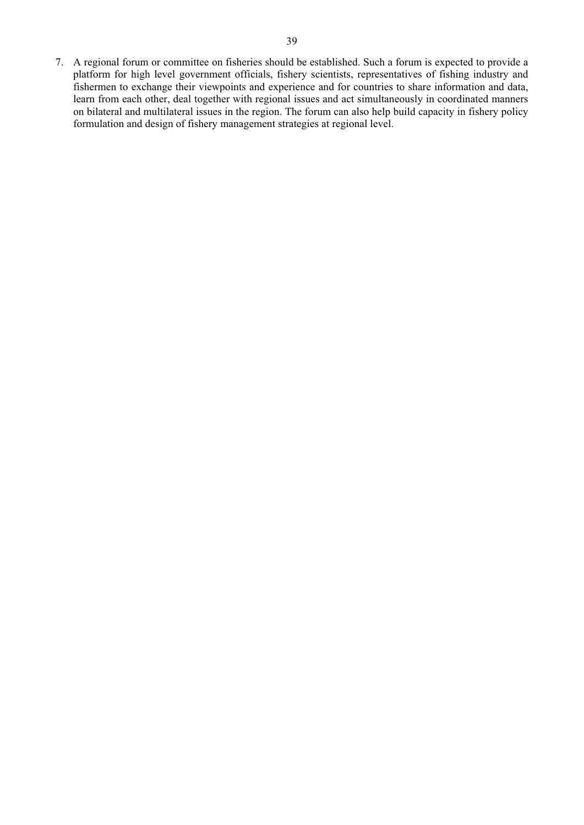7. A regional forum or committee on fisheries should be established. Such a forum is expected to provide a platform for high level government officials, fishery scientists, representatives of fishing industry and fishermen to exchange their viewpoints and experience and for countries to share information and data, learn from each other, deal together with regional issues and act simultaneously in coordinated manners on bilateral and multilateral issues in the region. The forum can also help build capacity in fishery policy formulation and design of fishery management strategies at regional level.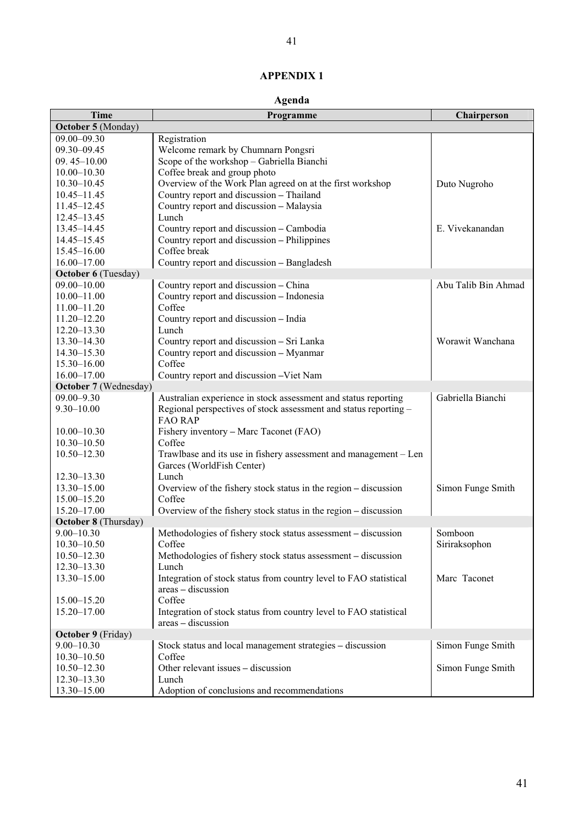# **APPENDIX 1**

# **Agenda**

| <b>Time</b>                 | Programme                                                                                     | Chairperson         |
|-----------------------------|-----------------------------------------------------------------------------------------------|---------------------|
| October 5 (Monday)          |                                                                                               |                     |
| $09.00 - 09.30$             | Registration                                                                                  |                     |
| 09.30-09.45                 | Welcome remark by Chumnarn Pongsri                                                            |                     |
| $09.45 - 10.00$             | Scope of the workshop - Gabriella Bianchi                                                     |                     |
| $10.00 - 10.30$             | Coffee break and group photo                                                                  |                     |
| $10.30 - 10.45$             | Overview of the Work Plan agreed on at the first workshop                                     | Duto Nugroho        |
| $10.45 - 11.45$             | Country report and discussion - Thailand                                                      |                     |
| 11.45-12.45                 | Country report and discussion - Malaysia                                                      |                     |
| $12.45 - 13.45$             | Lunch                                                                                         |                     |
| $13.45 - 14.45$             | Country report and discussion - Cambodia                                                      | E. Vivekanandan     |
| $14.45 - 15.45$             | Country report and discussion – Philippines                                                   |                     |
| $15.45 - 16.00$             | Coffee break                                                                                  |                     |
| $16.00 - 17.00$             | Country report and discussion - Bangladesh                                                    |                     |
| <b>October 6 (Tuesday)</b>  |                                                                                               |                     |
| $09.00 - 10.00$             | Country report and discussion - China                                                         | Abu Talib Bin Ahmad |
| $10.00 - 11.00$             | Country report and discussion - Indonesia                                                     |                     |
| 11.00-11.20                 | Coffee                                                                                        |                     |
| $11.20 - 12.20$             | Country report and discussion - India                                                         |                     |
| $12.20 - 13.30$             | Lunch                                                                                         |                     |
| $13.30 - 14.30$             | Country report and discussion - Sri Lanka                                                     | Worawit Wanchana    |
| $14.30 - 15.30$             | Country report and discussion - Myanmar                                                       |                     |
| $15.30 - 16.00$             | Coffee                                                                                        |                     |
| $16.00 - 17.00$             | Country report and discussion -Viet Nam                                                       |                     |
| October 7 (Wednesday)       |                                                                                               |                     |
| $09.00 - 9.30$              | Australian experience in stock assessment and status reporting                                | Gabriella Bianchi   |
| $9.30 - 10.00$              | Regional perspectives of stock assessment and status reporting -<br><b>FAO RAP</b>            |                     |
| $10.00 - 10.30$             | Fishery inventory - Marc Taconet (FAO)                                                        |                     |
| $10.30 - 10.50$             | Coffee                                                                                        |                     |
| $10.50 - 12.30$             | Trawlbase and its use in fishery assessment and management – Len<br>Garces (WorldFish Center) |                     |
| $12.30 - 13.30$             | Lunch                                                                                         |                     |
| $13.30 - 15.00$             | Overview of the fishery stock status in the region – discussion                               | Simon Funge Smith   |
| $15.00 - 15.20$             | Coffee                                                                                        |                     |
| 15.20-17.00                 | Overview of the fishery stock status in the region - discussion                               |                     |
| <b>October 8 (Thursday)</b> |                                                                                               |                     |
| $9.00 - 10.30$              | Methodologies of fishery stock status assessment – discussion                                 | Somboon             |
| $10.30 - 10.50$             | Coffee                                                                                        | Siriraksophon       |
| $10.50 - 12.30$             | Methodologies of fishery stock status assessment - discussion                                 |                     |
| $12.30 - 13.30$             | Lunch                                                                                         |                     |
| 13.30-15.00                 | Integration of stock status from country level to FAO statistical                             | Marc Taconet        |
|                             | areas - discussion                                                                            |                     |
| $15.00 - 15.20$             | Coffee                                                                                        |                     |
| 15.20-17.00                 | Integration of stock status from country level to FAO statistical<br>areas - discussion       |                     |
| October 9 (Friday)          |                                                                                               |                     |
| $9.00 - 10.30$              | Stock status and local management strategies - discussion                                     | Simon Funge Smith   |
| $10.30 - 10.50$             | Coffee                                                                                        |                     |
| $10.50 - 12.30$             | Other relevant issues - discussion                                                            | Simon Funge Smith   |
| $12.30 - 13.30$             | Lunch                                                                                         |                     |
| 13.30-15.00                 | Adoption of conclusions and recommendations                                                   |                     |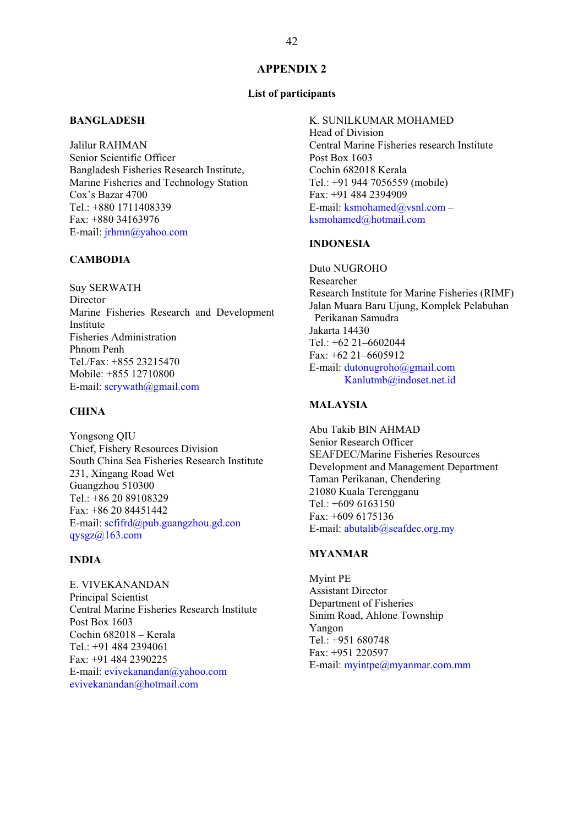# **APPENDIX 2**

# **List of participants**

# **BANGLADESH**

Jalilur RAHMAN Senior Scientific Officer Bangladesh Fisheries Research Institute, Marine Fisheries and Technology Station Cox's Bazar 4700 Tel.: +880 1711408339 Fax: +880 34163976 E-mail: jrhmn@yahoo.com

# **CAMBODIA**

Suy SERWATH Director Marine Fisheries Research and Development Institute Fisheries Administration Phnom Penh Tel./Fax: +855 23215470 Mobile: +855 12710800 E-mail: serywath@gmail.com

# **CHINA**

Yongsong QIU Chief, Fishery Resources Division South China Sea Fisheries Research Institute 231, Xingang Road Wet Guangzhou 510300 Tel.: +86 20 89108329 Fax: +86 20 84451442 E-mail: scfifrd@pub.guangzhou.gd.con  $qysgz(a)163.com$ 

# **INDIA**

E. VIVEKANANDAN Principal Scientist Central Marine Fisheries Research Institute Post Box 1603 Cochin 682018 – Kerala Tel.: +91 484 2394061 Fax: +91 484 2390225 E-mail: evivekanandan@yahoo.com evivekanandan@hotmail.com

#### K. SUNILKUMAR MOHAMED

Head of Division Central Marine Fisheries research Institute Post Box 1603 Cochin 682018 Kerala Tel.: +91 944 7056559 (mobile) Fax: +91 484 2394909 E-mail: ksmohamed@vsnl.com – ksmohamed@hotmail.com

# **INDONESIA**

Duto NUGROHO Researcher Research Institute for Marine Fisheries (RIMF) Jalan Muara Baru Ujung, Komplek Pelabuhan Perikanan Samudra Jakarta 14430 Tel.: +62 21–6602044 Fax: +62 21–6605912 E-mail: dutonugroho@gmail.com Kanlutmb@indoset.net.id

# **MALAYSIA**

Abu Takib BIN AHMAD Senior Research Officer SEAFDEC/Marine Fisheries Resources Development and Management Department Taman Perikanan, Chendering 21080 Kuala Terengganu  $Tel \cdot +6096163150$ Fax: +609 6175136 E-mail: abutalib@seafdec.org.my

#### **MYANMAR**

Myint PE Assistant Director Department of Fisheries Sinim Road, Ahlone Township Yangon Tel.: +951 680748 Fax: +951 220597 E-mail: myintpe@myanmar.com.mm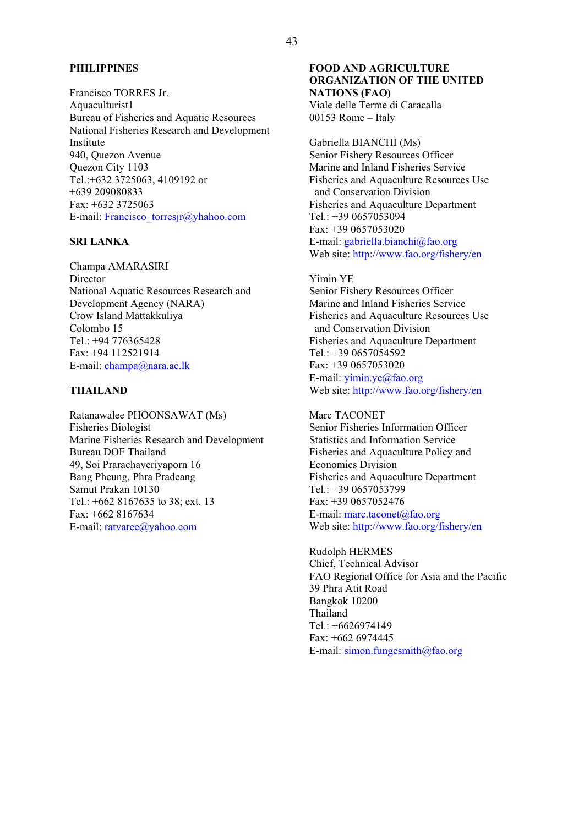#### **PHILIPPINES**

Francisco TORRES Jr. Aquaculturist1 Bureau of Fisheries and Aquatic Resources National Fisheries Research and Development Institute 940, Quezon Avenue Quezon City 1103 Tel.:+632 3725063, 4109192 or +639 209080833 Fax: +632 3725063 E-mail: Francisco\_torresjr@yhahoo.com

# **SRI LANKA**

Champa AMARASIRI **Director** National Aquatic Resources Research and Development Agency (NARA) Crow Island Mattakkuliya Colombo 15 Tel.: +94 776365428 Fax: +94 112521914 E-mail: champa@nara.ac.lk

# **THAILAND**

Ratanawalee PHOONSAWAT (Ms) Fisheries Biologist Marine Fisheries Research and Development Bureau DOF Thailand 49, Soi Prarachaveriyaporn 16 Bang Pheung, Phra Pradeang Samut Prakan 10130 Tel.: +662 8167635 to 38; ext. 13 Fax: +662 8167634 E-mail: ratvaree@yahoo.com

#### **FOOD AND AGRICULTURE ORGANIZATION OF THE UNITED NATIONS (FAO)**  Viale delle Terme di Caracalla 00153 Rome – Italy

Gabriella BIANCHI (Ms) Senior Fishery Resources Officer Marine and Inland Fisheries Service Fisheries and Aquaculture Resources Use and Conservation Division Fisheries and Aquaculture Department Tel.: +39 0657053094 Fax: +39 0657053020 E-mail: gabriella.bianchi@fao.org Web site: http://www.fao.org/fishery/en

#### Yimin YE

Senior Fishery Resources Officer Marine and Inland Fisheries Service Fisheries and Aquaculture Resources Use and Conservation Division Fisheries and Aquaculture Department Tel.: +39 0657054592 Fax: +39 0657053020 E-mail: yimin.ye@fao.org Web site: http://www.fao.org/fishery/en

Marc TACONET Senior Fisheries Information Officer Statistics and Information Service Fisheries and Aquaculture Policy and Economics Division Fisheries and Aquaculture Department Tel.: +39 0657053799 Fax: +39 0657052476 E-mail: marc.taconet@fao.org Web site: http://www.fao.org/fishery/en

Rudolph HERMES Chief, Technical Advisor FAO Regional Office for Asia and the Pacific 39 Phra Atit Road Bangkok 10200 Thailand Tel.: +6626974149 Fax: +662 6974445 E-mail: simon.fungesmith@fao.org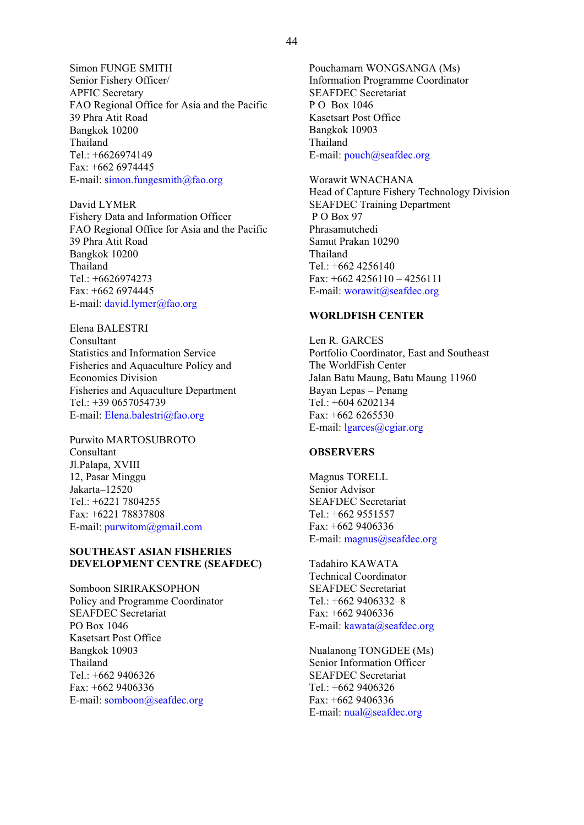Simon FUNGE SMITH Senior Fishery Officer/ APFIC Secretary FAO Regional Office for Asia and the Pacific 39 Phra Atit Road Bangkok 10200 Thailand Tel.: +6626974149 Fax: +662 6974445 E-mail: simon.fungesmith@fao.org

David LYMER Fishery Data and Information Officer FAO Regional Office for Asia and the Pacific 39 Phra Atit Road Bangkok 10200 Thailand Tel.: +6626974273 Fax: +662 6974445 E-mail: david.lymer@fao.org

Elena BALESTRI Consultant Statistics and Information Service Fisheries and Aquaculture Policy and Economics Division Fisheries and Aquaculture Department Tel.: +39 0657054739 E-mail: Elena.balestri@fao.org

Purwito MARTOSUBROTO Consultant Jl.Palapa, XVIII 12, Pasar Minggu Jakarta–12520 Tel.: +6221 7804255 Fax: +6221 78837808 E-mail: purwitom@gmail.com

#### **SOUTHEAST ASIAN FISHERIES DEVELOPMENT CENTRE (SEAFDEC)**

Somboon SIRIRAKSOPHON Policy and Programme Coordinator SEAFDEC Secretariat PO Box 1046 Kasetsart Post Office Bangkok 10903 Thailand Tel.: +662 9406326 Fax: +662 9406336 E-mail: somboon@seafdec.org

44

Information Programme Coordinator SEAFDEC Secretariat P O Box 1046 Kasetsart Post Office Bangkok 10903 Thailand E-mail: pouch@seafdec.org

Worawit WNACHANA Head of Capture Fishery Technology Division SEAFDEC Training Department P O Box 97 Phrasamutchedi Samut Prakan 10290 Thailand Tel.: +662 4256140 Fax:  $+6624256110 - 4256111$ E-mail: worawit@seafdec.org

#### **WORLDFISH CENTER**

Len R. GARCES Portfolio Coordinator, East and Southeast The WorldFish Center Jalan Batu Maung, Batu Maung 11960 Bayan Lepas – Penang Tel.: +604 6202134 Fax: +662 6265530 E-mail: lgarces@cgiar.org

#### **OBSERVERS**

Magnus TORELL Senior Advisor SEAFDEC Secretariat Tel.: +662 9551557 Fax: +662 9406336 E-mail: magnus@seafdec.org

Tadahiro KAWATA Technical Coordinator SEAFDEC Secretariat Tel.: +662 9406332–8 Fax: +662 9406336 E-mail: kawata@seafdec.org

Nualanong TONGDEE (Ms) Senior Information Officer SEAFDEC Secretariat Tel.: +662 9406326 Fax: +662 9406336 E-mail: nual@seafdec.org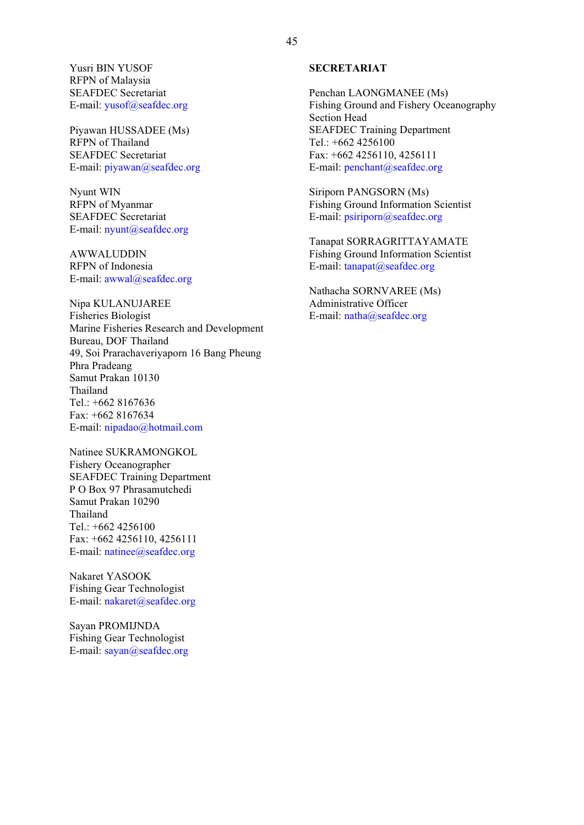Yusri BIN YUSOF RFPN of Malaysia SEAFDEC Secretariat E-mail: yusof@seafdec.org

Piyawan HUSSADEE (Ms) RFPN of Thailand SEAFDEC Secretariat E-mail: piyawan@seafdec.org

Nyunt WIN RFPN of Myanmar SEAFDEC Secretariat E-mail: nyunt@seafdec.org

AWWALUDDIN RFPN of Indonesia E-mail: awwal@seafdec.org

Nipa KULANUJAREE Fisheries Biologist Marine Fisheries Research and Development Bureau, DOF Thailand 49, Soi Prarachaveriyaporn 16 Bang Pheung Phra Pradeang Samut Prakan 10130 Thailand Tel.: +662 8167636 Fax: +662 8167634 E-mail: nipadao@hotmail.com

Natinee SUKRAMONGKOL Fishery Oceanographer SEAFDEC Training Department P O Box 97 Phrasamutchedi Samut Prakan 10290 Thailand Tel.: +662 4256100 Fax: +662 4256110, 4256111 E-mail: natinee@seafdec.org

Nakaret YASOOK Fishing Gear Technologist E-mail: nakaret@seafdec.org

Sayan PROMIJNDA Fishing Gear Technologist E-mail: sayan@seafdec.org

#### **SECRETARIAT**

Penchan LAONGMANEE (Ms) Fishing Ground and Fishery Oceanography Section Head SEAFDEC Training Department Tel.: +662 4256100 Fax: +662 4256110, 4256111 E-mail: penchant@seafdec.org

Siriporn PANGSORN (Ms) Fishing Ground Information Scientist E-mail: psiriporn@seafdec.org

Tanapat SORRAGRITTAYAMATE Fishing Ground Information Scientist E-mail: tanapat@seafdec.org

Nathacha SORNVAREE (Ms) Administrative Officer E-mail: natha@seafdec.org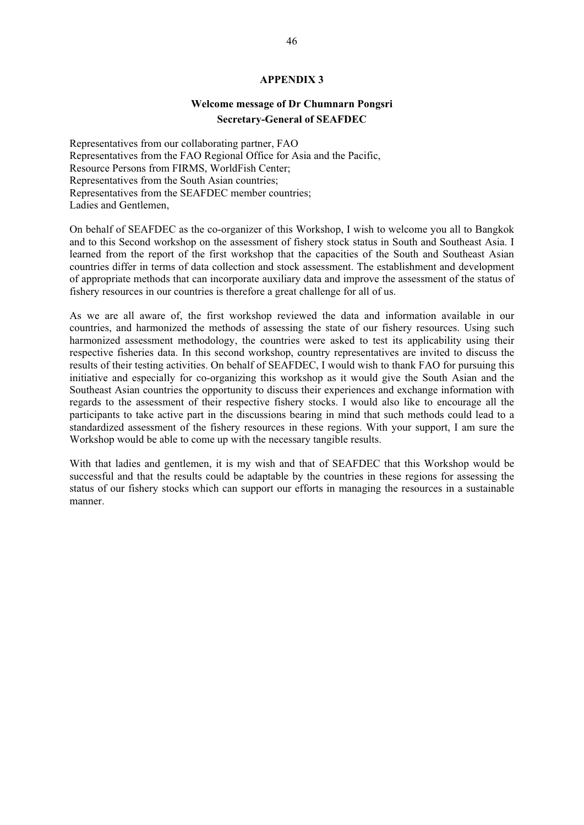#### **APPENDIX 3**

# **Welcome message of Dr Chumnarn Pongsri Secretary-General of SEAFDEC**

Representatives from our collaborating partner, FAO Representatives from the FAO Regional Office for Asia and the Pacific, Resource Persons from FIRMS, WorldFish Center; Representatives from the South Asian countries; Representatives from the SEAFDEC member countries; Ladies and Gentlemen,

On behalf of SEAFDEC as the co-organizer of this Workshop, I wish to welcome you all to Bangkok and to this Second workshop on the assessment of fishery stock status in South and Southeast Asia. I learned from the report of the first workshop that the capacities of the South and Southeast Asian countries differ in terms of data collection and stock assessment. The establishment and development of appropriate methods that can incorporate auxiliary data and improve the assessment of the status of fishery resources in our countries is therefore a great challenge for all of us.

As we are all aware of, the first workshop reviewed the data and information available in our countries, and harmonized the methods of assessing the state of our fishery resources. Using such harmonized assessment methodology, the countries were asked to test its applicability using their respective fisheries data. In this second workshop, country representatives are invited to discuss the results of their testing activities. On behalf of SEAFDEC, I would wish to thank FAO for pursuing this initiative and especially for co-organizing this workshop as it would give the South Asian and the Southeast Asian countries the opportunity to discuss their experiences and exchange information with regards to the assessment of their respective fishery stocks. I would also like to encourage all the participants to take active part in the discussions bearing in mind that such methods could lead to a standardized assessment of the fishery resources in these regions. With your support, I am sure the Workshop would be able to come up with the necessary tangible results.

With that ladies and gentlemen, it is my wish and that of SEAFDEC that this Workshop would be successful and that the results could be adaptable by the countries in these regions for assessing the status of our fishery stocks which can support our efforts in managing the resources in a sustainable manner.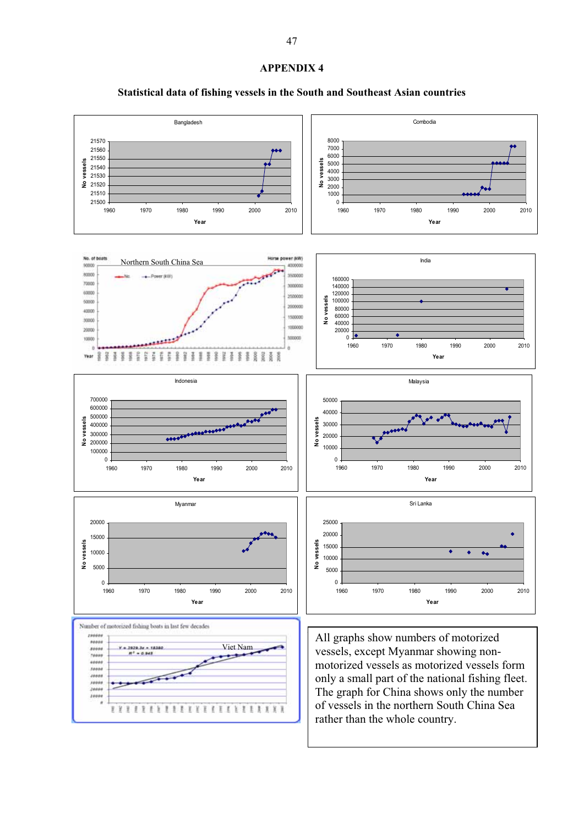#### **APPENDIX 4**

# **Statistical data of fishing vessels in the South and Southeast Asian countries**

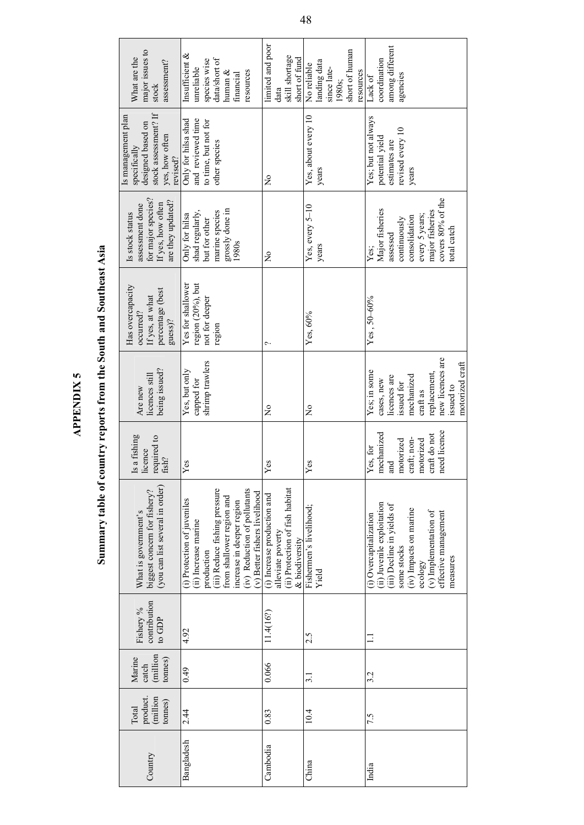| n      |
|--------|
| í      |
| ٠      |
| ٦<br>ŕ |
|        |
| è<br>۲ |

# Summary table of country reports from the South and Southeast Asia **Summary table of country reports from the South and Southeast Asia**

| major issues to<br>What are the<br>assessment?<br>stock                                                       | Insufficient &<br>species wise<br>data/short of<br>unreliable<br>resources<br>human $\&$<br>financial                                                                                                                         | limited and poor<br>skill shortage<br>short of fund<br>data                                           | short of human<br>landing data<br>No reliable<br>since late-<br>resources<br>1980s; | among different<br>coordination<br>agencies<br>Lack of                                                                                                                                                |
|---------------------------------------------------------------------------------------------------------------|-------------------------------------------------------------------------------------------------------------------------------------------------------------------------------------------------------------------------------|-------------------------------------------------------------------------------------------------------|-------------------------------------------------------------------------------------|-------------------------------------------------------------------------------------------------------------------------------------------------------------------------------------------------------|
| stock assessment? If<br>Is management plan<br>designed based on<br>yes, how often<br>specifically<br>revised? | Only for hilsa shad<br>and reviewed time<br>to time, but not for<br>other species                                                                                                                                             | $\frac{1}{2}$                                                                                         | Yes, about every 10<br>years                                                        | Yes; but not always<br>revised every 10<br>potential yield<br>estimates are<br>years                                                                                                                  |
| for major species?<br>are they updated?<br>If yes, how often<br>assessment done<br>Is stock status            | grossly done in<br>1980s<br>marine species<br>shad regularly,<br>Only for hilsa<br>but for other                                                                                                                              | $\frac{1}{2}$                                                                                         | Yes, every 5-10<br>years                                                            | covers 80% of the<br>Major fisheries<br>major fisheries<br>every 5 years;<br>consolidation<br>continuously<br>total catch<br>assessed<br>Yes;                                                         |
| Has overcapacity<br>percentage (best<br>If yes, at what<br>occurred?<br>guess)?                               | region (20%), but<br>Yes for shallower<br>not for deeper<br>region                                                                                                                                                            | ç.,                                                                                                   | Yes, 60%                                                                            | $Yes, 50-60%$                                                                                                                                                                                         |
| being issued?<br>licences still<br>Are new                                                                    | shrimp trawlers<br>Yes, but only<br>capped for                                                                                                                                                                                | $\frac{1}{2}$                                                                                         | $\frac{1}{2}$                                                                       | new licences are<br>motorized craft<br>Yes; in some<br>replacement,<br>licences are<br>mechanized<br>cases, new<br>issued for<br>issued to<br>craft as                                                |
| Is a fishing<br>required to<br>licence<br>fish?                                                               | Yes                                                                                                                                                                                                                           | Yes                                                                                                   | Yes                                                                                 | need licence<br>mechanized<br>craft do not<br>craft; non-<br>motorized<br>motorized<br>Yes, for<br>and                                                                                                |
| (you can list several in order)<br>biggest concern for fishery?<br>What is government's                       | (iii) Reduce fishing pressure<br>(iv) Reduction of pollutants<br>(v) Better fishers livelihood<br>from shallower region and<br>(i) Protection of juveniles<br>increase in deeper region<br>(ii) Increase marine<br>production | (ii) Protection of fish habitat<br>(i) Increase production and<br>alleviate poverty<br>& biodiversity | Fishermen's livelihood;<br>Yield                                                    | (ii) Juvenile exploitation<br>(iii) Decline in yields of<br>(iv) Impacts on marine<br>$(v)$ Implementation of<br>effective management<br>(i) Overcapitalization<br>some stocks<br>measures<br>ecology |
| contribution<br>Fishery %<br>to GDP                                                                           | 4.92                                                                                                                                                                                                                          | 11.4(16?)                                                                                             | 2.5                                                                                 |                                                                                                                                                                                                       |
| (million<br>Marine<br>tonnes)<br>catch                                                                        | 64.0                                                                                                                                                                                                                          | 0.066                                                                                                 | $\overline{3.1}$                                                                    | 3.2                                                                                                                                                                                                   |
| (million<br>product.<br>connes)<br>Total                                                                      | 2.44                                                                                                                                                                                                                          | 0.83                                                                                                  | 10.4                                                                                | 7.5                                                                                                                                                                                                   |
| Country                                                                                                       | Bangladesh                                                                                                                                                                                                                    | Cambodia                                                                                              | China                                                                               | India                                                                                                                                                                                                 |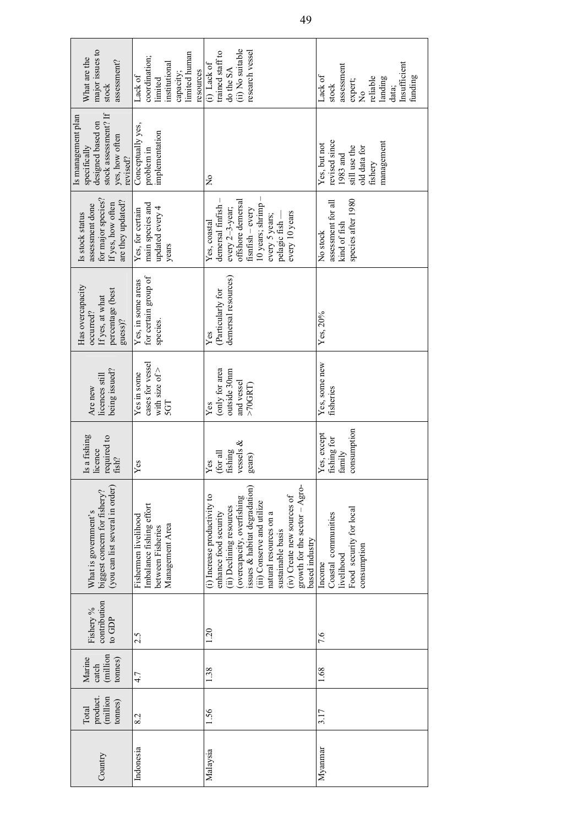| major issues to<br>What are the<br>assessment?<br>stock                                                       | limited human<br>coordination;<br>institutional<br>resources<br>capacity;<br>Lack of<br>limited | (ii) No suitable<br>research vessel<br>trained staff to<br>$(i)$ Lack of<br>do the SA                                                                                                                                                                                                                          | Insufficient<br>assessment<br>Lack of<br>funding<br>reliable<br>landing<br>expert;<br>stock<br>data;<br>$\frac{1}{2}$ |
|---------------------------------------------------------------------------------------------------------------|-------------------------------------------------------------------------------------------------|----------------------------------------------------------------------------------------------------------------------------------------------------------------------------------------------------------------------------------------------------------------------------------------------------------------|-----------------------------------------------------------------------------------------------------------------------|
| stock assessment? If<br>Is management plan<br>designed based on<br>yes, how often<br>specifically<br>revised? | Conceptually yes,<br>implementation<br>problem in                                               | $\tilde{z}$                                                                                                                                                                                                                                                                                                    | revised since<br>management<br>Yes, but not<br>old data for<br>still use the<br>1983 and<br>fishery                   |
| for major species?<br>are they updated?<br>If yes, how often<br>assessment done<br>Is stock status            | main species and<br>updated every 4<br>Yes, for certain<br>years                                | demersal finfish-<br>offshore demersal<br>10 years; shrimp<br>every 2-3-year;<br>fisnfish - every<br>every 10 years<br>every 5 years;<br>pelagic fish-<br>Yes, coastal                                                                                                                                         | species after 1980<br>assessment for all<br>kind of fish<br>No stock                                                  |
| Has overcapacity<br>percentage (best<br>If yes, at what<br>occurred?<br>guess)?                               | for certain group of<br>Yes, in some areas<br>species.                                          | demersal resources)<br>(Particularly for<br>Yes                                                                                                                                                                                                                                                                | Yes, 20%                                                                                                              |
| being issued?<br>licences still<br>Are new                                                                    | cases for vessel<br>with size of $>$<br>Yes in some<br>5GT                                      | (only for area<br>outside 30mm<br>and vessel<br>$>70$ GRT)<br>Yes                                                                                                                                                                                                                                              | Yes, some new<br>fisheries                                                                                            |
| Is a fishing<br>required to<br>licence<br>fish?                                                               | Yes                                                                                             | vessels &<br>fishing<br>$f_{\rm OT}$ all<br>gears)<br>Yes                                                                                                                                                                                                                                                      | consumption<br>Yes, except<br>fishing for<br>family                                                                   |
| (you can list several in order)<br>biggest concern for fishery?<br>What is government's                       | Imbalance fishing effort<br>Fishermen livelihood<br>Management Area<br>between Fisheries        | growth for the sector - Agro-<br>issues & habitat degradation)<br>(i) Increase productivity to<br>(iv) Create new sources of<br>(overcapacity, overfishing<br>(iii) Conserve and utilize<br>(ii) Declining resources<br>natural resources on a<br>enhance food security<br>sustainable basis<br>based industry | Food security for local<br>Coastal communities<br>consumption<br>livelihood<br>Income                                 |
| contribution<br>Fishery %<br>to GDP                                                                           | 2.5                                                                                             | 1.20                                                                                                                                                                                                                                                                                                           | 7.6                                                                                                                   |
| million)<br>Marine<br>tonnes)<br>catch                                                                        | 4.7                                                                                             | 1.38                                                                                                                                                                                                                                                                                                           | 1.68                                                                                                                  |
| product.<br>(million<br>tonnes)<br>Total                                                                      | 8.2                                                                                             | 1.56                                                                                                                                                                                                                                                                                                           | 3.17                                                                                                                  |
| Country                                                                                                       | Indonesia                                                                                       | Malaysia                                                                                                                                                                                                                                                                                                       | Myanmar                                                                                                               |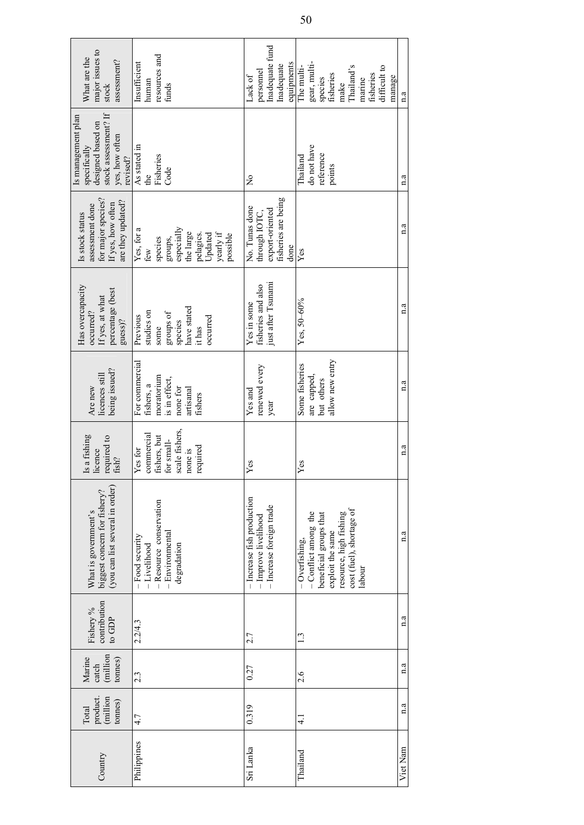| major issues to<br>What are the<br>assessment?<br>stock                                                       | resources and<br>Insufficient<br>human<br>funds                                                                     | Inadequate fund<br>equipments<br>Inadequate<br>personnel<br>Lack of               | gear, multi-<br>The multi-<br>Thailand's<br>difficult to<br>fisheries<br>fisheries<br>manage<br>species<br>marine<br>make                          | 1.3         |
|---------------------------------------------------------------------------------------------------------------|---------------------------------------------------------------------------------------------------------------------|-----------------------------------------------------------------------------------|----------------------------------------------------------------------------------------------------------------------------------------------------|-------------|
| stock assessment? If<br>Is management plan<br>designed based on<br>yes, how often<br>specifically<br>revised? | As stated in<br>Fisheries<br>Code<br>the                                                                            | $\frac{1}{2}$                                                                     | do not have<br>reference<br>Thailand<br>points                                                                                                     | n.a         |
| for major species?<br>are they updated?<br>If yes, how often<br>assessment done<br>Is stock status            | Yes, for a<br>especially<br>the large<br>yearly if<br>pelagics.<br>Updated<br>possible<br>groups,<br>species<br>few | fisheries are being<br>No. Tunas done<br>export-oriented<br>through IOTC,<br>done | Yes                                                                                                                                                | $a \cdot a$ |
| Has overcapacity<br>percentage (best<br>If yes, at what<br>occurred?<br>guess)?                               | have stated<br>studies on<br>groups of<br>Previous<br>occurred<br>species<br>it has<br>some                         | just after Tsunami<br>fisheries and also<br>Yes in some                           | $Yes, 50-60%$                                                                                                                                      | a           |
| being issued?<br>licences still<br>Are new                                                                    | For commercial<br>moratorium<br>is in effect,<br>fishers, a<br>none for<br>artisanal<br>fishers                     | renewed every<br>Yes and<br>year                                                  | allow new entry<br>Some fisheries<br>are capped,<br>but others                                                                                     | $a \cdot a$ |
| Is a fishing<br>required to<br>licence<br>fish?                                                               | scale fishers,<br>commercial<br>fishers, but<br>for small-<br>required<br>Yes for<br>none is                        | Yes                                                                               | $Y$ es                                                                                                                                             | n.a         |
| (you can list several in order)<br>biggest concern for fishery?<br>What is government's                       | - Resource conservation<br>$-$ Environmental<br>-Food security<br>degradation<br>$-Livelihood$                      | - Increase fish production<br>- Increase foreign trade<br>- Improve livelihood    | cost (fuel), shortage of<br>- Conflict among the<br>resource, high fishing<br>beneficial groups that<br>exploit the same<br>Overfishing,<br>labour | $a \cdot a$ |
| contribution<br>Fishery %<br>to GDP                                                                           | 2.2/4.3                                                                                                             | 2.7                                                                               | 1.3                                                                                                                                                | $a \cdot a$ |
| (million<br>Marine<br>tonnes)<br>catch                                                                        | 2.3                                                                                                                 | 0.27                                                                              | 2.6                                                                                                                                                | 1.3         |
| (million<br>product.<br>tonnes)<br>Total                                                                      | 4.7                                                                                                                 | 0.319                                                                             | $\frac{1}{4}$                                                                                                                                      | $a \cdot a$ |
| Country                                                                                                       | Philippines                                                                                                         | Sri Lanka                                                                         | Thailand                                                                                                                                           | Viet Nam    |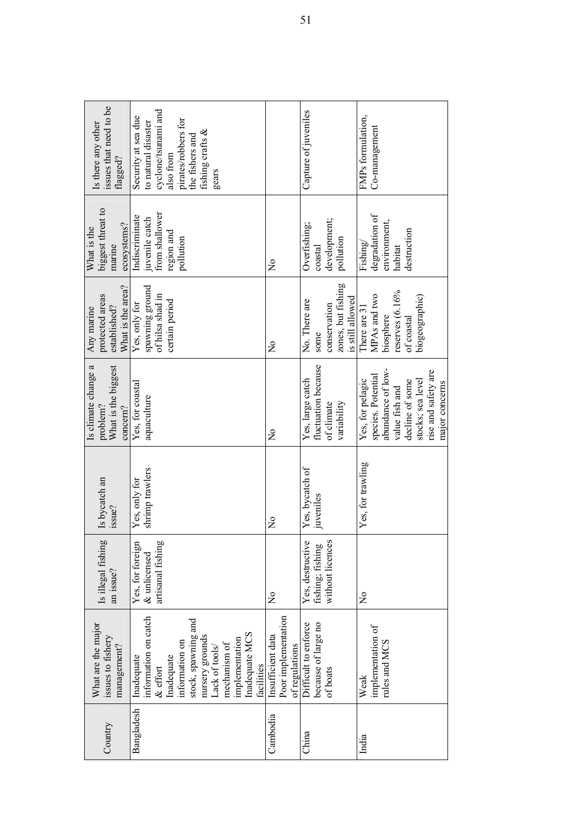| Country    | What are the major<br>issues to fishery<br>management?                                                                                                                                                         | Is illegal fishing<br>an issue?                          | Is bycatch an<br>issue?          | Is climate change a<br>What is the biggest<br>problem?<br>concern?                                                                                             | What is the area?<br>protected areas<br>established?<br>Any marine                              | biggest threat to<br>ecosystems?<br>What is the<br>marine                     | issues that need to be<br>Is there any other<br>flagged?                                                                                              |
|------------|----------------------------------------------------------------------------------------------------------------------------------------------------------------------------------------------------------------|----------------------------------------------------------|----------------------------------|----------------------------------------------------------------------------------------------------------------------------------------------------------------|-------------------------------------------------------------------------------------------------|-------------------------------------------------------------------------------|-------------------------------------------------------------------------------------------------------------------------------------------------------|
| Bangladesh | information on catch<br>stock, spawning and<br>Inadequate MCS<br>nursery grounds<br>implementation<br>information on<br>mechanism of<br>Lack of tools/<br>Inadequate<br>Inadequate<br>facilities<br>$&$ effort | artisanal fishing<br>Yes, for foreign<br>& unlicensed    | shrimp trawlers<br>Yes, only for | Yes, for coastal<br>aquaculture                                                                                                                                | spawning ground<br>of hilsa shad in<br>certain period<br>Yes, only for                          | from shallower<br>Indiscriminate<br>juvenile catch<br>region and<br>pollution | cyclone/tsunami and<br>Security at sea due<br>pirates/robbers for<br>to natural disaster<br>fishing crafts &<br>the fishers and<br>also from<br>gears |
| Cambodia   | Poor implementation<br>Insufficient data<br>of regulations                                                                                                                                                     | $\frac{1}{2}$                                            | $\tilde{\mathsf{x}}$             | $\tilde{\mathsf{z}}$                                                                                                                                           | $\frac{1}{2}$                                                                                   | ž                                                                             |                                                                                                                                                       |
| China      | because of large no<br>Difficult to enforce<br>of boats                                                                                                                                                        | Yes, destructive<br>without licences<br>fishing; fishing | Yes, bycatch of<br>juveniles     | fluctuation because<br>Yes, large catch<br>of climate<br>variability                                                                                           | zones, but fishing<br>is still allowed<br>No. There are<br>conservation<br>some                 | development;<br>Overfishing;<br>pollution<br>coastal                          | Capture of juveniles                                                                                                                                  |
| India      | implementation of<br>rules and MCS<br>Weak                                                                                                                                                                     | $\frac{1}{2}$                                            | Yes, for trawling                | abundance of low-<br>rise and safety are<br>species. Potential<br>stocks; sea level<br>Yes, for pelagic<br>decline of some<br>major concerns<br>value fish and | reserves $(6.16\%$<br>MPAs and two<br>biogeographic)<br>There are 31<br>biosphere<br>of coastal | degradation of<br>environment,<br>destruction<br>Fishing/<br>habitat          | FMPs formulation,<br>Co-management                                                                                                                    |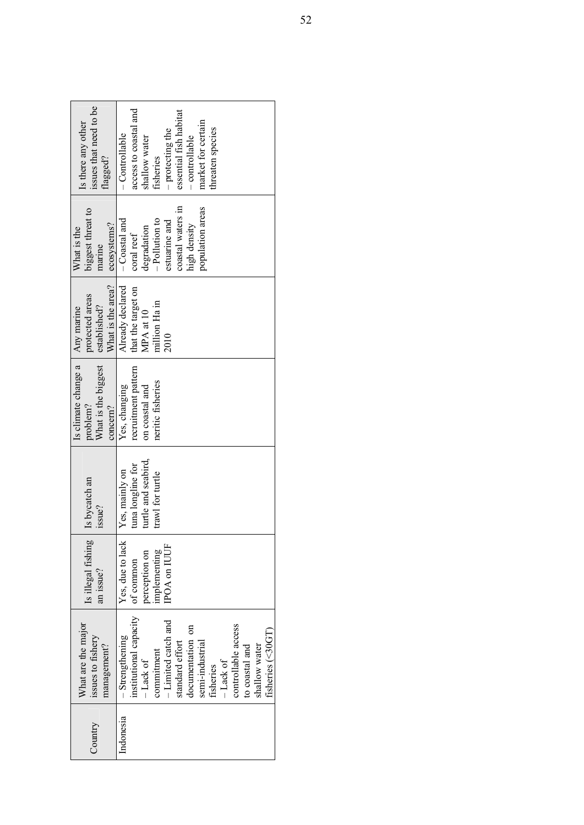| issues that need to be<br>Is there any other<br>lagged?<br>biggest threat to | access to coastal and<br>essential fish habitat<br>market for certain<br>threaten species<br>- protecting the<br>- Controllable<br>- controllable<br>shallow water<br>fisheries<br>population areas<br>coastal waters in                                          |
|------------------------------------------------------------------------------|-------------------------------------------------------------------------------------------------------------------------------------------------------------------------------------------------------------------------------------------------------------------|
| ecosystems?<br>What is the<br>marine                                         | $-Polution to$<br>$-$ Coastal and<br>estuarine and<br>high density<br>degradation<br>coral reef                                                                                                                                                                   |
| What is the area?<br>protected areas<br>established?<br>Any marine           | Already declared<br>that the target on<br>million Ha in<br>MPA at 10<br>2010                                                                                                                                                                                      |
| Is climate change a<br>What is the biggest<br>problem?<br>concern?           | recruitment pattern<br>neritic fisheries<br>Yes, changing<br>on coastal and                                                                                                                                                                                       |
| Is bycatch an<br>issue?                                                      | turtle and seabird,<br>tuna longline for<br>Yes, mainly on<br>trawl for turtle                                                                                                                                                                                    |
| Is illegal fishing<br>an issue?                                              | Yes, due to lack<br><b>POA on IUUF</b><br>implementing<br>perception on<br>of common                                                                                                                                                                              |
| What are the major<br>issues to fishery<br>management?                       | institutional capacity<br>-Limited catch and<br>controllable access<br>documentation on<br>fisheries (<30GT)<br>$-$ Strengthening<br>semi-industrial<br>standard effort<br>shallow water<br>to coastal and<br>commitment<br>$-Lack of$<br>$-Lack$ of<br>fisheries |
| Country                                                                      | Indonesia                                                                                                                                                                                                                                                         |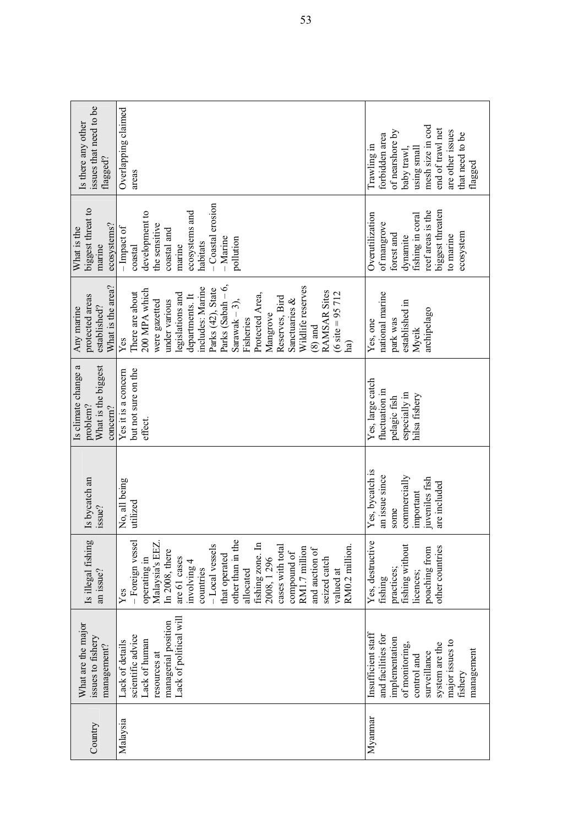| issues that need to be<br>Overlapping claimed<br>Is there any other<br>flagged?<br>areas                                                                                                                                                                                                                                                                                                                                                 | mesh size in cod<br>end of trawl net<br>of nearshore by<br>are other issues<br>that need to be<br>forbidden area<br>Trawling in<br>baby trawl,<br>using small<br>flagged  |
|------------------------------------------------------------------------------------------------------------------------------------------------------------------------------------------------------------------------------------------------------------------------------------------------------------------------------------------------------------------------------------------------------------------------------------------|---------------------------------------------------------------------------------------------------------------------------------------------------------------------------|
| -Coastal erosion<br>biggest threat to<br>ecosystems and<br>development to<br>the sensitive<br>ecosystems?<br>$-$ Impact of<br>What is the<br>coastal and<br>$-Marine$<br>pollution<br>habitats<br>marine<br>marine<br>$\cos$ astal                                                                                                                                                                                                       | biggest threaten<br>reef areas is the<br>Overutilization<br>fishing in coral<br>of mangrove<br>ecosystem<br>forest and<br>dynamite<br>to marine                           |
| Parks (Sabah $-6$ ,<br>What is the area?<br>Wildlife reserves<br>includes: Marine<br>Parks (42), State<br>200 MPA which<br>RAMSAR Sites<br>There are about<br>Protected Area,<br>legislations and<br>(6 site = $95712$ )<br>departments. It<br>protected areas<br>Reserves, Bird<br>Sanctuaries &<br>under various<br>Sarawak $-3$ ),<br>were gazetted<br>established?<br>Any marine<br>Mangrove<br>Fisheries<br>$(8)$ and<br>Yes<br>ha) | national marine<br>established in<br>archipelago<br>park was<br>Yes, one<br>Myeik                                                                                         |
| Is climate change a<br>What is the biggest<br>but not sure on the<br>Yes it is a concern<br>problem?<br>concern?<br>effect.                                                                                                                                                                                                                                                                                                              | Yes, large catch<br>fluctuation in<br>especially in<br>hilsa fishery<br>pelagic fish                                                                                      |
| Is bycatch an<br>No, all being<br>utilized<br>issue?                                                                                                                                                                                                                                                                                                                                                                                     | Yes, bycatch is<br>an issue since<br>commercially<br>juveniles fish<br>are included<br>important<br>some                                                                  |
| Is illegal fishing<br>- Foreign vessel<br>other than in the<br>Malaysia's EEZ<br>fishing zone. In $2008, 1\,296$<br>-Local vessels<br>RM0.2 million.<br>cases with total<br>RM1.7 million<br>and auction of<br>In 2008, there<br>compound of<br>that operated<br>operating in<br>seized catch<br>are 61 cases<br>involving 4<br>countries<br>allocated<br>an issue?<br>valued at<br>Yes                                                  | Yes, destructive<br>fishing without<br>other countries<br>poaching from<br>practices;<br>licences;<br>fishing                                                             |
| Lack of political will<br>managerial position<br>What are the major<br>scientific advice<br>issues to fishery<br>Lack of human<br>Lack of details<br>management?<br>resources at                                                                                                                                                                                                                                                         | Insufficient staff<br>and facilities for<br>implementation<br>major issues to<br>of monitoring,<br>system are the<br>management<br>surveillance<br>control and<br>fishery |
| Malaysia<br>Country                                                                                                                                                                                                                                                                                                                                                                                                                      | Myannar                                                                                                                                                                   |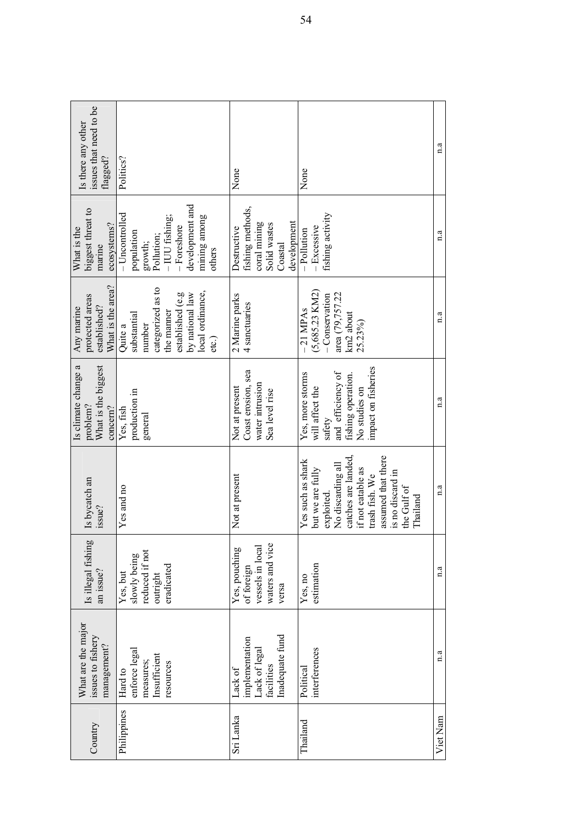| Country     | What are the major<br>issues to fishery<br>management?                      | Is illegal fishing<br>an issue?                                             | Is bycatch an<br>issue?                                                                                                                                                                                     | Is climate change a<br>What is the biggest<br>problem?<br>concern?                                                               | What is the area?<br>protected areas<br>Any marine<br>established?                                                                      | biggest threat to<br>ecosystems?<br>What is the<br>marine                                                                            | issues that need to be<br>Is there any other<br>flagged? |
|-------------|-----------------------------------------------------------------------------|-----------------------------------------------------------------------------|-------------------------------------------------------------------------------------------------------------------------------------------------------------------------------------------------------------|----------------------------------------------------------------------------------------------------------------------------------|-----------------------------------------------------------------------------------------------------------------------------------------|--------------------------------------------------------------------------------------------------------------------------------------|----------------------------------------------------------|
| Philippines | enforce legal<br>Insufficient<br>measures;<br>resources<br>Hard to          | reduced if not<br>slowly being<br>eradicated<br>Yes, but<br>outright        | Yes and no                                                                                                                                                                                                  | production in<br>Yes, fish<br>general                                                                                            | categorized as to<br>local ordinance,<br>established (e.g<br>by national law<br>the manner<br>substantial<br>number<br>Quite a<br>etc.) | development and<br>- Uncontrolled<br>mining among<br>-IUU fishing;<br>$-$ Foreshore<br>population<br>Pollution;<br>growth;<br>others | Politics?                                                |
| Sri Lanka   | Inadequate fund<br>implementation<br>Lack of legal<br>facilities<br>Lack of | waters and vice<br>vessels in local<br>Yes, pouching<br>of foreign<br>versa | Not at present                                                                                                                                                                                              | Coast erosion, sea<br>water intrusion<br>Not at present<br>Sea level rise                                                        | 2 Marine parks<br>4 sanctuaries                                                                                                         | fishing methods,<br>development<br>coral mining<br>Solid wastes<br>Destructive<br>Coastal                                            | None                                                     |
| Thailand    | interferences<br>Political                                                  | estimation<br>Yes, no                                                       | catches are landed,<br>assumed that there<br>Yes such as shark<br>No discarding all<br>but we are fully<br>if not eatable as<br>is no discard in<br>trash fish. We<br>the Gulf of<br>exploited.<br>Thailand | impact on fisheries<br>and efficiency of<br>Yes, more storms<br>fishing operation.<br>will affect the<br>No studies on<br>safety | $(5,685.23$ KM2)<br>area (79,757.22<br>- Conservation<br>$-21$ MPAs<br>km2 about<br>25.23%)                                             | fishing activity<br>$-$ Excessive<br>-Pollution                                                                                      | None                                                     |
| Viet Nam    | 1.3                                                                         | $a \cdot a$                                                                 | a                                                                                                                                                                                                           | a                                                                                                                                | $a \cdot a$                                                                                                                             | $a \cdot a$                                                                                                                          | $a \cdot a$                                              |